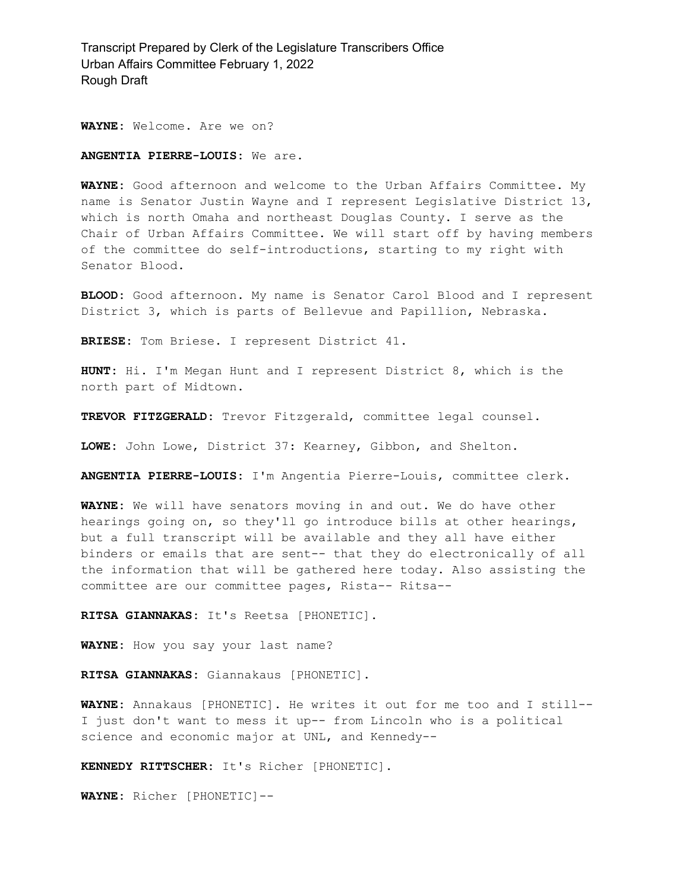**WAYNE:** Welcome. Are we on?

#### **ANGENTIA PIERRE-LOUIS:** We are.

**WAYNE:** Good afternoon and welcome to the Urban Affairs Committee. My name is Senator Justin Wayne and I represent Legislative District 13, which is north Omaha and northeast Douglas County. I serve as the Chair of Urban Affairs Committee. We will start off by having members of the committee do self-introductions, starting to my right with Senator Blood.

**BLOOD:** Good afternoon. My name is Senator Carol Blood and I represent District 3, which is parts of Bellevue and Papillion, Nebraska.

**BRIESE:** Tom Briese. I represent District 41.

**HUNT:** Hi. I'm Megan Hunt and I represent District 8, which is the north part of Midtown.

**TREVOR FITZGERALD:** Trevor Fitzgerald, committee legal counsel.

**LOWE:** John Lowe, District 37: Kearney, Gibbon, and Shelton.

**ANGENTIA PIERRE-LOUIS:** I'm Angentia Pierre-Louis, committee clerk.

**WAYNE:** We will have senators moving in and out. We do have other hearings going on, so they'll go introduce bills at other hearings, but a full transcript will be available and they all have either binders or emails that are sent-- that they do electronically of all the information that will be gathered here today. Also assisting the committee are our committee pages, Rista-- Ritsa--

**RITSA GIANNAKAS:** It's Reetsa [PHONETIC].

**WAYNE:** How you say your last name?

**RITSA GIANNAKAS:** Giannakaus [PHONETIC].

**WAYNE:** Annakaus [PHONETIC]. He writes it out for me too and I still-- I just don't want to mess it up-- from Lincoln who is a political science and economic major at UNL, and Kennedy--

**KENNEDY RITTSCHER:** It's Richer [PHONETIC].

**WAYNE:** Richer [PHONETIC]--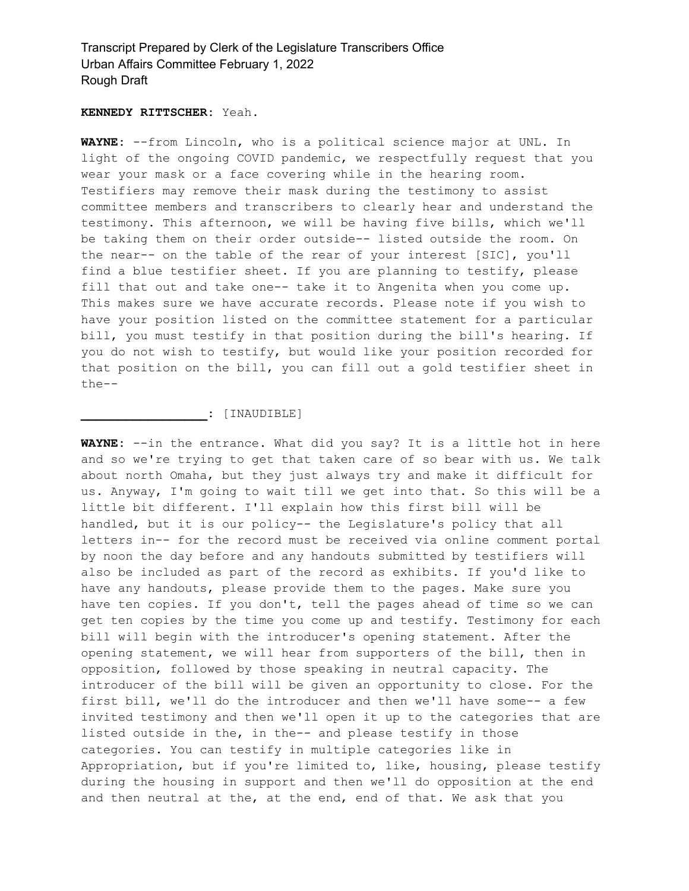#### **KENNEDY RITTSCHER:** Yeah.

**WAYNE:** --from Lincoln, who is a political science major at UNL. In light of the ongoing COVID pandemic, we respectfully request that you wear your mask or a face covering while in the hearing room. Testifiers may remove their mask during the testimony to assist committee members and transcribers to clearly hear and understand the testimony. This afternoon, we will be having five bills, which we'll be taking them on their order outside-- listed outside the room. On the near-- on the table of the rear of your interest [SIC], you'll find a blue testifier sheet. If you are planning to testify, please fill that out and take one-- take it to Angenita when you come up. This makes sure we have accurate records. Please note if you wish to have your position listed on the committee statement for a particular bill, you must testify in that position during the bill's hearing. If you do not wish to testify, but would like your position recorded for that position on the bill, you can fill out a gold testifier sheet in the--

#### **\_\_\_\_\_\_\_\_\_\_\_\_\_\_\_\_\_:** [INAUDIBLE]

**WAYNE:** --in the entrance. What did you say? It is a little hot in here and so we're trying to get that taken care of so bear with us. We talk about north Omaha, but they just always try and make it difficult for us. Anyway, I'm going to wait till we get into that. So this will be a little bit different. I'll explain how this first bill will be handled, but it is our policy-- the Legislature's policy that all letters in-- for the record must be received via online comment portal by noon the day before and any handouts submitted by testifiers will also be included as part of the record as exhibits. If you'd like to have any handouts, please provide them to the pages. Make sure you have ten copies. If you don't, tell the pages ahead of time so we can get ten copies by the time you come up and testify. Testimony for each bill will begin with the introducer's opening statement. After the opening statement, we will hear from supporters of the bill, then in opposition, followed by those speaking in neutral capacity. The introducer of the bill will be given an opportunity to close. For the first bill, we'll do the introducer and then we'll have some-- a few invited testimony and then we'll open it up to the categories that are listed outside in the, in the-- and please testify in those categories. You can testify in multiple categories like in Appropriation, but if you're limited to, like, housing, please testify during the housing in support and then we'll do opposition at the end and then neutral at the, at the end, end of that. We ask that you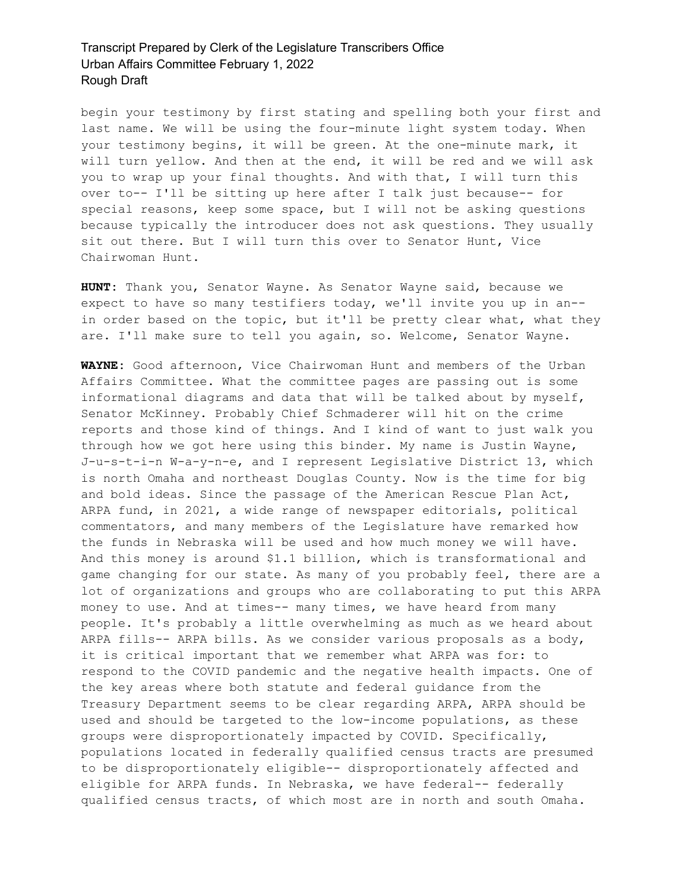begin your testimony by first stating and spelling both your first and last name. We will be using the four-minute light system today. When your testimony begins, it will be green. At the one-minute mark, it will turn yellow. And then at the end, it will be red and we will ask you to wrap up your final thoughts. And with that, I will turn this over to-- I'll be sitting up here after I talk just because-- for special reasons, keep some space, but I will not be asking questions because typically the introducer does not ask questions. They usually sit out there. But I will turn this over to Senator Hunt, Vice Chairwoman Hunt.

**HUNT:** Thank you, Senator Wayne. As Senator Wayne said, because we expect to have so many testifiers today, we'll invite you up in an- in order based on the topic, but it'll be pretty clear what, what they are. I'll make sure to tell you again, so. Welcome, Senator Wayne.

**WAYNE:** Good afternoon, Vice Chairwoman Hunt and members of the Urban Affairs Committee. What the committee pages are passing out is some informational diagrams and data that will be talked about by myself, Senator McKinney. Probably Chief Schmaderer will hit on the crime reports and those kind of things. And I kind of want to just walk you through how we got here using this binder. My name is Justin Wayne, J-u-s-t-i-n W-a-y-n-e, and I represent Legislative District 13, which is north Omaha and northeast Douglas County. Now is the time for big and bold ideas. Since the passage of the American Rescue Plan Act, ARPA fund, in 2021, a wide range of newspaper editorials, political commentators, and many members of the Legislature have remarked how the funds in Nebraska will be used and how much money we will have. And this money is around \$1.1 billion, which is transformational and game changing for our state. As many of you probably feel, there are a lot of organizations and groups who are collaborating to put this ARPA money to use. And at times-- many times, we have heard from many people. It's probably a little overwhelming as much as we heard about ARPA fills-- ARPA bills. As we consider various proposals as a body, it is critical important that we remember what ARPA was for: to respond to the COVID pandemic and the negative health impacts. One of the key areas where both statute and federal guidance from the Treasury Department seems to be clear regarding ARPA, ARPA should be used and should be targeted to the low-income populations, as these groups were disproportionately impacted by COVID. Specifically, populations located in federally qualified census tracts are presumed to be disproportionately eligible-- disproportionately affected and eligible for ARPA funds. In Nebraska, we have federal-- federally qualified census tracts, of which most are in north and south Omaha.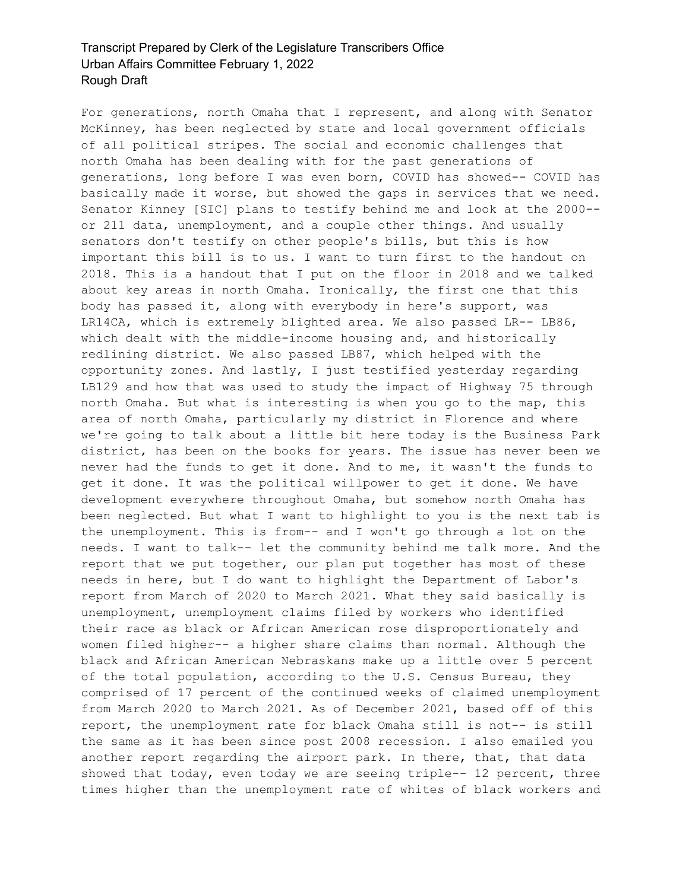For generations, north Omaha that I represent, and along with Senator McKinney, has been neglected by state and local government officials of all political stripes. The social and economic challenges that north Omaha has been dealing with for the past generations of generations, long before I was even born, COVID has showed-- COVID has basically made it worse, but showed the gaps in services that we need. Senator Kinney [SIC] plans to testify behind me and look at the 2000- or 211 data, unemployment, and a couple other things. And usually senators don't testify on other people's bills, but this is how important this bill is to us. I want to turn first to the handout on 2018. This is a handout that I put on the floor in 2018 and we talked about key areas in north Omaha. Ironically, the first one that this body has passed it, along with everybody in here's support, was LR14CA, which is extremely blighted area. We also passed LR-- LB86, which dealt with the middle-income housing and, and historically redlining district. We also passed LB87, which helped with the opportunity zones. And lastly, I just testified yesterday regarding LB129 and how that was used to study the impact of Highway 75 through north Omaha. But what is interesting is when you go to the map, this area of north Omaha, particularly my district in Florence and where we're going to talk about a little bit here today is the Business Park district, has been on the books for years. The issue has never been we never had the funds to get it done. And to me, it wasn't the funds to get it done. It was the political willpower to get it done. We have development everywhere throughout Omaha, but somehow north Omaha has been neglected. But what I want to highlight to you is the next tab is the unemployment. This is from-- and I won't go through a lot on the needs. I want to talk-- let the community behind me talk more. And the report that we put together, our plan put together has most of these needs in here, but I do want to highlight the Department of Labor's report from March of 2020 to March 2021. What they said basically is unemployment, unemployment claims filed by workers who identified their race as black or African American rose disproportionately and women filed higher-- a higher share claims than normal. Although the black and African American Nebraskans make up a little over 5 percent of the total population, according to the U.S. Census Bureau, they comprised of 17 percent of the continued weeks of claimed unemployment from March 2020 to March 2021. As of December 2021, based off of this report, the unemployment rate for black Omaha still is not-- is still the same as it has been since post 2008 recession. I also emailed you another report regarding the airport park. In there, that, that data showed that today, even today we are seeing triple-- 12 percent, three times higher than the unemployment rate of whites of black workers and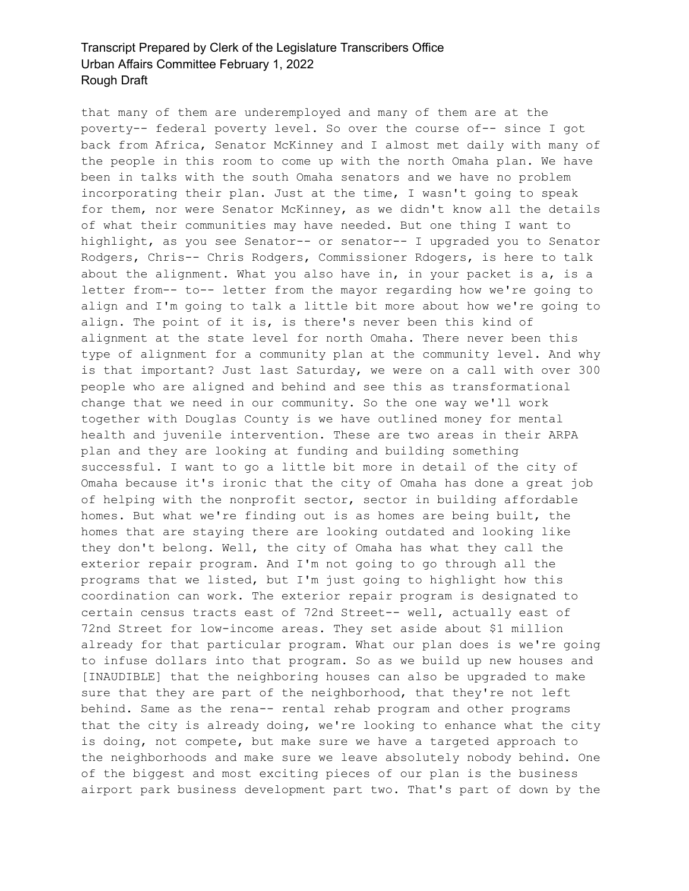that many of them are underemployed and many of them are at the poverty-- federal poverty level. So over the course of-- since I got back from Africa, Senator McKinney and I almost met daily with many of the people in this room to come up with the north Omaha plan. We have been in talks with the south Omaha senators and we have no problem incorporating their plan. Just at the time, I wasn't going to speak for them, nor were Senator McKinney, as we didn't know all the details of what their communities may have needed. But one thing I want to highlight, as you see Senator-- or senator-- I upgraded you to Senator Rodgers, Chris-- Chris Rodgers, Commissioner Rdogers, is here to talk about the alignment. What you also have in, in your packet is a, is a letter from-- to-- letter from the mayor regarding how we're going to align and I'm going to talk a little bit more about how we're going to align. The point of it is, is there's never been this kind of alignment at the state level for north Omaha. There never been this type of alignment for a community plan at the community level. And why is that important? Just last Saturday, we were on a call with over 300 people who are aligned and behind and see this as transformational change that we need in our community. So the one way we'll work together with Douglas County is we have outlined money for mental health and juvenile intervention. These are two areas in their ARPA plan and they are looking at funding and building something successful. I want to go a little bit more in detail of the city of Omaha because it's ironic that the city of Omaha has done a great job of helping with the nonprofit sector, sector in building affordable homes. But what we're finding out is as homes are being built, the homes that are staying there are looking outdated and looking like they don't belong. Well, the city of Omaha has what they call the exterior repair program. And I'm not going to go through all the programs that we listed, but I'm just going to highlight how this coordination can work. The exterior repair program is designated to certain census tracts east of 72nd Street-- well, actually east of 72nd Street for low-income areas. They set aside about \$1 million already for that particular program. What our plan does is we're going to infuse dollars into that program. So as we build up new houses and [INAUDIBLE] that the neighboring houses can also be upgraded to make sure that they are part of the neighborhood, that they're not left behind. Same as the rena-- rental rehab program and other programs that the city is already doing, we're looking to enhance what the city is doing, not compete, but make sure we have a targeted approach to the neighborhoods and make sure we leave absolutely nobody behind. One of the biggest and most exciting pieces of our plan is the business airport park business development part two. That's part of down by the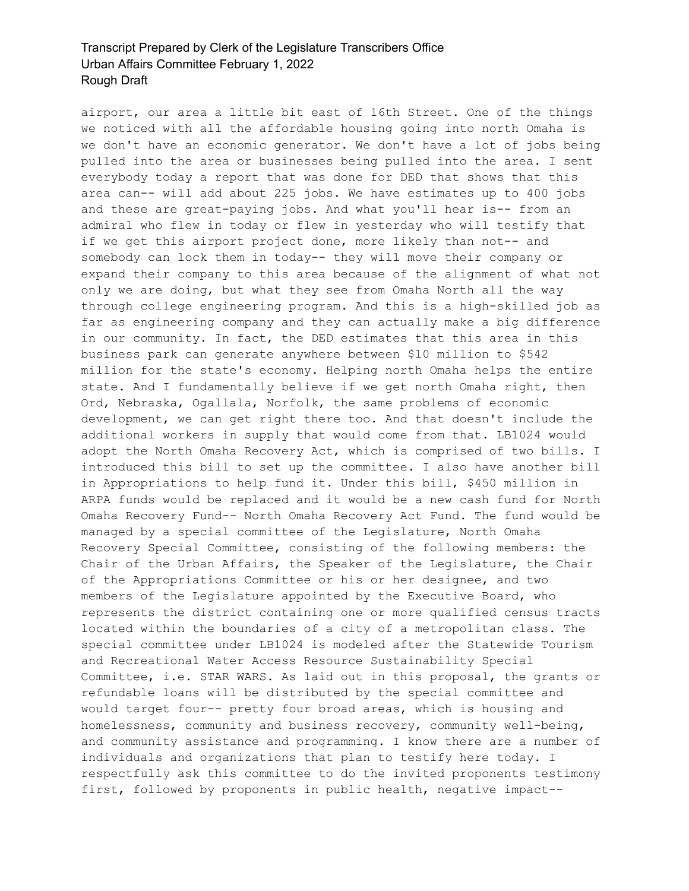airport, our area a little bit east of 16th Street. One of the things we noticed with all the affordable housing going into north Omaha is we don't have an economic generator. We don't have a lot of jobs being pulled into the area or businesses being pulled into the area. I sent everybody today a report that was done for DED that shows that this area can-- will add about 225 jobs. We have estimates up to 400 jobs and these are great-paying jobs. And what you'll hear is-- from an admiral who flew in today or flew in yesterday who will testify that if we get this airport project done, more likely than not-- and somebody can lock them in today-- they will move their company or expand their company to this area because of the alignment of what not only we are doing, but what they see from Omaha North all the way through college engineering program. And this is a high-skilled job as far as engineering company and they can actually make a big difference in our community. In fact, the DED estimates that this area in this business park can generate anywhere between \$10 million to \$542 million for the state's economy. Helping north Omaha helps the entire state. And I fundamentally believe if we get north Omaha right, then Ord, Nebraska, Ogallala, Norfolk, the same problems of economic development, we can get right there too. And that doesn't include the additional workers in supply that would come from that. LB1024 would adopt the North Omaha Recovery Act, which is comprised of two bills. I introduced this bill to set up the committee. I also have another bill in Appropriations to help fund it. Under this bill, \$450 million in ARPA funds would be replaced and it would be a new cash fund for North Omaha Recovery Fund-- North Omaha Recovery Act Fund. The fund would be managed by a special committee of the Legislature, North Omaha Recovery Special Committee, consisting of the following members: the Chair of the Urban Affairs, the Speaker of the Legislature, the Chair of the Appropriations Committee or his or her designee, and two members of the Legislature appointed by the Executive Board, who represents the district containing one or more qualified census tracts located within the boundaries of a city of a metropolitan class. The special committee under LB1024 is modeled after the Statewide Tourism and Recreational Water Access Resource Sustainability Special Committee, i.e. STAR WARS. As laid out in this proposal, the grants or refundable loans will be distributed by the special committee and would target four-- pretty four broad areas, which is housing and homelessness, community and business recovery, community well-being, and community assistance and programming. I know there are a number of individuals and organizations that plan to testify here today. I respectfully ask this committee to do the invited proponents testimony first, followed by proponents in public health, negative impact--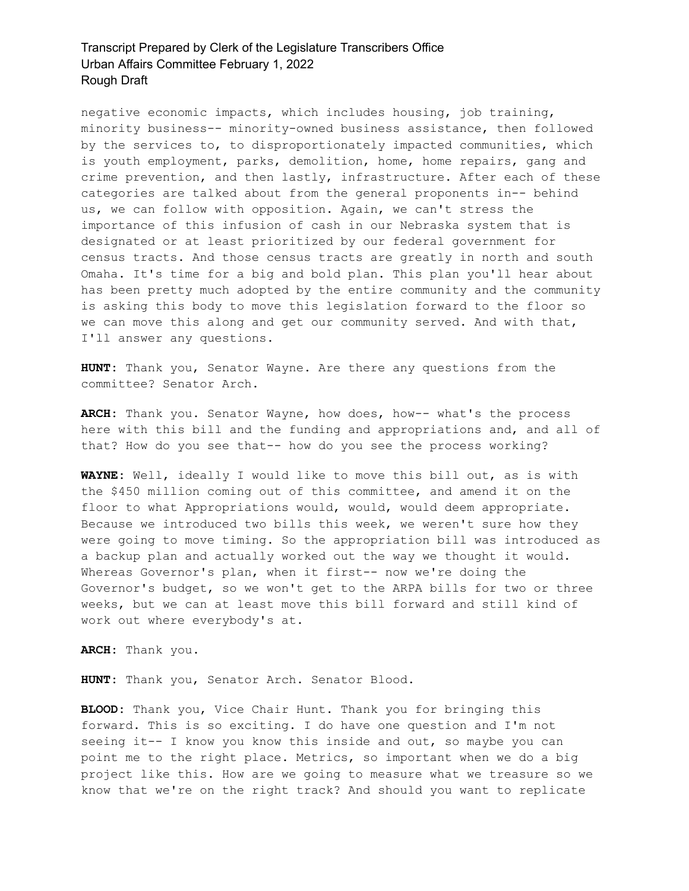negative economic impacts, which includes housing, job training, minority business-- minority-owned business assistance, then followed by the services to, to disproportionately impacted communities, which is youth employment, parks, demolition, home, home repairs, gang and crime prevention, and then lastly, infrastructure. After each of these categories are talked about from the general proponents in-- behind us, we can follow with opposition. Again, we can't stress the importance of this infusion of cash in our Nebraska system that is designated or at least prioritized by our federal government for census tracts. And those census tracts are greatly in north and south Omaha. It's time for a big and bold plan. This plan you'll hear about has been pretty much adopted by the entire community and the community is asking this body to move this legislation forward to the floor so we can move this along and get our community served. And with that, I'll answer any questions.

**HUNT:** Thank you, Senator Wayne. Are there any questions from the committee? Senator Arch.

**ARCH:** Thank you. Senator Wayne, how does, how-- what's the process here with this bill and the funding and appropriations and, and all of that? How do you see that-- how do you see the process working?

**WAYNE:** Well, ideally I would like to move this bill out, as is with the \$450 million coming out of this committee, and amend it on the floor to what Appropriations would, would, would deem appropriate. Because we introduced two bills this week, we weren't sure how they were going to move timing. So the appropriation bill was introduced as a backup plan and actually worked out the way we thought it would. Whereas Governor's plan, when it first-- now we're doing the Governor's budget, so we won't get to the ARPA bills for two or three weeks, but we can at least move this bill forward and still kind of work out where everybody's at.

**ARCH:** Thank you.

**HUNT:** Thank you, Senator Arch. Senator Blood.

**BLOOD:** Thank you, Vice Chair Hunt. Thank you for bringing this forward. This is so exciting. I do have one question and I'm not seeing it-- I know you know this inside and out, so maybe you can point me to the right place. Metrics, so important when we do a big project like this. How are we going to measure what we treasure so we know that we're on the right track? And should you want to replicate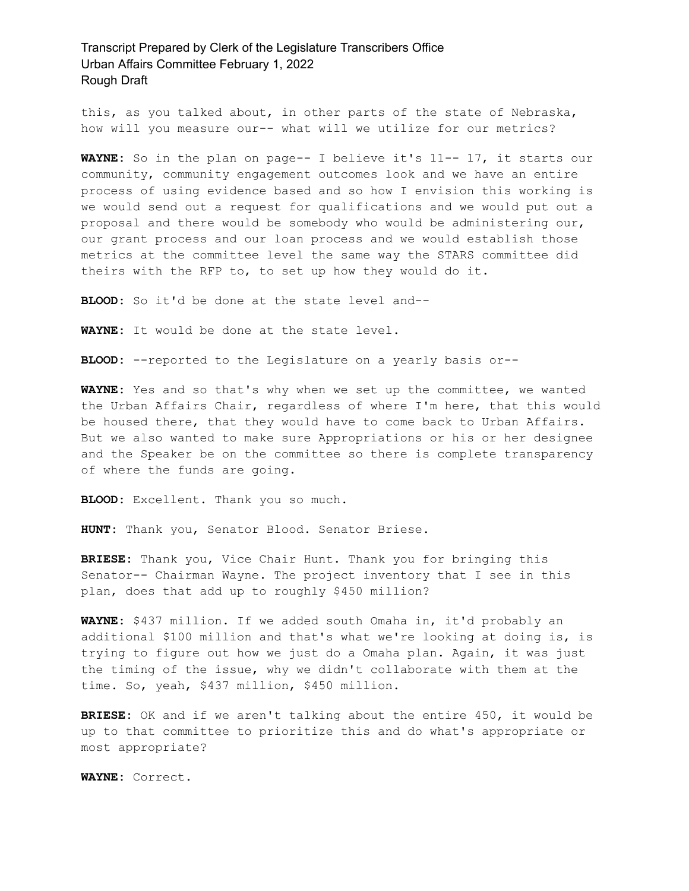this, as you talked about, in other parts of the state of Nebraska, how will you measure our-- what will we utilize for our metrics?

**WAYNE:** So in the plan on page-- I believe it's 11-- 17, it starts our community, community engagement outcomes look and we have an entire process of using evidence based and so how I envision this working is we would send out a request for qualifications and we would put out a proposal and there would be somebody who would be administering our, our grant process and our loan process and we would establish those metrics at the committee level the same way the STARS committee did theirs with the RFP to, to set up how they would do it.

**BLOOD:** So it'd be done at the state level and--

**WAYNE:** It would be done at the state level.

**BLOOD:** --reported to the Legislature on a yearly basis or--

**WAYNE:** Yes and so that's why when we set up the committee, we wanted the Urban Affairs Chair, regardless of where I'm here, that this would be housed there, that they would have to come back to Urban Affairs. But we also wanted to make sure Appropriations or his or her designee and the Speaker be on the committee so there is complete transparency of where the funds are going.

**BLOOD:** Excellent. Thank you so much.

**HUNT:** Thank you, Senator Blood. Senator Briese.

**BRIESE:** Thank you, Vice Chair Hunt. Thank you for bringing this Senator-- Chairman Wayne. The project inventory that I see in this plan, does that add up to roughly \$450 million?

**WAYNE:** \$437 million. If we added south Omaha in, it'd probably an additional \$100 million and that's what we're looking at doing is, is trying to figure out how we just do a Omaha plan. Again, it was just the timing of the issue, why we didn't collaborate with them at the time. So, yeah, \$437 million, \$450 million.

**BRIESE:** OK and if we aren't talking about the entire 450, it would be up to that committee to prioritize this and do what's appropriate or most appropriate?

**WAYNE:** Correct.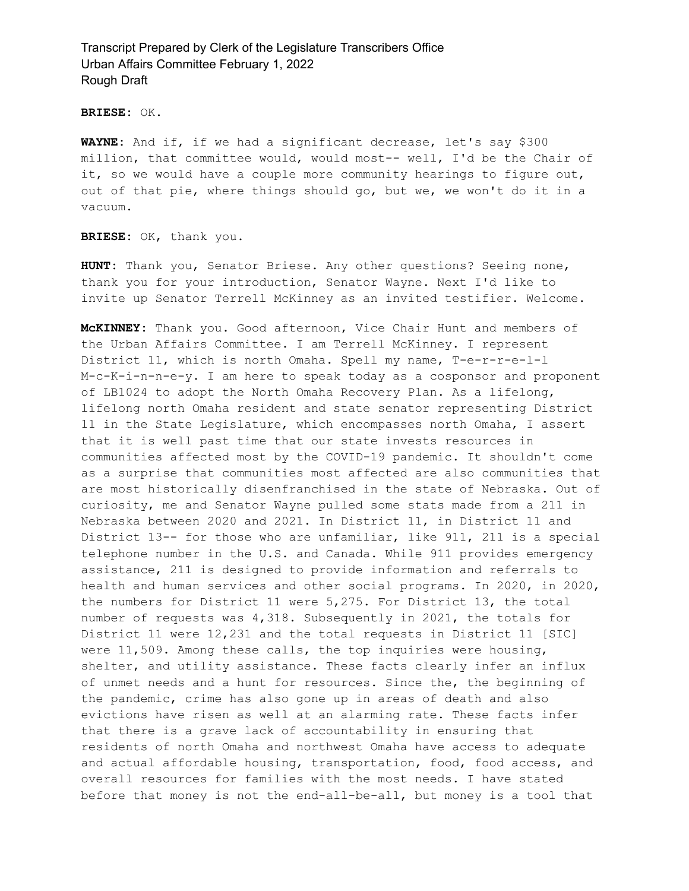**BRIESE:** OK.

**WAYNE:** And if, if we had a significant decrease, let's say \$300 million, that committee would, would most-- well, I'd be the Chair of it, so we would have a couple more community hearings to figure out, out of that pie, where things should go, but we, we won't do it in a vacuum.

**BRIESE:** OK, thank you.

**HUNT:** Thank you, Senator Briese. Any other questions? Seeing none, thank you for your introduction, Senator Wayne. Next I'd like to invite up Senator Terrell McKinney as an invited testifier. Welcome.

**McKINNEY:** Thank you. Good afternoon, Vice Chair Hunt and members of the Urban Affairs Committee. I am Terrell McKinney. I represent District 11, which is north Omaha. Spell my name, T-e-r-r-e-l-l M-c-K-i-n-n-e-y. I am here to speak today as a cosponsor and proponent of LB1024 to adopt the North Omaha Recovery Plan. As a lifelong, lifelong north Omaha resident and state senator representing District 11 in the State Legislature, which encompasses north Omaha, I assert that it is well past time that our state invests resources in communities affected most by the COVID-19 pandemic. It shouldn't come as a surprise that communities most affected are also communities that are most historically disenfranchised in the state of Nebraska. Out of curiosity, me and Senator Wayne pulled some stats made from a 211 in Nebraska between 2020 and 2021. In District 11, in District 11 and District 13-- for those who are unfamiliar, like 911, 211 is a special telephone number in the U.S. and Canada. While 911 provides emergency assistance, 211 is designed to provide information and referrals to health and human services and other social programs. In 2020, in 2020, the numbers for District 11 were 5,275. For District 13, the total number of requests was 4,318. Subsequently in 2021, the totals for District 11 were 12,231 and the total requests in District 11 [SIC] were 11,509. Among these calls, the top inquiries were housing, shelter, and utility assistance. These facts clearly infer an influx of unmet needs and a hunt for resources. Since the, the beginning of the pandemic, crime has also gone up in areas of death and also evictions have risen as well at an alarming rate. These facts infer that there is a grave lack of accountability in ensuring that residents of north Omaha and northwest Omaha have access to adequate and actual affordable housing, transportation, food, food access, and overall resources for families with the most needs. I have stated before that money is not the end-all-be-all, but money is a tool that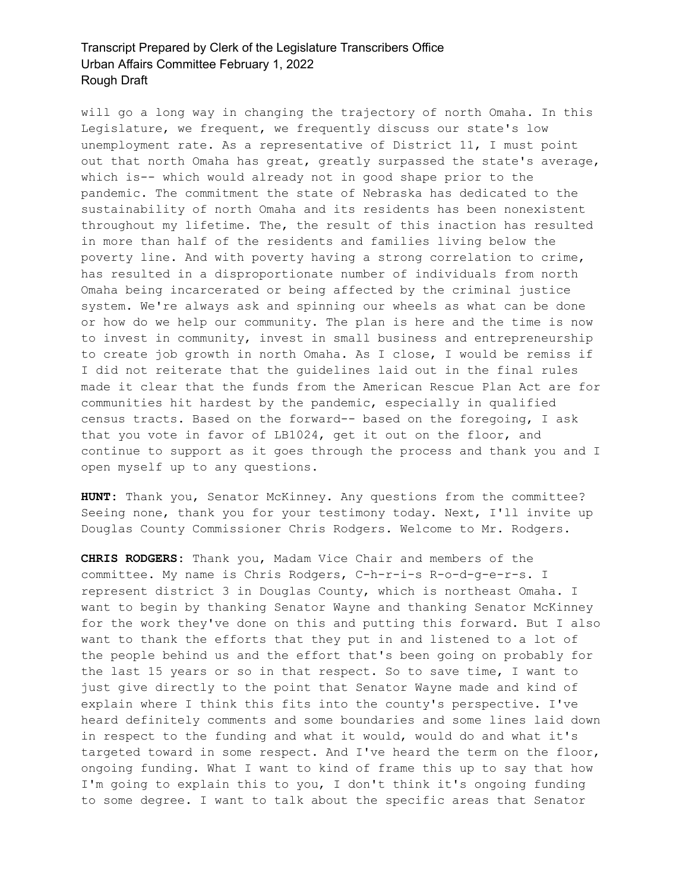will go a long way in changing the trajectory of north Omaha. In this Legislature, we frequent, we frequently discuss our state's low unemployment rate. As a representative of District 11, I must point out that north Omaha has great, greatly surpassed the state's average, which is-- which would already not in good shape prior to the pandemic. The commitment the state of Nebraska has dedicated to the sustainability of north Omaha and its residents has been nonexistent throughout my lifetime. The, the result of this inaction has resulted in more than half of the residents and families living below the poverty line. And with poverty having a strong correlation to crime, has resulted in a disproportionate number of individuals from north Omaha being incarcerated or being affected by the criminal justice system. We're always ask and spinning our wheels as what can be done or how do we help our community. The plan is here and the time is now to invest in community, invest in small business and entrepreneurship to create job growth in north Omaha. As I close, I would be remiss if I did not reiterate that the guidelines laid out in the final rules made it clear that the funds from the American Rescue Plan Act are for communities hit hardest by the pandemic, especially in qualified census tracts. Based on the forward-- based on the foregoing, I ask that you vote in favor of LB1024, get it out on the floor, and continue to support as it goes through the process and thank you and I open myself up to any questions.

**HUNT:** Thank you, Senator McKinney. Any questions from the committee? Seeing none, thank you for your testimony today. Next, I'll invite up Douglas County Commissioner Chris Rodgers. Welcome to Mr. Rodgers.

**CHRIS RODGERS:** Thank you, Madam Vice Chair and members of the committee. My name is Chris Rodgers, C-h-r-i-s R-o-d-g-e-r-s. I represent district 3 in Douglas County, which is northeast Omaha. I want to begin by thanking Senator Wayne and thanking Senator McKinney for the work they've done on this and putting this forward. But I also want to thank the efforts that they put in and listened to a lot of the people behind us and the effort that's been going on probably for the last 15 years or so in that respect. So to save time, I want to just give directly to the point that Senator Wayne made and kind of explain where I think this fits into the county's perspective. I've heard definitely comments and some boundaries and some lines laid down in respect to the funding and what it would, would do and what it's targeted toward in some respect. And I've heard the term on the floor, ongoing funding. What I want to kind of frame this up to say that how I'm going to explain this to you, I don't think it's ongoing funding to some degree. I want to talk about the specific areas that Senator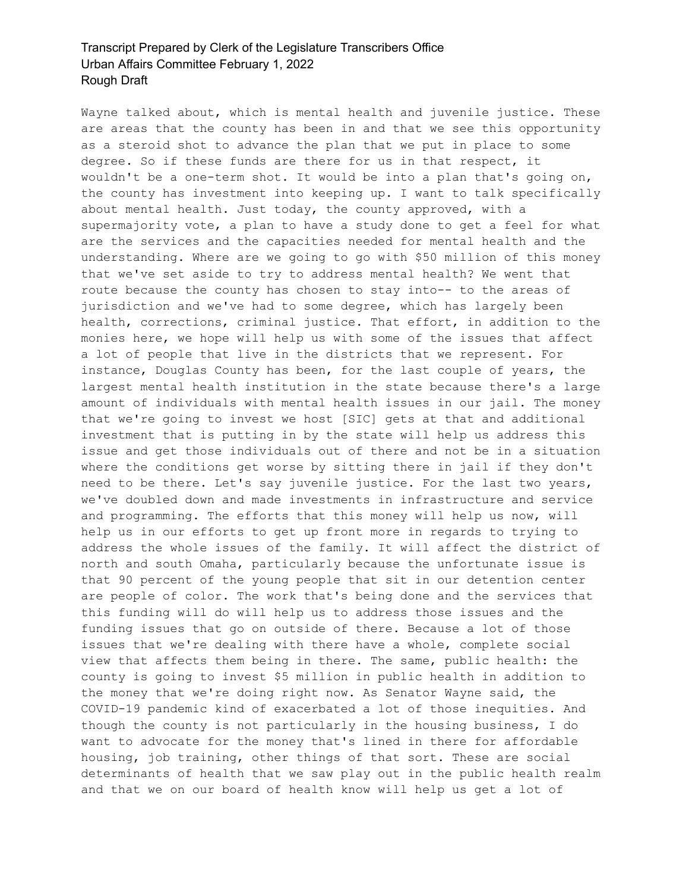Wayne talked about, which is mental health and juvenile justice. These are areas that the county has been in and that we see this opportunity as a steroid shot to advance the plan that we put in place to some degree. So if these funds are there for us in that respect, it wouldn't be a one-term shot. It would be into a plan that's going on, the county has investment into keeping up. I want to talk specifically about mental health. Just today, the county approved, with a supermajority vote, a plan to have a study done to get a feel for what are the services and the capacities needed for mental health and the understanding. Where are we going to go with \$50 million of this money that we've set aside to try to address mental health? We went that route because the county has chosen to stay into-- to the areas of jurisdiction and we've had to some degree, which has largely been health, corrections, criminal justice. That effort, in addition to the monies here, we hope will help us with some of the issues that affect a lot of people that live in the districts that we represent. For instance, Douglas County has been, for the last couple of years, the largest mental health institution in the state because there's a large amount of individuals with mental health issues in our jail. The money that we're going to invest we host [SIC] gets at that and additional investment that is putting in by the state will help us address this issue and get those individuals out of there and not be in a situation where the conditions get worse by sitting there in jail if they don't need to be there. Let's say juvenile justice. For the last two years, we've doubled down and made investments in infrastructure and service and programming. The efforts that this money will help us now, will help us in our efforts to get up front more in regards to trying to address the whole issues of the family. It will affect the district of north and south Omaha, particularly because the unfortunate issue is that 90 percent of the young people that sit in our detention center are people of color. The work that's being done and the services that this funding will do will help us to address those issues and the funding issues that go on outside of there. Because a lot of those issues that we're dealing with there have a whole, complete social view that affects them being in there. The same, public health: the county is going to invest \$5 million in public health in addition to the money that we're doing right now. As Senator Wayne said, the COVID-19 pandemic kind of exacerbated a lot of those inequities. And though the county is not particularly in the housing business, I do want to advocate for the money that's lined in there for affordable housing, job training, other things of that sort. These are social determinants of health that we saw play out in the public health realm and that we on our board of health know will help us get a lot of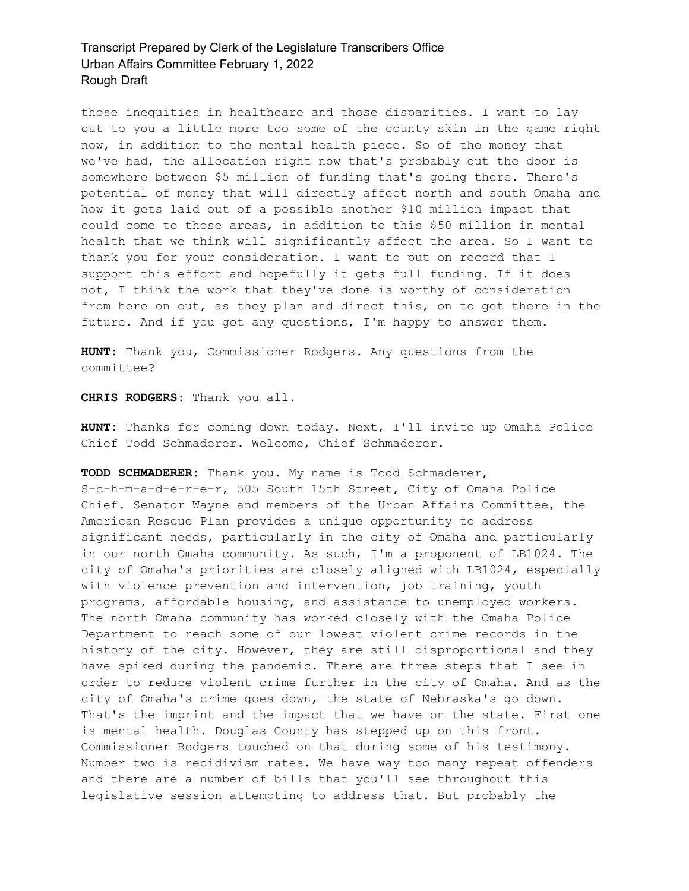those inequities in healthcare and those disparities. I want to lay out to you a little more too some of the county skin in the game right now, in addition to the mental health piece. So of the money that we've had, the allocation right now that's probably out the door is somewhere between \$5 million of funding that's going there. There's potential of money that will directly affect north and south Omaha and how it gets laid out of a possible another \$10 million impact that could come to those areas, in addition to this \$50 million in mental health that we think will significantly affect the area. So I want to thank you for your consideration. I want to put on record that I support this effort and hopefully it gets full funding. If it does not, I think the work that they've done is worthy of consideration from here on out, as they plan and direct this, on to get there in the future. And if you got any questions, I'm happy to answer them.

**HUNT:** Thank you, Commissioner Rodgers. Any questions from the committee?

**CHRIS RODGERS:** Thank you all.

**HUNT:** Thanks for coming down today. Next, I'll invite up Omaha Police Chief Todd Schmaderer. Welcome, Chief Schmaderer.

#### **TODD SCHMADERER:** Thank you. My name is Todd Schmaderer,

S-c-h-m-a-d-e-r-e-r, 505 South 15th Street, City of Omaha Police Chief. Senator Wayne and members of the Urban Affairs Committee, the American Rescue Plan provides a unique opportunity to address significant needs, particularly in the city of Omaha and particularly in our north Omaha community. As such, I'm a proponent of LB1024. The city of Omaha's priorities are closely aligned with LB1024, especially with violence prevention and intervention, job training, youth programs, affordable housing, and assistance to unemployed workers. The north Omaha community has worked closely with the Omaha Police Department to reach some of our lowest violent crime records in the history of the city. However, they are still disproportional and they have spiked during the pandemic. There are three steps that I see in order to reduce violent crime further in the city of Omaha. And as the city of Omaha's crime goes down, the state of Nebraska's go down. That's the imprint and the impact that we have on the state. First one is mental health. Douglas County has stepped up on this front. Commissioner Rodgers touched on that during some of his testimony. Number two is recidivism rates. We have way too many repeat offenders and there are a number of bills that you'll see throughout this legislative session attempting to address that. But probably the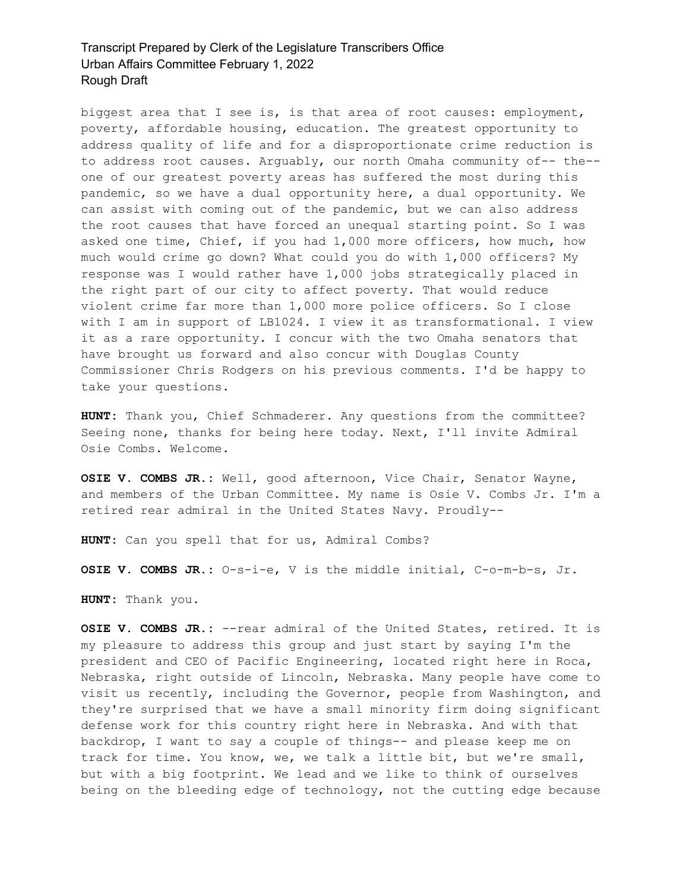biggest area that I see is, is that area of root causes: employment, poverty, affordable housing, education. The greatest opportunity to address quality of life and for a disproportionate crime reduction is to address root causes. Arguably, our north Omaha community of-- the- one of our greatest poverty areas has suffered the most during this pandemic, so we have a dual opportunity here, a dual opportunity. We can assist with coming out of the pandemic, but we can also address the root causes that have forced an unequal starting point. So I was asked one time, Chief, if you had 1,000 more officers, how much, how much would crime go down? What could you do with 1,000 officers? My response was I would rather have 1,000 jobs strategically placed in the right part of our city to affect poverty. That would reduce violent crime far more than 1,000 more police officers. So I close with I am in support of LB1024. I view it as transformational. I view it as a rare opportunity. I concur with the two Omaha senators that have brought us forward and also concur with Douglas County Commissioner Chris Rodgers on his previous comments. I'd be happy to take your questions.

**HUNT:** Thank you, Chief Schmaderer. Any questions from the committee? Seeing none, thanks for being here today. Next, I'll invite Admiral Osie Combs. Welcome.

**OSIE V. COMBS JR.:** Well, good afternoon, Vice Chair, Senator Wayne, and members of the Urban Committee. My name is Osie V. Combs Jr. I'm a retired rear admiral in the United States Navy. Proudly--

**HUNT:** Can you spell that for us, Admiral Combs?

**OSIE V. COMBS JR.:** O-s-i-e, V is the middle initial, C-o-m-b-s, Jr.

**HUNT:** Thank you.

**OSIE V. COMBS JR.:** --rear admiral of the United States, retired. It is my pleasure to address this group and just start by saying I'm the president and CEO of Pacific Engineering, located right here in Roca, Nebraska, right outside of Lincoln, Nebraska. Many people have come to visit us recently, including the Governor, people from Washington, and they're surprised that we have a small minority firm doing significant defense work for this country right here in Nebraska. And with that backdrop, I want to say a couple of things-- and please keep me on track for time. You know, we, we talk a little bit, but we're small, but with a big footprint. We lead and we like to think of ourselves being on the bleeding edge of technology, not the cutting edge because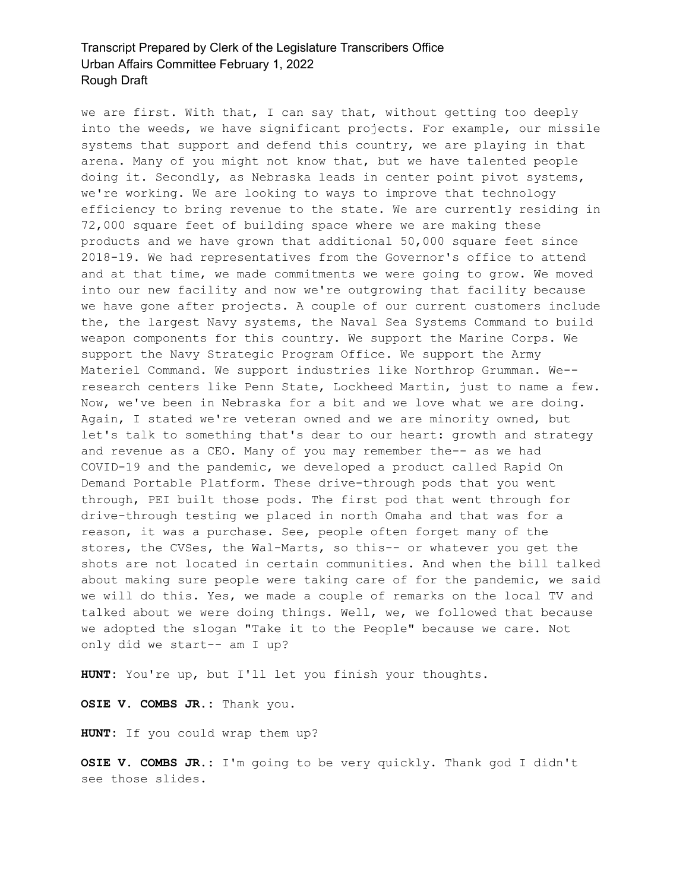we are first. With that, I can say that, without getting too deeply into the weeds, we have significant projects. For example, our missile systems that support and defend this country, we are playing in that arena. Many of you might not know that, but we have talented people doing it. Secondly, as Nebraska leads in center point pivot systems, we're working. We are looking to ways to improve that technology efficiency to bring revenue to the state. We are currently residing in 72,000 square feet of building space where we are making these products and we have grown that additional 50,000 square feet since 2018-19. We had representatives from the Governor's office to attend and at that time, we made commitments we were going to grow. We moved into our new facility and now we're outgrowing that facility because we have gone after projects. A couple of our current customers include the, the largest Navy systems, the Naval Sea Systems Command to build weapon components for this country. We support the Marine Corps. We support the Navy Strategic Program Office. We support the Army Materiel Command. We support industries like Northrop Grumman. We- research centers like Penn State, Lockheed Martin, just to name a few. Now, we've been in Nebraska for a bit and we love what we are doing. Again, I stated we're veteran owned and we are minority owned, but let's talk to something that's dear to our heart: growth and strategy and revenue as a CEO. Many of you may remember the-- as we had COVID-19 and the pandemic, we developed a product called Rapid On Demand Portable Platform. These drive-through pods that you went through, PEI built those pods. The first pod that went through for drive-through testing we placed in north Omaha and that was for a reason, it was a purchase. See, people often forget many of the stores, the CVSes, the Wal-Marts, so this-- or whatever you get the shots are not located in certain communities. And when the bill talked about making sure people were taking care of for the pandemic, we said we will do this. Yes, we made a couple of remarks on the local TV and talked about we were doing things. Well, we, we followed that because we adopted the slogan "Take it to the People" because we care. Not only did we start-- am I up?

**HUNT:** You're up, but I'll let you finish your thoughts.

**OSIE V. COMBS JR.:** Thank you.

**HUNT:** If you could wrap them up?

**OSIE V. COMBS JR.:** I'm going to be very quickly. Thank god I didn't see those slides.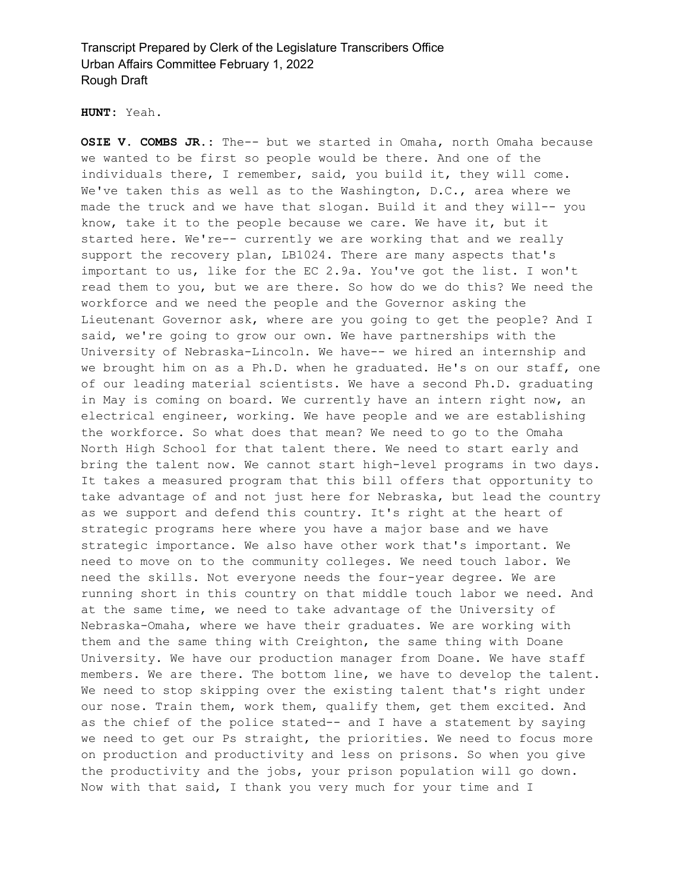**HUNT:** Yeah.

**OSIE V. COMBS JR.:** The-- but we started in Omaha, north Omaha because we wanted to be first so people would be there. And one of the individuals there, I remember, said, you build it, they will come. We've taken this as well as to the Washington, D.C., area where we made the truck and we have that slogan. Build it and they will-- you know, take it to the people because we care. We have it, but it started here. We're-- currently we are working that and we really support the recovery plan, LB1024. There are many aspects that's important to us, like for the EC 2.9a. You've got the list. I won't read them to you, but we are there. So how do we do this? We need the workforce and we need the people and the Governor asking the Lieutenant Governor ask, where are you going to get the people? And I said, we're going to grow our own. We have partnerships with the University of Nebraska-Lincoln. We have-- we hired an internship and we brought him on as a Ph.D. when he graduated. He's on our staff, one of our leading material scientists. We have a second Ph.D. graduating in May is coming on board. We currently have an intern right now, an electrical engineer, working. We have people and we are establishing the workforce. So what does that mean? We need to go to the Omaha North High School for that talent there. We need to start early and bring the talent now. We cannot start high-level programs in two days. It takes a measured program that this bill offers that opportunity to take advantage of and not just here for Nebraska, but lead the country as we support and defend this country. It's right at the heart of strategic programs here where you have a major base and we have strategic importance. We also have other work that's important. We need to move on to the community colleges. We need touch labor. We need the skills. Not everyone needs the four-year degree. We are running short in this country on that middle touch labor we need. And at the same time, we need to take advantage of the University of Nebraska-Omaha, where we have their graduates. We are working with them and the same thing with Creighton, the same thing with Doane University. We have our production manager from Doane. We have staff members. We are there. The bottom line, we have to develop the talent. We need to stop skipping over the existing talent that's right under our nose. Train them, work them, qualify them, get them excited. And as the chief of the police stated-- and I have a statement by saying we need to get our Ps straight, the priorities. We need to focus more on production and productivity and less on prisons. So when you give the productivity and the jobs, your prison population will go down. Now with that said, I thank you very much for your time and I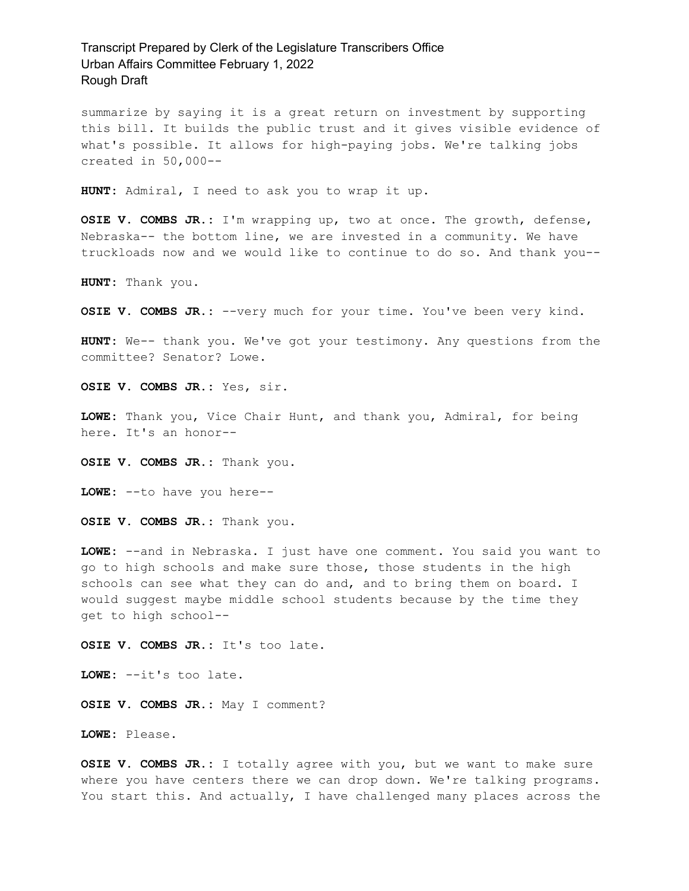summarize by saying it is a great return on investment by supporting this bill. It builds the public trust and it gives visible evidence of what's possible. It allows for high-paying jobs. We're talking jobs created in 50,000--

**HUNT:** Admiral, I need to ask you to wrap it up.

**OSIE V. COMBS JR.:** I'm wrapping up, two at once. The growth, defense, Nebraska-- the bottom line, we are invested in a community. We have truckloads now and we would like to continue to do so. And thank you--

**HUNT:** Thank you.

**OSIE V. COMBS JR.:** --very much for your time. You've been very kind.

**HUNT:** We-- thank you. We've got your testimony. Any questions from the committee? Senator? Lowe.

**OSIE V. COMBS JR.:** Yes, sir.

**LOWE:** Thank you, Vice Chair Hunt, and thank you, Admiral, for being here. It's an honor--

**OSIE V. COMBS JR.:** Thank you.

**LOWE:** --to have you here--

**OSIE V. COMBS JR.:** Thank you.

**LOWE:** --and in Nebraska. I just have one comment. You said you want to go to high schools and make sure those, those students in the high schools can see what they can do and, and to bring them on board. I would suggest maybe middle school students because by the time they get to high school--

**OSIE V. COMBS JR.:** It's too late.

**LOWE:** --it's too late.

**OSIE V. COMBS JR.:** May I comment?

**LOWE:** Please.

**OSIE V. COMBS JR.:** I totally agree with you, but we want to make sure where you have centers there we can drop down. We're talking programs. You start this. And actually, I have challenged many places across the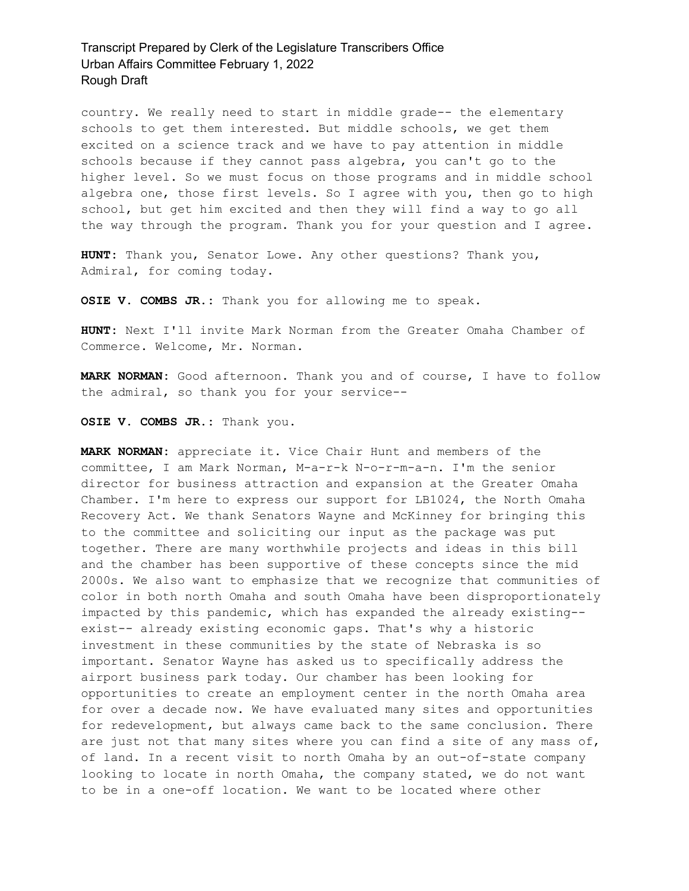country. We really need to start in middle grade-- the elementary schools to get them interested. But middle schools, we get them excited on a science track and we have to pay attention in middle schools because if they cannot pass algebra, you can't go to the higher level. So we must focus on those programs and in middle school algebra one, those first levels. So I agree with you, then go to high school, but get him excited and then they will find a way to go all the way through the program. Thank you for your question and I agree.

**HUNT:** Thank you, Senator Lowe. Any other questions? Thank you, Admiral, for coming today.

**OSIE V. COMBS JR.:** Thank you for allowing me to speak.

**HUNT:** Next I'll invite Mark Norman from the Greater Omaha Chamber of Commerce. Welcome, Mr. Norman.

**MARK NORMAN:** Good afternoon. Thank you and of course, I have to follow the admiral, so thank you for your service--

**OSIE V. COMBS JR.:** Thank you.

**MARK NORMAN:** appreciate it. Vice Chair Hunt and members of the committee, I am Mark Norman, M-a-r-k N-o-r-m-a-n. I'm the senior director for business attraction and expansion at the Greater Omaha Chamber. I'm here to express our support for LB1024, the North Omaha Recovery Act. We thank Senators Wayne and McKinney for bringing this to the committee and soliciting our input as the package was put together. There are many worthwhile projects and ideas in this bill and the chamber has been supportive of these concepts since the mid 2000s. We also want to emphasize that we recognize that communities of color in both north Omaha and south Omaha have been disproportionately impacted by this pandemic, which has expanded the already existing- exist-- already existing economic gaps. That's why a historic investment in these communities by the state of Nebraska is so important. Senator Wayne has asked us to specifically address the airport business park today. Our chamber has been looking for opportunities to create an employment center in the north Omaha area for over a decade now. We have evaluated many sites and opportunities for redevelopment, but always came back to the same conclusion. There are just not that many sites where you can find a site of any mass of, of land. In a recent visit to north Omaha by an out-of-state company looking to locate in north Omaha, the company stated, we do not want to be in a one-off location. We want to be located where other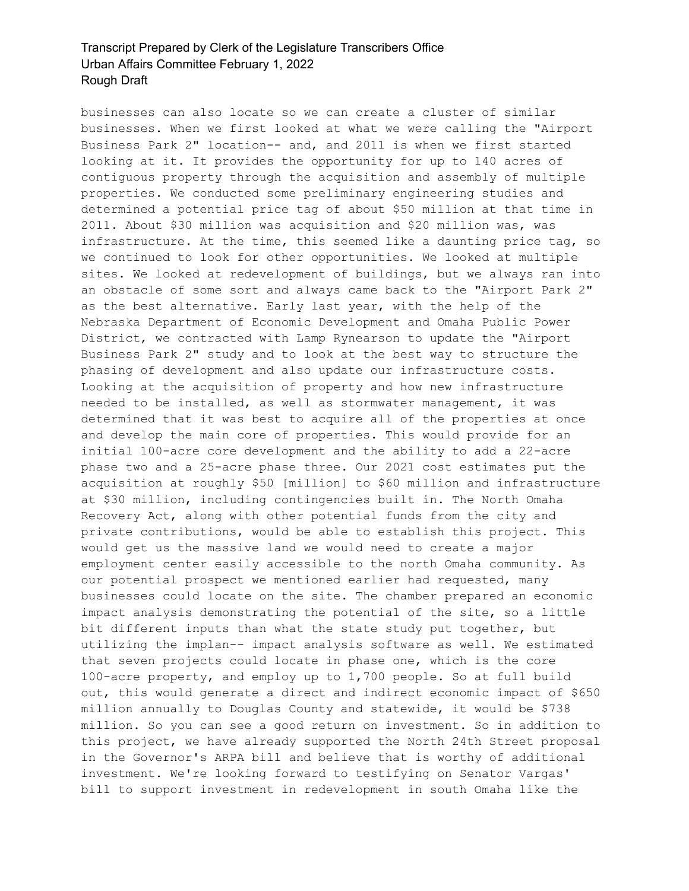businesses can also locate so we can create a cluster of similar businesses. When we first looked at what we were calling the "Airport Business Park 2" location-- and, and 2011 is when we first started looking at it. It provides the opportunity for up to 140 acres of contiguous property through the acquisition and assembly of multiple properties. We conducted some preliminary engineering studies and determined a potential price tag of about \$50 million at that time in 2011. About \$30 million was acquisition and \$20 million was, was infrastructure. At the time, this seemed like a daunting price tag, so we continued to look for other opportunities. We looked at multiple sites. We looked at redevelopment of buildings, but we always ran into an obstacle of some sort and always came back to the "Airport Park 2" as the best alternative. Early last year, with the help of the Nebraska Department of Economic Development and Omaha Public Power District, we contracted with Lamp Rynearson to update the "Airport Business Park 2" study and to look at the best way to structure the phasing of development and also update our infrastructure costs. Looking at the acquisition of property and how new infrastructure needed to be installed, as well as stormwater management, it was determined that it was best to acquire all of the properties at once and develop the main core of properties. This would provide for an initial 100-acre core development and the ability to add a 22-acre phase two and a 25-acre phase three. Our 2021 cost estimates put the acquisition at roughly \$50 [million] to \$60 million and infrastructure at \$30 million, including contingencies built in. The North Omaha Recovery Act, along with other potential funds from the city and private contributions, would be able to establish this project. This would get us the massive land we would need to create a major employment center easily accessible to the north Omaha community. As our potential prospect we mentioned earlier had requested, many businesses could locate on the site. The chamber prepared an economic impact analysis demonstrating the potential of the site, so a little bit different inputs than what the state study put together, but utilizing the implan-- impact analysis software as well. We estimated that seven projects could locate in phase one, which is the core 100-acre property, and employ up to 1,700 people. So at full build out, this would generate a direct and indirect economic impact of \$650 million annually to Douglas County and statewide, it would be \$738 million. So you can see a good return on investment. So in addition to this project, we have already supported the North 24th Street proposal in the Governor's ARPA bill and believe that is worthy of additional investment. We're looking forward to testifying on Senator Vargas' bill to support investment in redevelopment in south Omaha like the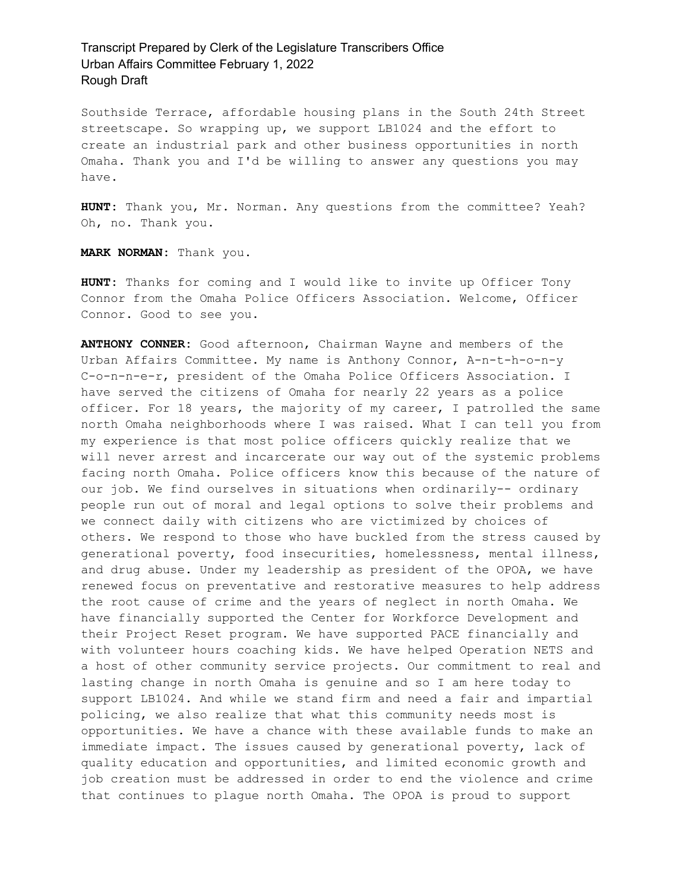Southside Terrace, affordable housing plans in the South 24th Street streetscape. So wrapping up, we support LB1024 and the effort to create an industrial park and other business opportunities in north Omaha. Thank you and I'd be willing to answer any questions you may have.

**HUNT:** Thank you, Mr. Norman. Any questions from the committee? Yeah? Oh, no. Thank you.

**MARK NORMAN:** Thank you.

**HUNT:** Thanks for coming and I would like to invite up Officer Tony Connor from the Omaha Police Officers Association. Welcome, Officer Connor. Good to see you.

**ANTHONY CONNER:** Good afternoon, Chairman Wayne and members of the Urban Affairs Committee. My name is Anthony Connor, A-n-t-h-o-n-y C-o-n-n-e-r, president of the Omaha Police Officers Association. I have served the citizens of Omaha for nearly 22 years as a police officer. For 18 years, the majority of my career, I patrolled the same north Omaha neighborhoods where I was raised. What I can tell you from my experience is that most police officers quickly realize that we will never arrest and incarcerate our way out of the systemic problems facing north Omaha. Police officers know this because of the nature of our job. We find ourselves in situations when ordinarily-- ordinary people run out of moral and legal options to solve their problems and we connect daily with citizens who are victimized by choices of others. We respond to those who have buckled from the stress caused by generational poverty, food insecurities, homelessness, mental illness, and drug abuse. Under my leadership as president of the OPOA, we have renewed focus on preventative and restorative measures to help address the root cause of crime and the years of neglect in north Omaha. We have financially supported the Center for Workforce Development and their Project Reset program. We have supported PACE financially and with volunteer hours coaching kids. We have helped Operation NETS and a host of other community service projects. Our commitment to real and lasting change in north Omaha is genuine and so I am here today to support LB1024. And while we stand firm and need a fair and impartial policing, we also realize that what this community needs most is opportunities. We have a chance with these available funds to make an immediate impact. The issues caused by generational poverty, lack of quality education and opportunities, and limited economic growth and job creation must be addressed in order to end the violence and crime that continues to plague north Omaha. The OPOA is proud to support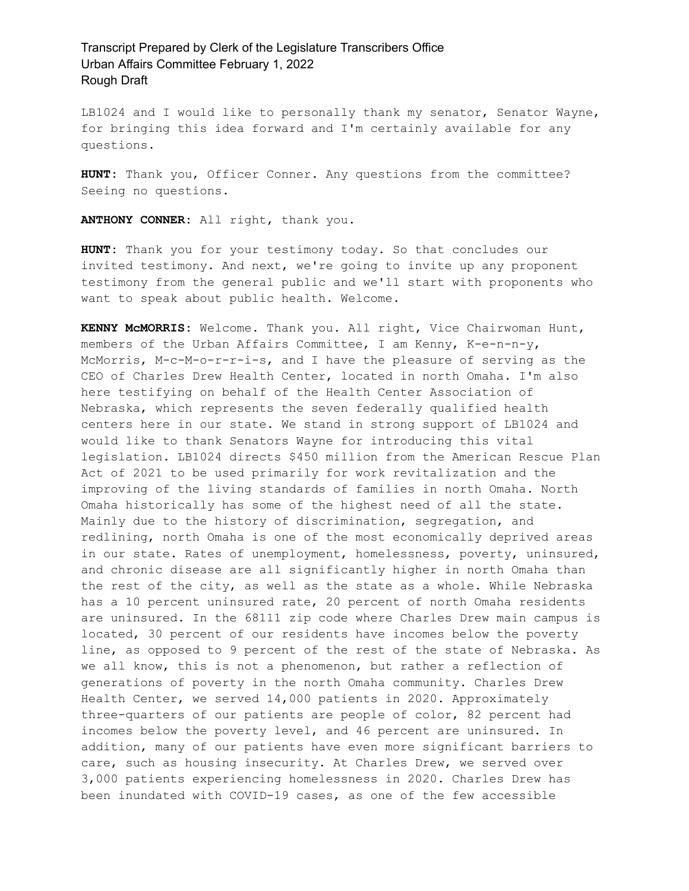LB1024 and I would like to personally thank my senator, Senator Wayne, for bringing this idea forward and I'm certainly available for any questions.

**HUNT:** Thank you, Officer Conner. Any questions from the committee? Seeing no questions.

**ANTHONY CONNER:** All right, thank you.

**HUNT:** Thank you for your testimony today. So that concludes our invited testimony. And next, we're going to invite up any proponent testimony from the general public and we'll start with proponents who want to speak about public health. Welcome.

**KENNY McMORRIS:** Welcome. Thank you. All right, Vice Chairwoman Hunt, members of the Urban Affairs Committee, I am Kenny, K-e-n-n-y, McMorris, M-c-M-o-r-r-i-s, and I have the pleasure of serving as the CEO of Charles Drew Health Center, located in north Omaha. I'm also here testifying on behalf of the Health Center Association of Nebraska, which represents the seven federally qualified health centers here in our state. We stand in strong support of LB1024 and would like to thank Senators Wayne for introducing this vital legislation. LB1024 directs \$450 million from the American Rescue Plan Act of 2021 to be used primarily for work revitalization and the improving of the living standards of families in north Omaha. North Omaha historically has some of the highest need of all the state. Mainly due to the history of discrimination, segregation, and redlining, north Omaha is one of the most economically deprived areas in our state. Rates of unemployment, homelessness, poverty, uninsured, and chronic disease are all significantly higher in north Omaha than the rest of the city, as well as the state as a whole. While Nebraska has a 10 percent uninsured rate, 20 percent of north Omaha residents are uninsured. In the 68111 zip code where Charles Drew main campus is located, 30 percent of our residents have incomes below the poverty line, as opposed to 9 percent of the rest of the state of Nebraska. As we all know, this is not a phenomenon, but rather a reflection of generations of poverty in the north Omaha community. Charles Drew Health Center, we served 14,000 patients in 2020. Approximately three-quarters of our patients are people of color, 82 percent had incomes below the poverty level, and 46 percent are uninsured. In addition, many of our patients have even more significant barriers to care, such as housing insecurity. At Charles Drew, we served over 3,000 patients experiencing homelessness in 2020. Charles Drew has been inundated with COVID-19 cases, as one of the few accessible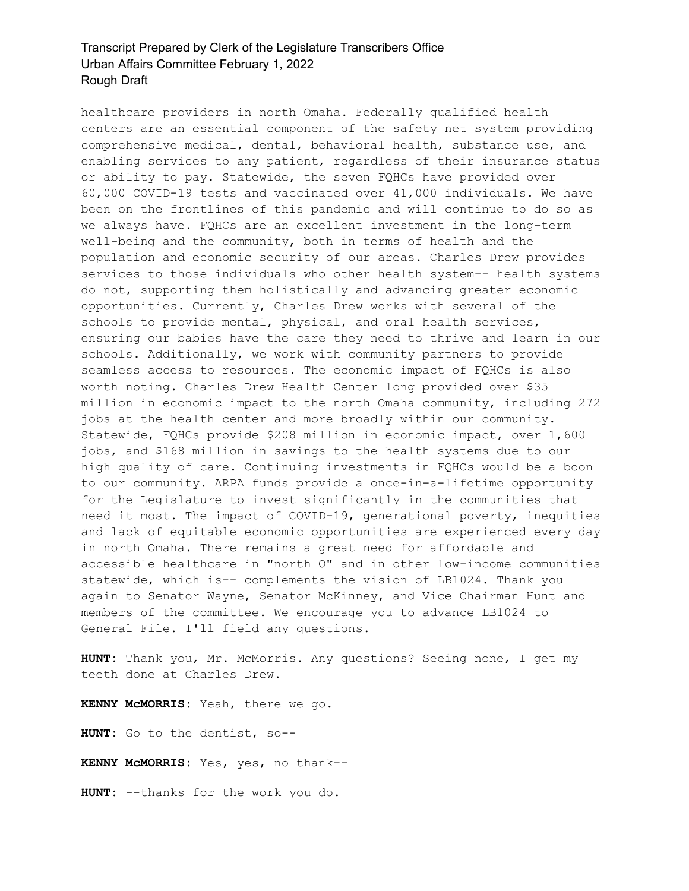healthcare providers in north Omaha. Federally qualified health centers are an essential component of the safety net system providing comprehensive medical, dental, behavioral health, substance use, and enabling services to any patient, regardless of their insurance status or ability to pay. Statewide, the seven FQHCs have provided over 60,000 COVID-19 tests and vaccinated over 41,000 individuals. We have been on the frontlines of this pandemic and will continue to do so as we always have. FQHCs are an excellent investment in the long-term well-being and the community, both in terms of health and the population and economic security of our areas. Charles Drew provides services to those individuals who other health system-- health systems do not, supporting them holistically and advancing greater economic opportunities. Currently, Charles Drew works with several of the schools to provide mental, physical, and oral health services, ensuring our babies have the care they need to thrive and learn in our schools. Additionally, we work with community partners to provide seamless access to resources. The economic impact of FQHCs is also worth noting. Charles Drew Health Center long provided over \$35 million in economic impact to the north Omaha community, including 272 jobs at the health center and more broadly within our community. Statewide, FQHCs provide \$208 million in economic impact, over 1,600 jobs, and \$168 million in savings to the health systems due to our high quality of care. Continuing investments in FQHCs would be a boon to our community. ARPA funds provide a once-in-a-lifetime opportunity for the Legislature to invest significantly in the communities that need it most. The impact of COVID-19, generational poverty, inequities and lack of equitable economic opportunities are experienced every day in north Omaha. There remains a great need for affordable and accessible healthcare in "north O" and in other low-income communities statewide, which is-- complements the vision of LB1024. Thank you again to Senator Wayne, Senator McKinney, and Vice Chairman Hunt and members of the committee. We encourage you to advance LB1024 to General File. I'll field any questions.

**HUNT:** Thank you, Mr. McMorris. Any questions? Seeing none, I get my teeth done at Charles Drew.

**KENNY McMORRIS:** Yeah, there we go.

**HUNT:** Go to the dentist, so--

**KENNY McMORRIS:** Yes, yes, no thank--

**HUNT:** --thanks for the work you do.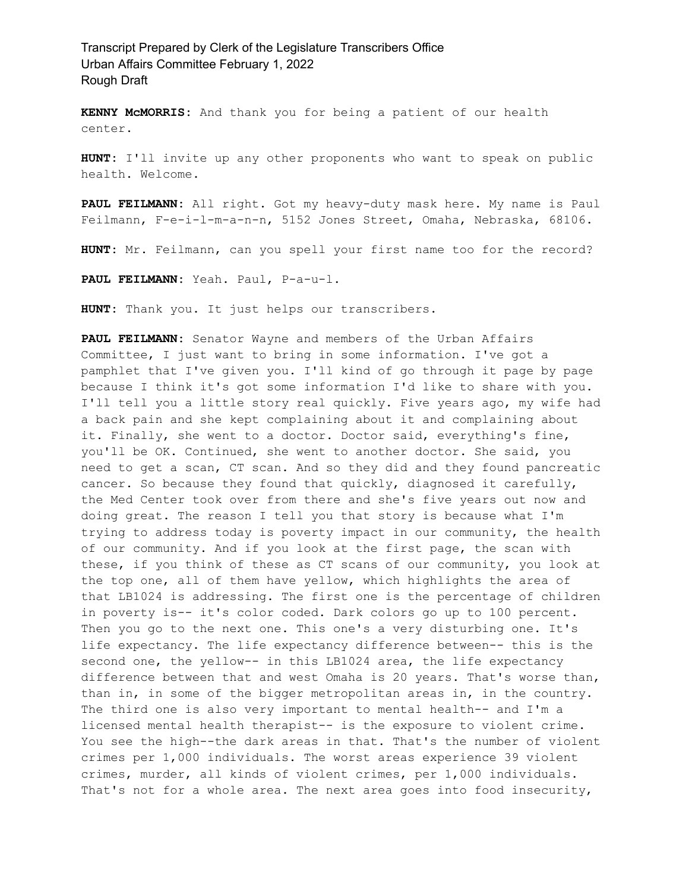**KENNY McMORRIS:** And thank you for being a patient of our health center.

**HUNT:** I'll invite up any other proponents who want to speak on public health. Welcome.

**PAUL FEILMANN:** All right. Got my heavy-duty mask here. My name is Paul Feilmann, F-e-i-l-m-a-n-n, 5152 Jones Street, Omaha, Nebraska, 68106.

**HUNT:** Mr. Feilmann, can you spell your first name too for the record?

PAUL FEILMANN: Yeah. Paul, P-a-u-l.

**HUNT:** Thank you. It just helps our transcribers.

**PAUL FEILMANN:** Senator Wayne and members of the Urban Affairs Committee, I just want to bring in some information. I've got a pamphlet that I've given you. I'll kind of go through it page by page because I think it's got some information I'd like to share with you. I'll tell you a little story real quickly. Five years ago, my wife had a back pain and she kept complaining about it and complaining about it. Finally, she went to a doctor. Doctor said, everything's fine, you'll be OK. Continued, she went to another doctor. She said, you need to get a scan, CT scan. And so they did and they found pancreatic cancer. So because they found that quickly, diagnosed it carefully, the Med Center took over from there and she's five years out now and doing great. The reason I tell you that story is because what I'm trying to address today is poverty impact in our community, the health of our community. And if you look at the first page, the scan with these, if you think of these as CT scans of our community, you look at the top one, all of them have yellow, which highlights the area of that LB1024 is addressing. The first one is the percentage of children in poverty is-- it's color coded. Dark colors go up to 100 percent. Then you go to the next one. This one's a very disturbing one. It's life expectancy. The life expectancy difference between-- this is the second one, the yellow-- in this LB1024 area, the life expectancy difference between that and west Omaha is 20 years. That's worse than, than in, in some of the bigger metropolitan areas in, in the country. The third one is also very important to mental health-- and I'm a licensed mental health therapist-- is the exposure to violent crime. You see the high--the dark areas in that. That's the number of violent crimes per 1,000 individuals. The worst areas experience 39 violent crimes, murder, all kinds of violent crimes, per 1,000 individuals. That's not for a whole area. The next area goes into food insecurity,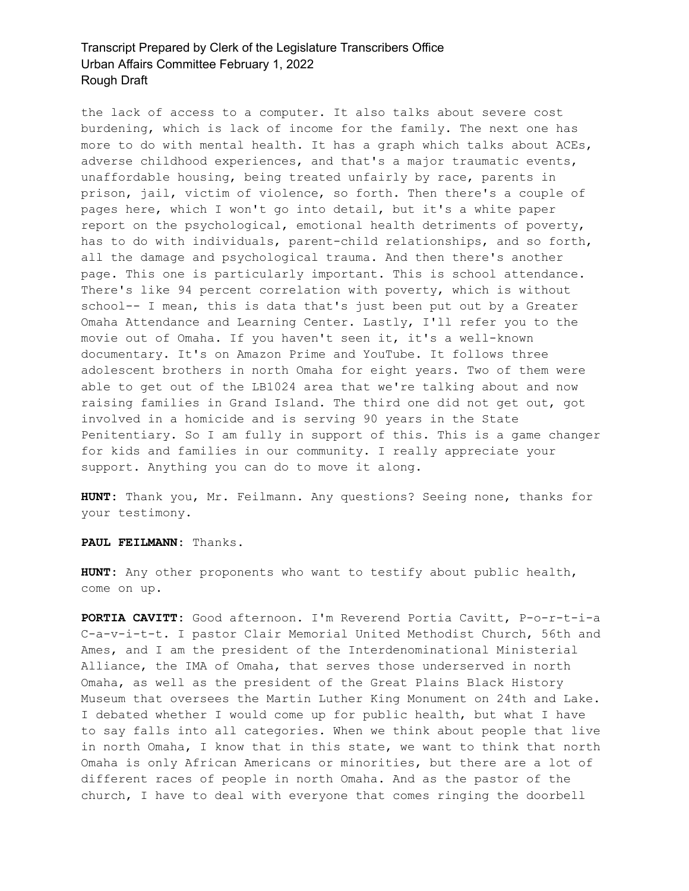the lack of access to a computer. It also talks about severe cost burdening, which is lack of income for the family. The next one has more to do with mental health. It has a graph which talks about ACEs, adverse childhood experiences, and that's a major traumatic events, unaffordable housing, being treated unfairly by race, parents in prison, jail, victim of violence, so forth. Then there's a couple of pages here, which I won't go into detail, but it's a white paper report on the psychological, emotional health detriments of poverty, has to do with individuals, parent-child relationships, and so forth, all the damage and psychological trauma. And then there's another page. This one is particularly important. This is school attendance. There's like 94 percent correlation with poverty, which is without school-- I mean, this is data that's just been put out by a Greater Omaha Attendance and Learning Center. Lastly, I'll refer you to the movie out of Omaha. If you haven't seen it, it's a well-known documentary. It's on Amazon Prime and YouTube. It follows three adolescent brothers in north Omaha for eight years. Two of them were able to get out of the LB1024 area that we're talking about and now raising families in Grand Island. The third one did not get out, got involved in a homicide and is serving 90 years in the State Penitentiary. So I am fully in support of this. This is a game changer for kids and families in our community. I really appreciate your support. Anything you can do to move it along.

**HUNT:** Thank you, Mr. Feilmann. Any questions? Seeing none, thanks for your testimony.

**PAUL FEILMANN:** Thanks.

**HUNT:** Any other proponents who want to testify about public health, come on up.

**PORTIA CAVITT:** Good afternoon. I'm Reverend Portia Cavitt, P-o-r-t-i-a C-a-v-i-t-t. I pastor Clair Memorial United Methodist Church, 56th and Ames, and I am the president of the Interdenominational Ministerial Alliance, the IMA of Omaha, that serves those underserved in north Omaha, as well as the president of the Great Plains Black History Museum that oversees the Martin Luther King Monument on 24th and Lake. I debated whether I would come up for public health, but what I have to say falls into all categories. When we think about people that live in north Omaha, I know that in this state, we want to think that north Omaha is only African Americans or minorities, but there are a lot of different races of people in north Omaha. And as the pastor of the church, I have to deal with everyone that comes ringing the doorbell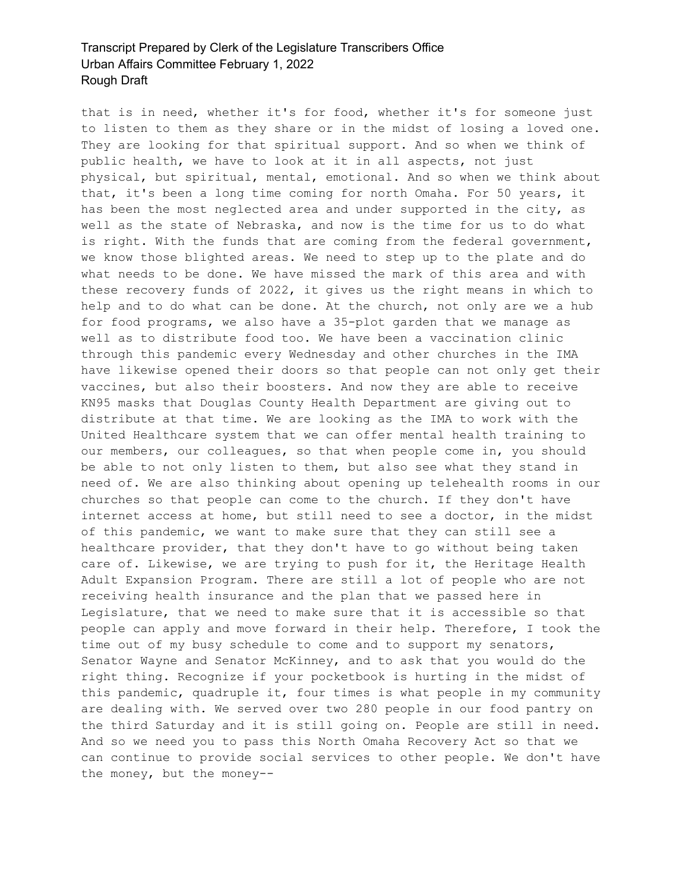that is in need, whether it's for food, whether it's for someone just to listen to them as they share or in the midst of losing a loved one. They are looking for that spiritual support. And so when we think of public health, we have to look at it in all aspects, not just physical, but spiritual, mental, emotional. And so when we think about that, it's been a long time coming for north Omaha. For 50 years, it has been the most neglected area and under supported in the city, as well as the state of Nebraska, and now is the time for us to do what is right. With the funds that are coming from the federal government, we know those blighted areas. We need to step up to the plate and do what needs to be done. We have missed the mark of this area and with these recovery funds of 2022, it gives us the right means in which to help and to do what can be done. At the church, not only are we a hub for food programs, we also have a 35-plot garden that we manage as well as to distribute food too. We have been a vaccination clinic through this pandemic every Wednesday and other churches in the IMA have likewise opened their doors so that people can not only get their vaccines, but also their boosters. And now they are able to receive KN95 masks that Douglas County Health Department are giving out to distribute at that time. We are looking as the IMA to work with the United Healthcare system that we can offer mental health training to our members, our colleagues, so that when people come in, you should be able to not only listen to them, but also see what they stand in need of. We are also thinking about opening up telehealth rooms in our churches so that people can come to the church. If they don't have internet access at home, but still need to see a doctor, in the midst of this pandemic, we want to make sure that they can still see a healthcare provider, that they don't have to go without being taken care of. Likewise, we are trying to push for it, the Heritage Health Adult Expansion Program. There are still a lot of people who are not receiving health insurance and the plan that we passed here in Legislature, that we need to make sure that it is accessible so that people can apply and move forward in their help. Therefore, I took the time out of my busy schedule to come and to support my senators, Senator Wayne and Senator McKinney, and to ask that you would do the right thing. Recognize if your pocketbook is hurting in the midst of this pandemic, quadruple it, four times is what people in my community are dealing with. We served over two 280 people in our food pantry on the third Saturday and it is still going on. People are still in need. And so we need you to pass this North Omaha Recovery Act so that we can continue to provide social services to other people. We don't have the money, but the money--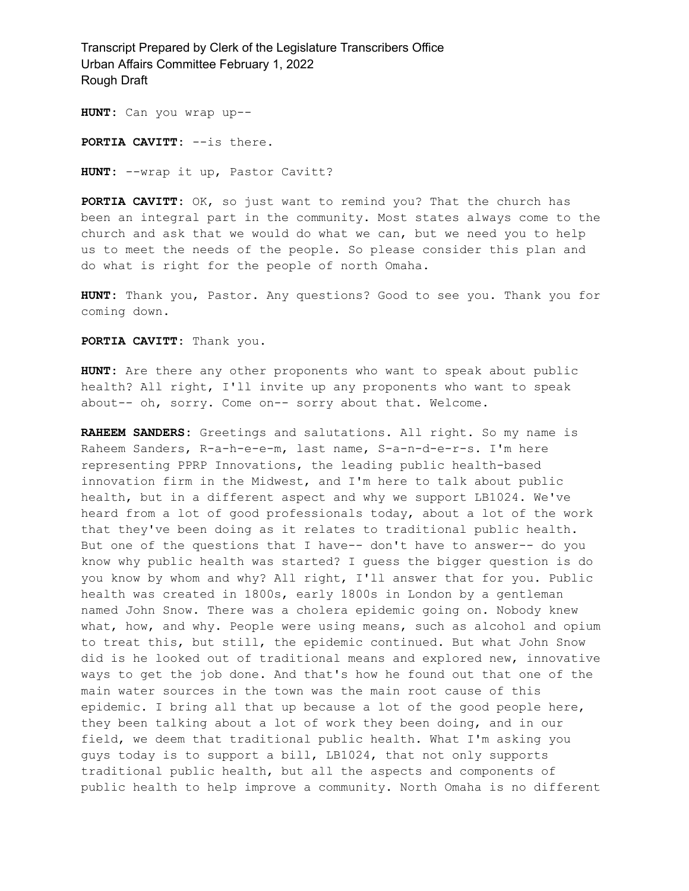**HUNT:** Can you wrap up--

**PORTIA CAVITT:** --is there.

**HUNT:** --wrap it up, Pastor Cavitt?

**PORTIA CAVITT:** OK, so just want to remind you? That the church has been an integral part in the community. Most states always come to the church and ask that we would do what we can, but we need you to help us to meet the needs of the people. So please consider this plan and do what is right for the people of north Omaha.

**HUNT:** Thank you, Pastor. Any questions? Good to see you. Thank you for coming down.

**PORTIA CAVITT:** Thank you.

**HUNT:** Are there any other proponents who want to speak about public health? All right, I'll invite up any proponents who want to speak about-- oh, sorry. Come on-- sorry about that. Welcome.

**RAHEEM SANDERS:** Greetings and salutations. All right. So my name is Raheem Sanders, R-a-h-e-e-m, last name, S-a-n-d-e-r-s. I'm here representing PPRP Innovations, the leading public health-based innovation firm in the Midwest, and I'm here to talk about public health, but in a different aspect and why we support LB1024. We've heard from a lot of good professionals today, about a lot of the work that they've been doing as it relates to traditional public health. But one of the questions that I have-- don't have to answer-- do you know why public health was started? I guess the bigger question is do you know by whom and why? All right, I'll answer that for you. Public health was created in 1800s, early 1800s in London by a gentleman named John Snow. There was a cholera epidemic going on. Nobody knew what, how, and why. People were using means, such as alcohol and opium to treat this, but still, the epidemic continued. But what John Snow did is he looked out of traditional means and explored new, innovative ways to get the job done. And that's how he found out that one of the main water sources in the town was the main root cause of this epidemic. I bring all that up because a lot of the good people here, they been talking about a lot of work they been doing, and in our field, we deem that traditional public health. What I'm asking you guys today is to support a bill, LB1024, that not only supports traditional public health, but all the aspects and components of public health to help improve a community. North Omaha is no different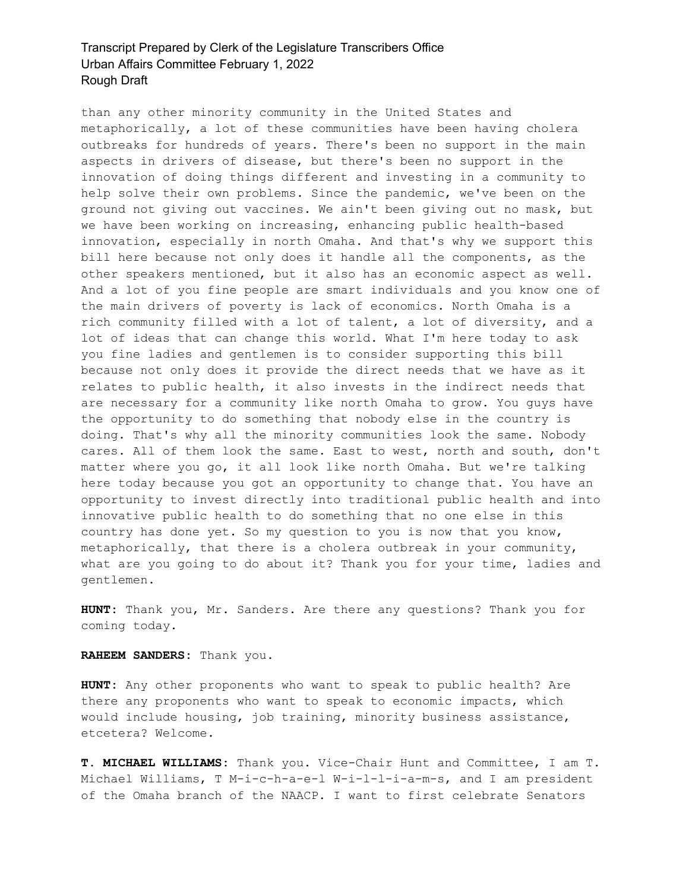than any other minority community in the United States and metaphorically, a lot of these communities have been having cholera outbreaks for hundreds of years. There's been no support in the main aspects in drivers of disease, but there's been no support in the innovation of doing things different and investing in a community to help solve their own problems. Since the pandemic, we've been on the ground not giving out vaccines. We ain't been giving out no mask, but we have been working on increasing, enhancing public health-based innovation, especially in north Omaha. And that's why we support this bill here because not only does it handle all the components, as the other speakers mentioned, but it also has an economic aspect as well. And a lot of you fine people are smart individuals and you know one of the main drivers of poverty is lack of economics. North Omaha is a rich community filled with a lot of talent, a lot of diversity, and a lot of ideas that can change this world. What I'm here today to ask you fine ladies and gentlemen is to consider supporting this bill because not only does it provide the direct needs that we have as it relates to public health, it also invests in the indirect needs that are necessary for a community like north Omaha to grow. You guys have the opportunity to do something that nobody else in the country is doing. That's why all the minority communities look the same. Nobody cares. All of them look the same. East to west, north and south, don't matter where you go, it all look like north Omaha. But we're talking here today because you got an opportunity to change that. You have an opportunity to invest directly into traditional public health and into innovative public health to do something that no one else in this country has done yet. So my question to you is now that you know, metaphorically, that there is a cholera outbreak in your community, what are you going to do about it? Thank you for your time, ladies and gentlemen.

**HUNT:** Thank you, Mr. Sanders. Are there any questions? Thank you for coming today.

#### **RAHEEM SANDERS:** Thank you.

**HUNT:** Any other proponents who want to speak to public health? Are there any proponents who want to speak to economic impacts, which would include housing, job training, minority business assistance, etcetera? Welcome.

**T. MICHAEL WILLIAMS:** Thank you. Vice-Chair Hunt and Committee, I am T. Michael Williams, T M-i-c-h-a-e-l W-i-l-l-i-a-m-s, and I am president of the Omaha branch of the NAACP. I want to first celebrate Senators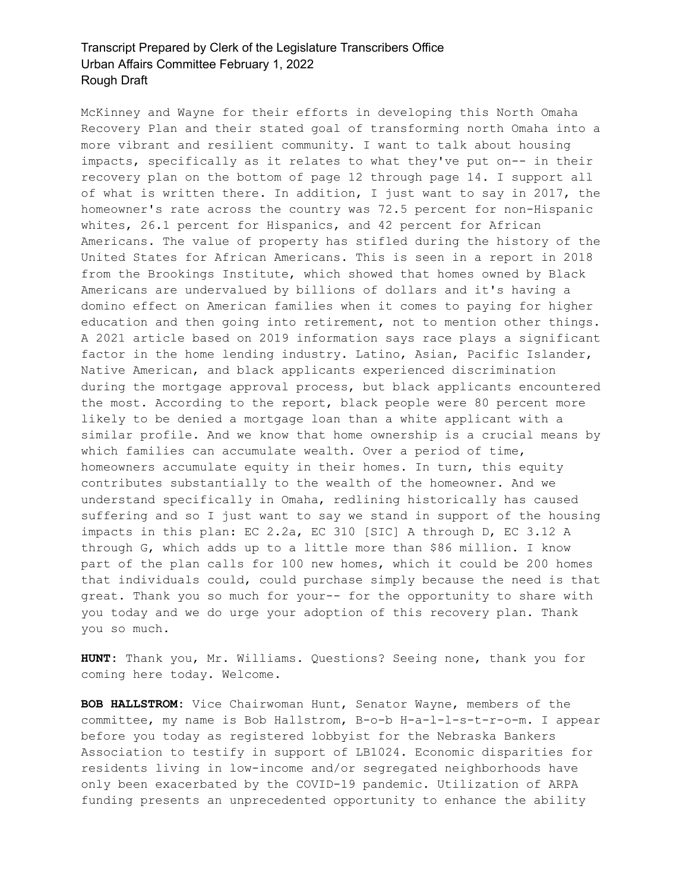McKinney and Wayne for their efforts in developing this North Omaha Recovery Plan and their stated goal of transforming north Omaha into a more vibrant and resilient community. I want to talk about housing impacts, specifically as it relates to what they've put on-- in their recovery plan on the bottom of page 12 through page 14. I support all of what is written there. In addition, I just want to say in 2017, the homeowner's rate across the country was 72.5 percent for non-Hispanic whites, 26.1 percent for Hispanics, and 42 percent for African Americans. The value of property has stifled during the history of the United States for African Americans. This is seen in a report in 2018 from the Brookings Institute, which showed that homes owned by Black Americans are undervalued by billions of dollars and it's having a domino effect on American families when it comes to paying for higher education and then going into retirement, not to mention other things. A 2021 article based on 2019 information says race plays a significant factor in the home lending industry. Latino, Asian, Pacific Islander, Native American, and black applicants experienced discrimination during the mortgage approval process, but black applicants encountered the most. According to the report, black people were 80 percent more likely to be denied a mortgage loan than a white applicant with a similar profile. And we know that home ownership is a crucial means by which families can accumulate wealth. Over a period of time, homeowners accumulate equity in their homes. In turn, this equity contributes substantially to the wealth of the homeowner. And we understand specifically in Omaha, redlining historically has caused suffering and so I just want to say we stand in support of the housing impacts in this plan: EC 2.2a, EC 310 [SIC] A through D, EC 3.12 A through G, which adds up to a little more than \$86 million. I know part of the plan calls for 100 new homes, which it could be 200 homes that individuals could, could purchase simply because the need is that great. Thank you so much for your-- for the opportunity to share with you today and we do urge your adoption of this recovery plan. Thank you so much.

**HUNT:** Thank you, Mr. Williams. Questions? Seeing none, thank you for coming here today. Welcome.

**BOB HALLSTROM:** Vice Chairwoman Hunt, Senator Wayne, members of the committee, my name is Bob Hallstrom, B-o-b H-a-l-l-s-t-r-o-m. I appear before you today as registered lobbyist for the Nebraska Bankers Association to testify in support of LB1024. Economic disparities for residents living in low-income and/or segregated neighborhoods have only been exacerbated by the COVID-19 pandemic. Utilization of ARPA funding presents an unprecedented opportunity to enhance the ability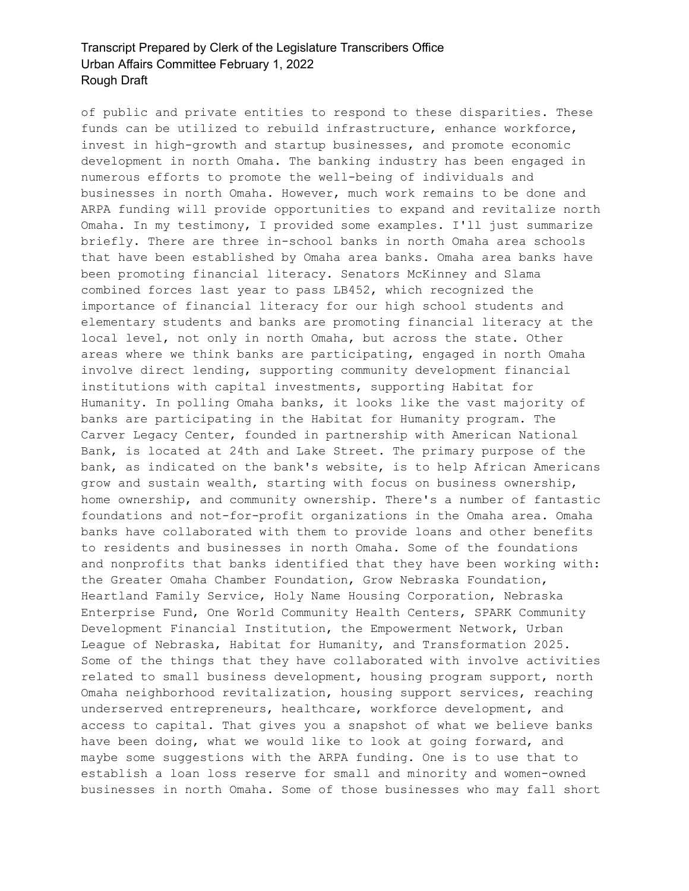of public and private entities to respond to these disparities. These funds can be utilized to rebuild infrastructure, enhance workforce, invest in high-growth and startup businesses, and promote economic development in north Omaha. The banking industry has been engaged in numerous efforts to promote the well-being of individuals and businesses in north Omaha. However, much work remains to be done and ARPA funding will provide opportunities to expand and revitalize north Omaha. In my testimony, I provided some examples. I'll just summarize briefly. There are three in-school banks in north Omaha area schools that have been established by Omaha area banks. Omaha area banks have been promoting financial literacy. Senators McKinney and Slama combined forces last year to pass LB452, which recognized the importance of financial literacy for our high school students and elementary students and banks are promoting financial literacy at the local level, not only in north Omaha, but across the state. Other areas where we think banks are participating, engaged in north Omaha involve direct lending, supporting community development financial institutions with capital investments, supporting Habitat for Humanity. In polling Omaha banks, it looks like the vast majority of banks are participating in the Habitat for Humanity program. The Carver Legacy Center, founded in partnership with American National Bank, is located at 24th and Lake Street. The primary purpose of the bank, as indicated on the bank's website, is to help African Americans grow and sustain wealth, starting with focus on business ownership, home ownership, and community ownership. There's a number of fantastic foundations and not-for-profit organizations in the Omaha area. Omaha banks have collaborated with them to provide loans and other benefits to residents and businesses in north Omaha. Some of the foundations and nonprofits that banks identified that they have been working with: the Greater Omaha Chamber Foundation, Grow Nebraska Foundation, Heartland Family Service, Holy Name Housing Corporation, Nebraska Enterprise Fund, One World Community Health Centers, SPARK Community Development Financial Institution, the Empowerment Network, Urban League of Nebraska, Habitat for Humanity, and Transformation 2025. Some of the things that they have collaborated with involve activities related to small business development, housing program support, north Omaha neighborhood revitalization, housing support services, reaching underserved entrepreneurs, healthcare, workforce development, and access to capital. That gives you a snapshot of what we believe banks have been doing, what we would like to look at going forward, and maybe some suggestions with the ARPA funding. One is to use that to establish a loan loss reserve for small and minority and women-owned businesses in north Omaha. Some of those businesses who may fall short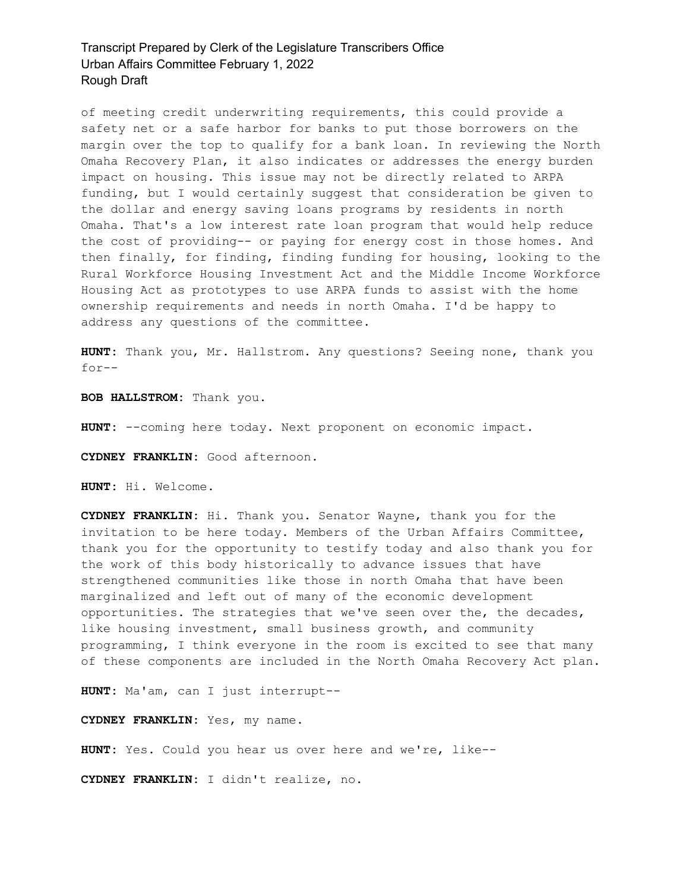of meeting credit underwriting requirements, this could provide a safety net or a safe harbor for banks to put those borrowers on the margin over the top to qualify for a bank loan. In reviewing the North Omaha Recovery Plan, it also indicates or addresses the energy burden impact on housing. This issue may not be directly related to ARPA funding, but I would certainly suggest that consideration be given to the dollar and energy saving loans programs by residents in north Omaha. That's a low interest rate loan program that would help reduce the cost of providing-- or paying for energy cost in those homes. And then finally, for finding, finding funding for housing, looking to the Rural Workforce Housing Investment Act and the Middle Income Workforce Housing Act as prototypes to use ARPA funds to assist with the home ownership requirements and needs in north Omaha. I'd be happy to address any questions of the committee.

**HUNT:** Thank you, Mr. Hallstrom. Any questions? Seeing none, thank you for--

**BOB HALLSTROM:** Thank you.

**HUNT:** --coming here today. Next proponent on economic impact.

**CYDNEY FRANKLIN:** Good afternoon.

**HUNT:** Hi. Welcome.

**CYDNEY FRANKLIN:** Hi. Thank you. Senator Wayne, thank you for the invitation to be here today. Members of the Urban Affairs Committee, thank you for the opportunity to testify today and also thank you for the work of this body historically to advance issues that have strengthened communities like those in north Omaha that have been marginalized and left out of many of the economic development opportunities. The strategies that we've seen over the, the decades, like housing investment, small business growth, and community programming, I think everyone in the room is excited to see that many of these components are included in the North Omaha Recovery Act plan.

**HUNT:** Ma'am, can I just interrupt--

**CYDNEY FRANKLIN:** Yes, my name.

**HUNT:** Yes. Could you hear us over here and we're, like--

**CYDNEY FRANKLIN:** I didn't realize, no.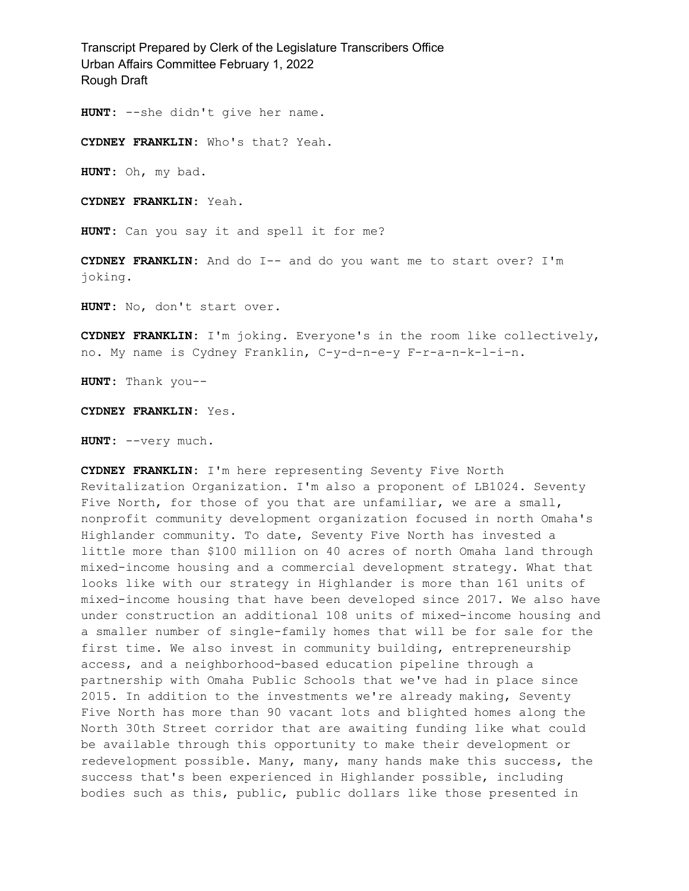**HUNT:** --she didn't give her name.

**CYDNEY FRANKLIN:** Who's that? Yeah.

**HUNT:** Oh, my bad.

**CYDNEY FRANKLIN:** Yeah.

**HUNT:** Can you say it and spell it for me?

**CYDNEY FRANKLIN:** And do I-- and do you want me to start over? I'm joking.

**HUNT:** No, don't start over.

**CYDNEY FRANKLIN:** I'm joking. Everyone's in the room like collectively, no. My name is Cydney Franklin, C-y-d-n-e-y F-r-a-n-k-l-i-n.

**HUNT:** Thank you--

**CYDNEY FRANKLIN:** Yes.

**HUNT:** --very much.

**CYDNEY FRANKLIN:** I'm here representing Seventy Five North Revitalization Organization. I'm also a proponent of LB1024. Seventy Five North, for those of you that are unfamiliar, we are a small, nonprofit community development organization focused in north Omaha's Highlander community. To date, Seventy Five North has invested a little more than \$100 million on 40 acres of north Omaha land through mixed-income housing and a commercial development strategy. What that looks like with our strategy in Highlander is more than 161 units of mixed-income housing that have been developed since 2017. We also have under construction an additional 108 units of mixed-income housing and a smaller number of single-family homes that will be for sale for the first time. We also invest in community building, entrepreneurship access, and a neighborhood-based education pipeline through a partnership with Omaha Public Schools that we've had in place since 2015. In addition to the investments we're already making, Seventy Five North has more than 90 vacant lots and blighted homes along the North 30th Street corridor that are awaiting funding like what could be available through this opportunity to make their development or redevelopment possible. Many, many, many hands make this success, the success that's been experienced in Highlander possible, including bodies such as this, public, public dollars like those presented in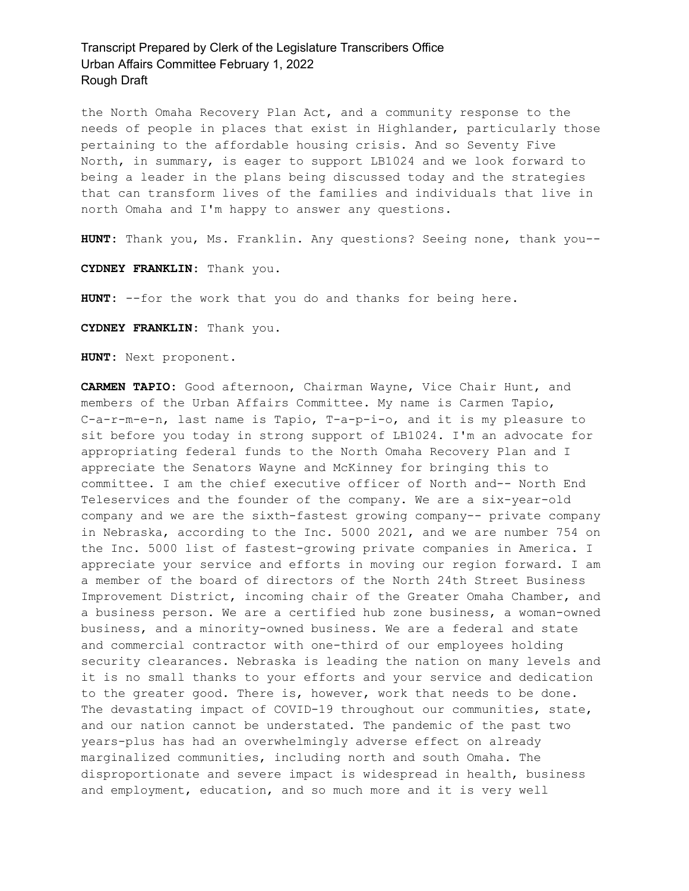the North Omaha Recovery Plan Act, and a community response to the needs of people in places that exist in Highlander, particularly those pertaining to the affordable housing crisis. And so Seventy Five North, in summary, is eager to support LB1024 and we look forward to being a leader in the plans being discussed today and the strategies that can transform lives of the families and individuals that live in north Omaha and I'm happy to answer any questions.

**HUNT:** Thank you, Ms. Franklin. Any questions? Seeing none, thank you--

**CYDNEY FRANKLIN:** Thank you.

**HUNT:** --for the work that you do and thanks for being here.

**CYDNEY FRANKLIN:** Thank you.

**HUNT:** Next proponent.

**CARMEN TAPIO:** Good afternoon, Chairman Wayne, Vice Chair Hunt, and members of the Urban Affairs Committee. My name is Carmen Tapio, C-a-r-m-e-n, last name is Tapio, T-a-p-i-o, and it is my pleasure to sit before you today in strong support of LB1024. I'm an advocate for appropriating federal funds to the North Omaha Recovery Plan and I appreciate the Senators Wayne and McKinney for bringing this to committee. I am the chief executive officer of North and-- North End Teleservices and the founder of the company. We are a six-year-old company and we are the sixth-fastest growing company-- private company in Nebraska, according to the Inc. 5000 2021, and we are number 754 on the Inc. 5000 list of fastest-growing private companies in America. I appreciate your service and efforts in moving our region forward. I am a member of the board of directors of the North 24th Street Business Improvement District, incoming chair of the Greater Omaha Chamber, and a business person. We are a certified hub zone business, a woman-owned business, and a minority-owned business. We are a federal and state and commercial contractor with one-third of our employees holding security clearances. Nebraska is leading the nation on many levels and it is no small thanks to your efforts and your service and dedication to the greater good. There is, however, work that needs to be done. The devastating impact of COVID-19 throughout our communities, state, and our nation cannot be understated. The pandemic of the past two years-plus has had an overwhelmingly adverse effect on already marginalized communities, including north and south Omaha. The disproportionate and severe impact is widespread in health, business and employment, education, and so much more and it is very well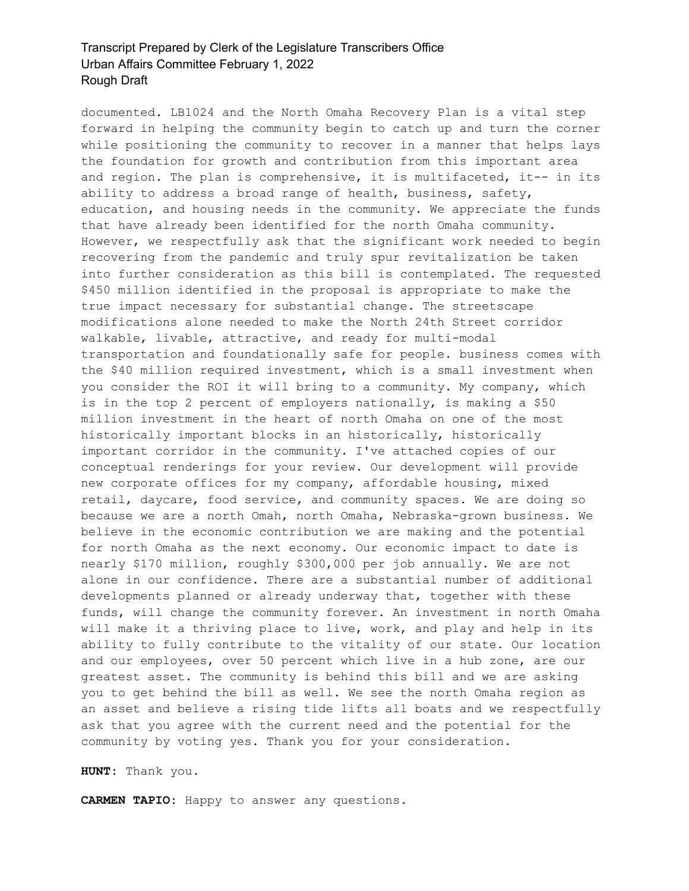documented. LB1024 and the North Omaha Recovery Plan is a vital step forward in helping the community begin to catch up and turn the corner while positioning the community to recover in a manner that helps lays the foundation for growth and contribution from this important area and region. The plan is comprehensive, it is multifaceted, it-- in its ability to address a broad range of health, business, safety, education, and housing needs in the community. We appreciate the funds that have already been identified for the north Omaha community. However, we respectfully ask that the significant work needed to begin recovering from the pandemic and truly spur revitalization be taken into further consideration as this bill is contemplated. The requested \$450 million identified in the proposal is appropriate to make the true impact necessary for substantial change. The streetscape modifications alone needed to make the North 24th Street corridor walkable, livable, attractive, and ready for multi-modal transportation and foundationally safe for people. business comes with the \$40 million required investment, which is a small investment when you consider the ROI it will bring to a community. My company, which is in the top 2 percent of employers nationally, is making a \$50 million investment in the heart of north Omaha on one of the most historically important blocks in an historically, historically important corridor in the community. I've attached copies of our conceptual renderings for your review. Our development will provide new corporate offices for my company, affordable housing, mixed retail, daycare, food service, and community spaces. We are doing so because we are a north Omah, north Omaha, Nebraska-grown business. We believe in the economic contribution we are making and the potential for north Omaha as the next economy. Our economic impact to date is nearly \$170 million, roughly \$300,000 per job annually. We are not alone in our confidence. There are a substantial number of additional developments planned or already underway that, together with these funds, will change the community forever. An investment in north Omaha will make it a thriving place to live, work, and play and help in its ability to fully contribute to the vitality of our state. Our location and our employees, over 50 percent which live in a hub zone, are our greatest asset. The community is behind this bill and we are asking you to get behind the bill as well. We see the north Omaha region as an asset and believe a rising tide lifts all boats and we respectfully ask that you agree with the current need and the potential for the community by voting yes. Thank you for your consideration.

**HUNT:** Thank you.

**CARMEN TAPIO:** Happy to answer any questions.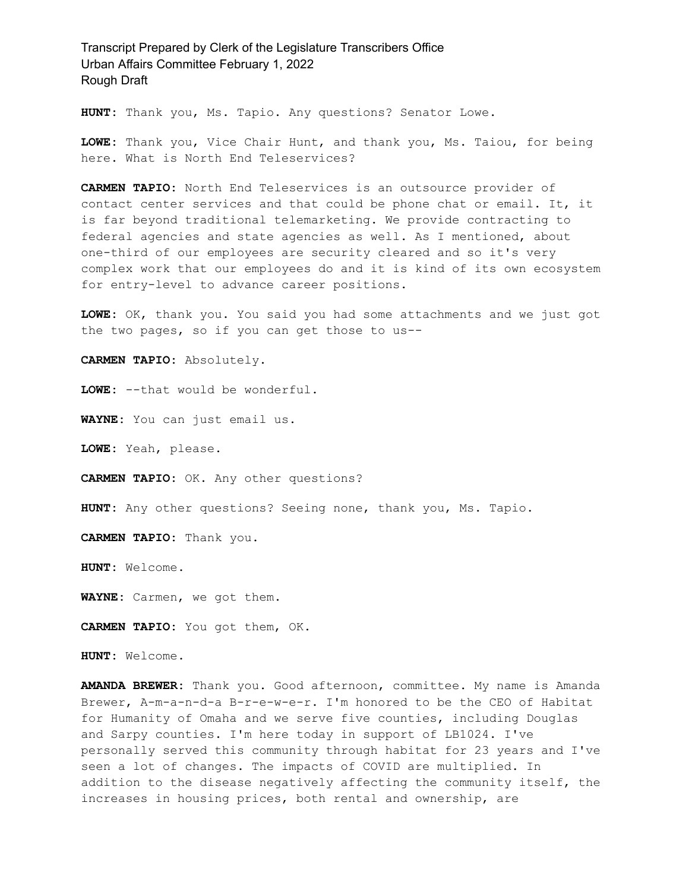**HUNT:** Thank you, Ms. Tapio. Any questions? Senator Lowe.

**LOWE:** Thank you, Vice Chair Hunt, and thank you, Ms. Taiou, for being here. What is North End Teleservices?

**CARMEN TAPIO:** North End Teleservices is an outsource provider of contact center services and that could be phone chat or email. It, it is far beyond traditional telemarketing. We provide contracting to federal agencies and state agencies as well. As I mentioned, about one-third of our employees are security cleared and so it's very complex work that our employees do and it is kind of its own ecosystem for entry-level to advance career positions.

**LOWE:** OK, thank you. You said you had some attachments and we just got the two pages, so if you can get those to us--

**CARMEN TAPIO:** Absolutely.

**LOWE:** --that would be wonderful.

**WAYNE:** You can just email us.

**LOWE:** Yeah, please.

**CARMEN TAPIO:** OK. Any other questions?

**HUNT:** Any other questions? Seeing none, thank you, Ms. Tapio.

**CARMEN TAPIO:** Thank you.

**HUNT:** Welcome.

**WAYNE:** Carmen, we got them.

**CARMEN TAPIO:** You got them, OK.

**HUNT:** Welcome.

**AMANDA BREWER:** Thank you. Good afternoon, committee. My name is Amanda Brewer, A-m-a-n-d-a B-r-e-w-e-r. I'm honored to be the CEO of Habitat for Humanity of Omaha and we serve five counties, including Douglas and Sarpy counties. I'm here today in support of LB1024. I've personally served this community through habitat for 23 years and I've seen a lot of changes. The impacts of COVID are multiplied. In addition to the disease negatively affecting the community itself, the increases in housing prices, both rental and ownership, are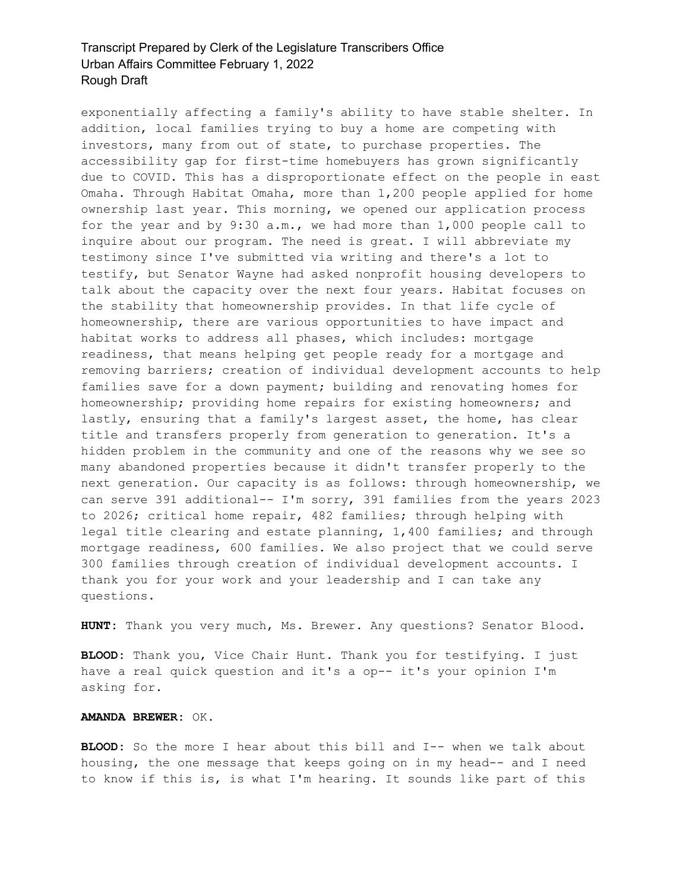exponentially affecting a family's ability to have stable shelter. In addition, local families trying to buy a home are competing with investors, many from out of state, to purchase properties. The accessibility gap for first-time homebuyers has grown significantly due to COVID. This has a disproportionate effect on the people in east Omaha. Through Habitat Omaha, more than 1,200 people applied for home ownership last year. This morning, we opened our application process for the year and by 9:30 a.m., we had more than 1,000 people call to inquire about our program. The need is great. I will abbreviate my testimony since I've submitted via writing and there's a lot to testify, but Senator Wayne had asked nonprofit housing developers to talk about the capacity over the next four years. Habitat focuses on the stability that homeownership provides. In that life cycle of homeownership, there are various opportunities to have impact and habitat works to address all phases, which includes: mortgage readiness, that means helping get people ready for a mortgage and removing barriers; creation of individual development accounts to help families save for a down payment; building and renovating homes for homeownership; providing home repairs for existing homeowners; and lastly, ensuring that a family's largest asset, the home, has clear title and transfers properly from generation to generation. It's a hidden problem in the community and one of the reasons why we see so many abandoned properties because it didn't transfer properly to the next generation. Our capacity is as follows: through homeownership, we can serve 391 additional-- I'm sorry, 391 families from the years 2023 to 2026; critical home repair, 482 families; through helping with legal title clearing and estate planning, 1,400 families; and through mortgage readiness, 600 families. We also project that we could serve 300 families through creation of individual development accounts. I thank you for your work and your leadership and I can take any questions.

**HUNT:** Thank you very much, Ms. Brewer. Any questions? Senator Blood.

**BLOOD:** Thank you, Vice Chair Hunt. Thank you for testifying. I just have a real quick question and it's a op-- it's your opinion I'm asking for.

#### **AMANDA BREWER:** OK.

**BLOOD:** So the more I hear about this bill and I-- when we talk about housing, the one message that keeps going on in my head-- and I need to know if this is, is what I'm hearing. It sounds like part of this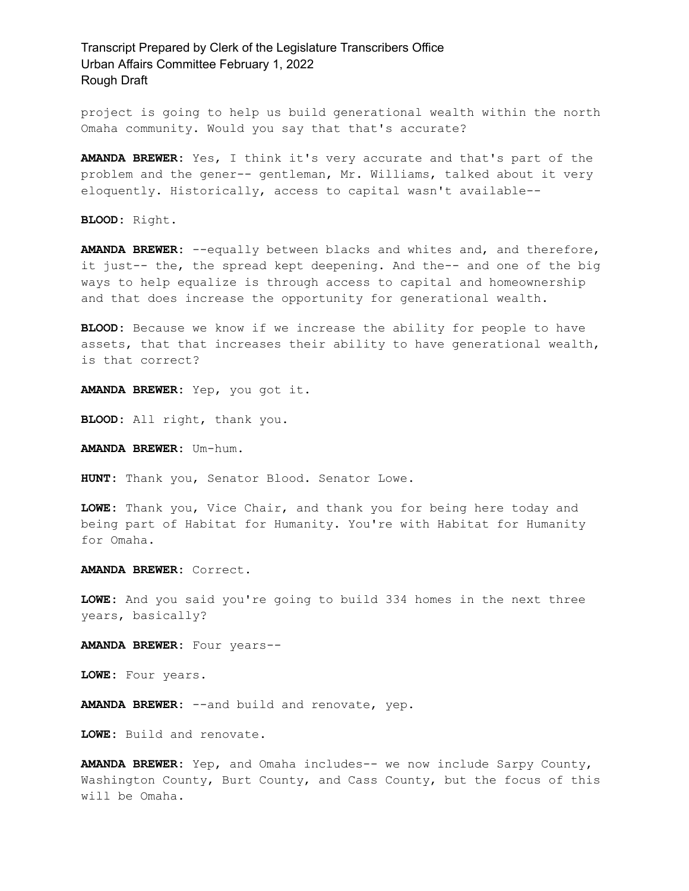project is going to help us build generational wealth within the north Omaha community. Would you say that that's accurate?

**AMANDA BREWER:** Yes, I think it's very accurate and that's part of the problem and the gener-- gentleman, Mr. Williams, talked about it very eloquently. Historically, access to capital wasn't available--

**BLOOD:** Right.

**AMANDA BREWER:** --equally between blacks and whites and, and therefore, it just-- the, the spread kept deepening. And the-- and one of the big ways to help equalize is through access to capital and homeownership and that does increase the opportunity for generational wealth.

**BLOOD:** Because we know if we increase the ability for people to have assets, that that increases their ability to have generational wealth, is that correct?

**AMANDA BREWER:** Yep, you got it.

**BLOOD:** All right, thank you.

**AMANDA BREWER:** Um-hum.

**HUNT:** Thank you, Senator Blood. Senator Lowe.

**LOWE:** Thank you, Vice Chair, and thank you for being here today and being part of Habitat for Humanity. You're with Habitat for Humanity for Omaha.

**AMANDA BREWER:** Correct.

**LOWE:** And you said you're going to build 334 homes in the next three years, basically?

**AMANDA BREWER:** Four years--

**LOWE:** Four years.

**AMANDA BREWER:** --and build and renovate, yep.

**LOWE:** Build and renovate.

**AMANDA BREWER:** Yep, and Omaha includes-- we now include Sarpy County, Washington County, Burt County, and Cass County, but the focus of this will be Omaha.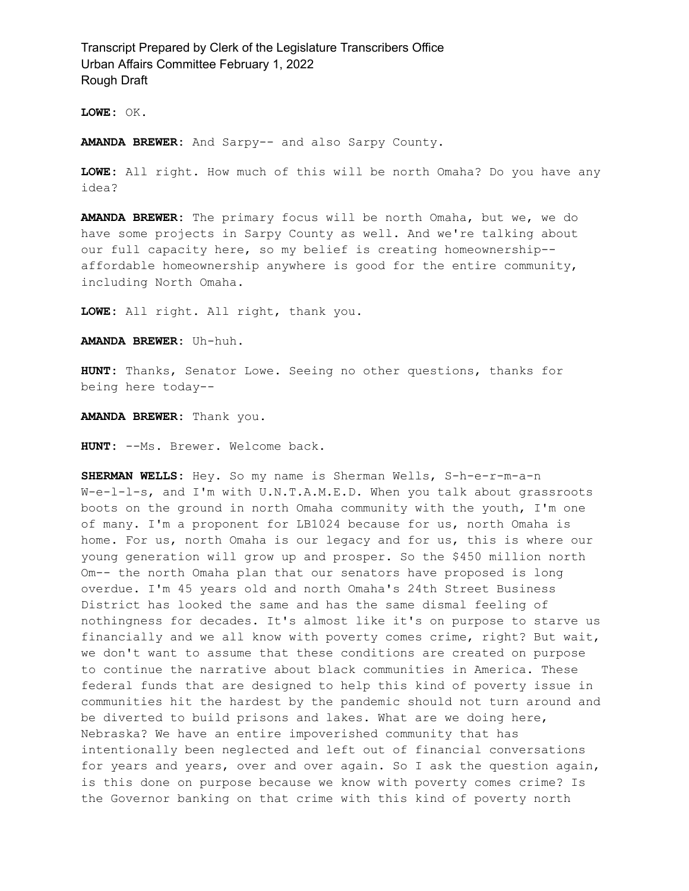**LOWE:** OK.

**AMANDA BREWER:** And Sarpy-- and also Sarpy County.

**LOWE:** All right. How much of this will be north Omaha? Do you have any idea?

**AMANDA BREWER:** The primary focus will be north Omaha, but we, we do have some projects in Sarpy County as well. And we're talking about our full capacity here, so my belief is creating homeownership- affordable homeownership anywhere is good for the entire community, including North Omaha.

**LOWE:** All right. All right, thank you.

**AMANDA BREWER:** Uh-huh.

**HUNT:** Thanks, Senator Lowe. Seeing no other questions, thanks for being here today--

**AMANDA BREWER:** Thank you.

**HUNT:** --Ms. Brewer. Welcome back.

**SHERMAN WELLS:** Hey. So my name is Sherman Wells, S-h-e-r-m-a-n W-e-l-l-s, and I'm with U.N.T.A.M.E.D. When you talk about grassroots boots on the ground in north Omaha community with the youth, I'm one of many. I'm a proponent for LB1024 because for us, north Omaha is home. For us, north Omaha is our legacy and for us, this is where our young generation will grow up and prosper. So the \$450 million north Om-- the north Omaha plan that our senators have proposed is long overdue. I'm 45 years old and north Omaha's 24th Street Business District has looked the same and has the same dismal feeling of nothingness for decades. It's almost like it's on purpose to starve us financially and we all know with poverty comes crime, right? But wait, we don't want to assume that these conditions are created on purpose to continue the narrative about black communities in America. These federal funds that are designed to help this kind of poverty issue in communities hit the hardest by the pandemic should not turn around and be diverted to build prisons and lakes. What are we doing here, Nebraska? We have an entire impoverished community that has intentionally been neglected and left out of financial conversations for years and years, over and over again. So I ask the question again, is this done on purpose because we know with poverty comes crime? Is the Governor banking on that crime with this kind of poverty north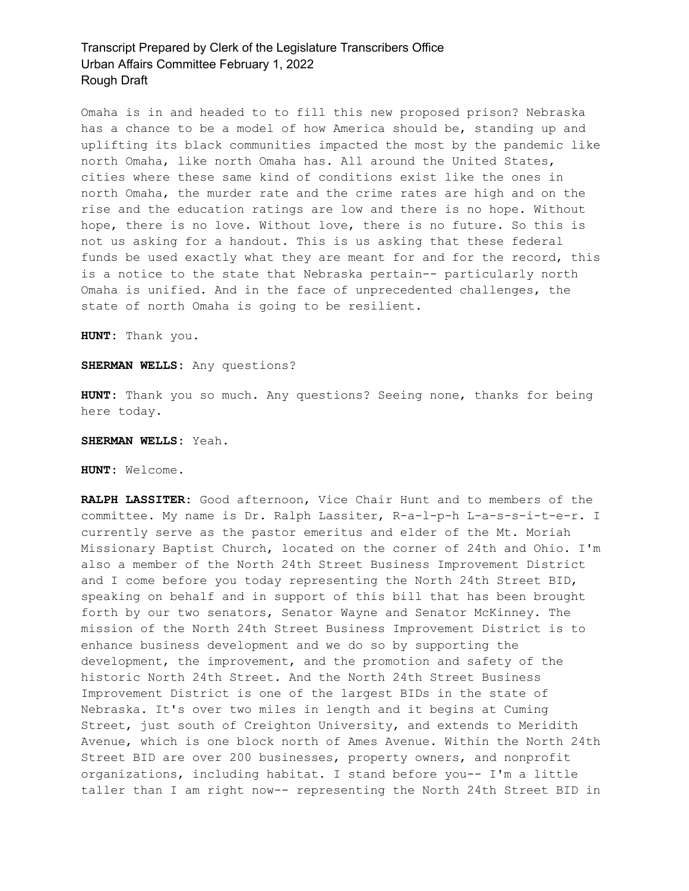Omaha is in and headed to to fill this new proposed prison? Nebraska has a chance to be a model of how America should be, standing up and uplifting its black communities impacted the most by the pandemic like north Omaha, like north Omaha has. All around the United States, cities where these same kind of conditions exist like the ones in north Omaha, the murder rate and the crime rates are high and on the rise and the education ratings are low and there is no hope. Without hope, there is no love. Without love, there is no future. So this is not us asking for a handout. This is us asking that these federal funds be used exactly what they are meant for and for the record, this is a notice to the state that Nebraska pertain-- particularly north Omaha is unified. And in the face of unprecedented challenges, the state of north Omaha is going to be resilient.

**HUNT:** Thank you.

#### **SHERMAN WELLS:** Any questions?

**HUNT:** Thank you so much. Any questions? Seeing none, thanks for being here today.

#### **SHERMAN WELLS:** Yeah.

**HUNT:** Welcome.

**RALPH LASSITER:** Good afternoon, Vice Chair Hunt and to members of the committee. My name is Dr. Ralph Lassiter, R-a-l-p-h L-a-s-s-i-t-e-r. I currently serve as the pastor emeritus and elder of the Mt. Moriah Missionary Baptist Church, located on the corner of 24th and Ohio. I'm also a member of the North 24th Street Business Improvement District and I come before you today representing the North 24th Street BID, speaking on behalf and in support of this bill that has been brought forth by our two senators, Senator Wayne and Senator McKinney. The mission of the North 24th Street Business Improvement District is to enhance business development and we do so by supporting the development, the improvement, and the promotion and safety of the historic North 24th Street. And the North 24th Street Business Improvement District is one of the largest BIDs in the state of Nebraska. It's over two miles in length and it begins at Cuming Street, just south of Creighton University, and extends to Meridith Avenue, which is one block north of Ames Avenue. Within the North 24th Street BID are over 200 businesses, property owners, and nonprofit organizations, including habitat. I stand before you-- I'm a little taller than I am right now-- representing the North 24th Street BID in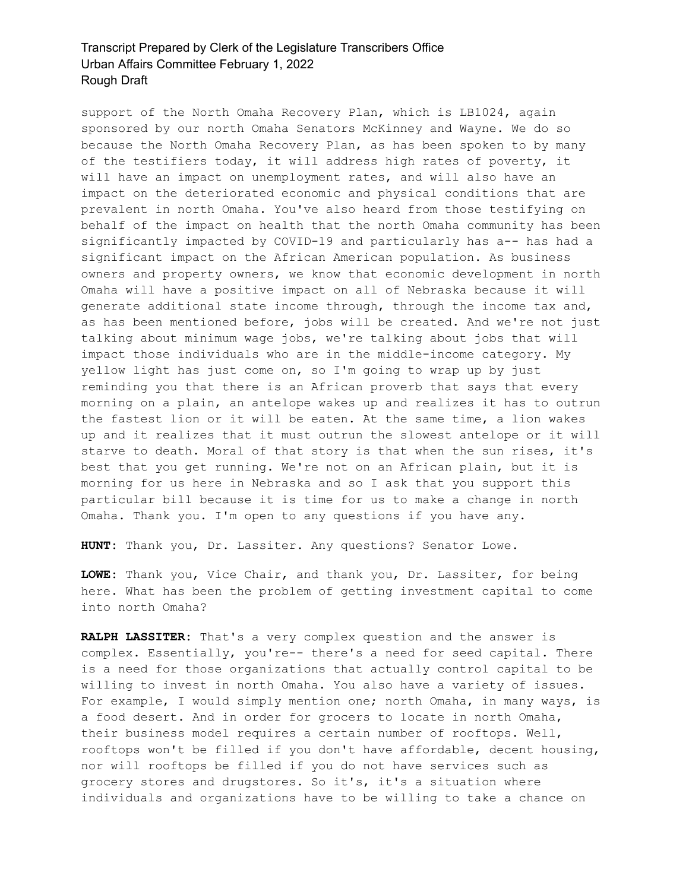support of the North Omaha Recovery Plan, which is LB1024, again sponsored by our north Omaha Senators McKinney and Wayne. We do so because the North Omaha Recovery Plan, as has been spoken to by many of the testifiers today, it will address high rates of poverty, it will have an impact on unemployment rates, and will also have an impact on the deteriorated economic and physical conditions that are prevalent in north Omaha. You've also heard from those testifying on behalf of the impact on health that the north Omaha community has been significantly impacted by COVID-19 and particularly has a-- has had a significant impact on the African American population. As business owners and property owners, we know that economic development in north Omaha will have a positive impact on all of Nebraska because it will generate additional state income through, through the income tax and, as has been mentioned before, jobs will be created. And we're not just talking about minimum wage jobs, we're talking about jobs that will impact those individuals who are in the middle-income category. My yellow light has just come on, so I'm going to wrap up by just reminding you that there is an African proverb that says that every morning on a plain, an antelope wakes up and realizes it has to outrun the fastest lion or it will be eaten. At the same time, a lion wakes up and it realizes that it must outrun the slowest antelope or it will starve to death. Moral of that story is that when the sun rises, it's best that you get running. We're not on an African plain, but it is morning for us here in Nebraska and so I ask that you support this particular bill because it is time for us to make a change in north Omaha. Thank you. I'm open to any questions if you have any.

**HUNT:** Thank you, Dr. Lassiter. Any questions? Senator Lowe.

**LOWE:** Thank you, Vice Chair, and thank you, Dr. Lassiter, for being here. What has been the problem of getting investment capital to come into north Omaha?

**RALPH LASSITER:** That's a very complex question and the answer is complex. Essentially, you're-- there's a need for seed capital. There is a need for those organizations that actually control capital to be willing to invest in north Omaha. You also have a variety of issues. For example, I would simply mention one; north Omaha, in many ways, is a food desert. And in order for grocers to locate in north Omaha, their business model requires a certain number of rooftops. Well, rooftops won't be filled if you don't have affordable, decent housing, nor will rooftops be filled if you do not have services such as grocery stores and drugstores. So it's, it's a situation where individuals and organizations have to be willing to take a chance on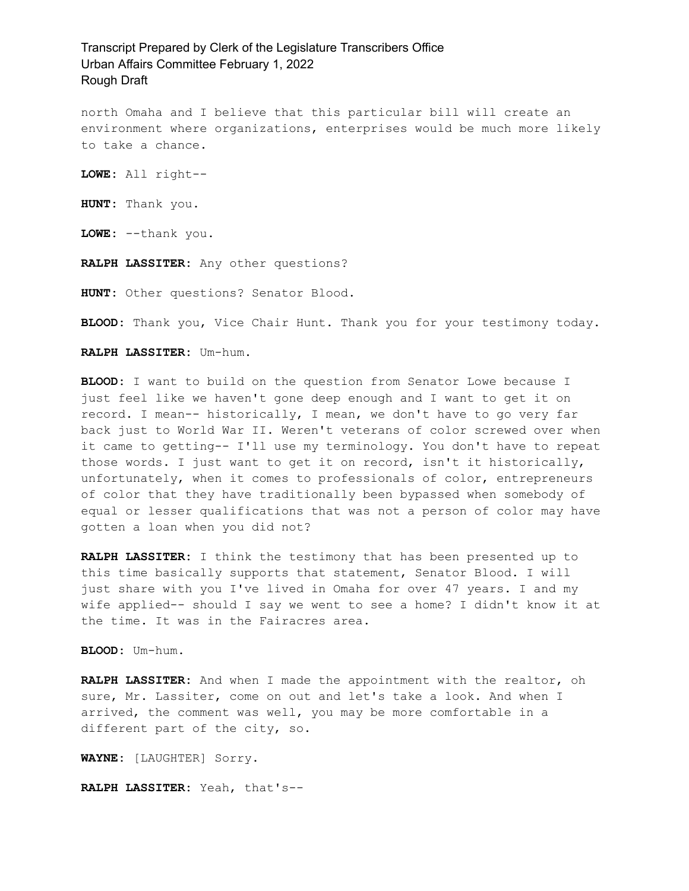north Omaha and I believe that this particular bill will create an environment where organizations, enterprises would be much more likely to take a chance.

**LOWE:** All right--

**HUNT:** Thank you.

**LOWE:** --thank you.

**RALPH LASSITER:** Any other questions?

**HUNT:** Other questions? Senator Blood.

**BLOOD:** Thank you, Vice Chair Hunt. Thank you for your testimony today.

#### **RALPH LASSITER:** Um-hum.

**BLOOD:** I want to build on the question from Senator Lowe because I just feel like we haven't gone deep enough and I want to get it on record. I mean-- historically, I mean, we don't have to go very far back just to World War II. Weren't veterans of color screwed over when it came to getting-- I'll use my terminology. You don't have to repeat those words. I just want to get it on record, isn't it historically, unfortunately, when it comes to professionals of color, entrepreneurs of color that they have traditionally been bypassed when somebody of equal or lesser qualifications that was not a person of color may have gotten a loan when you did not?

**RALPH LASSITER:** I think the testimony that has been presented up to this time basically supports that statement, Senator Blood. I will just share with you I've lived in Omaha for over 47 years. I and my wife applied-- should I say we went to see a home? I didn't know it at the time. It was in the Fairacres area.

**BLOOD:** Um-hum.

**RALPH LASSITER:** And when I made the appointment with the realtor, oh sure, Mr. Lassiter, come on out and let's take a look. And when I arrived, the comment was well, you may be more comfortable in a different part of the city, so.

**WAYNE:** [LAUGHTER] Sorry.

**RALPH LASSITER:** Yeah, that's--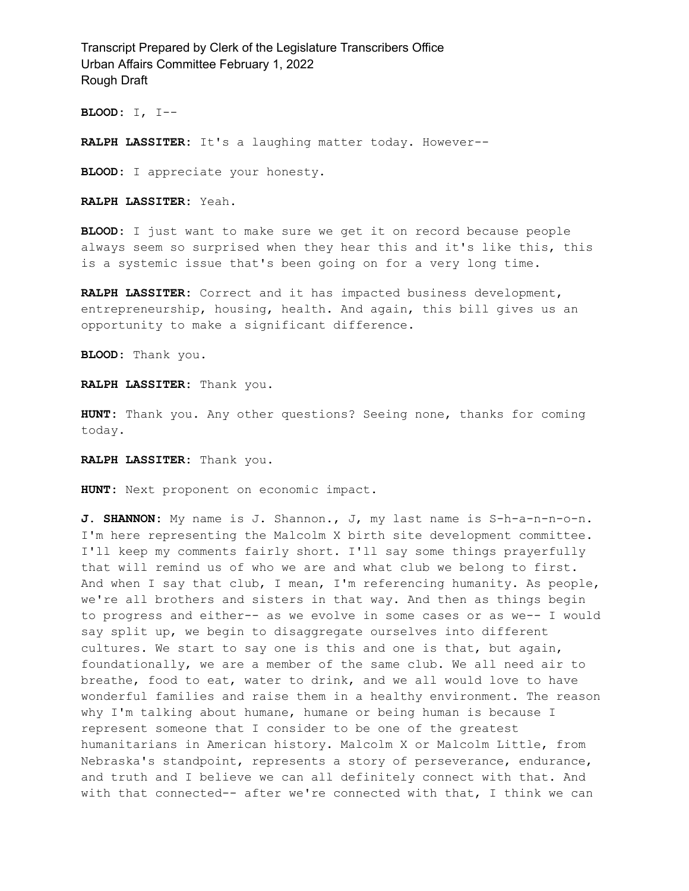**BLOOD:** I, I--

**RALPH LASSITER:** It's a laughing matter today. However--

**BLOOD:** I appreciate your honesty.

**RALPH LASSITER:** Yeah.

**BLOOD:** I just want to make sure we get it on record because people always seem so surprised when they hear this and it's like this, this is a systemic issue that's been going on for a very long time.

**RALPH LASSITER:** Correct and it has impacted business development, entrepreneurship, housing, health. And again, this bill gives us an opportunity to make a significant difference.

**BLOOD:** Thank you.

**RALPH LASSITER:** Thank you.

**HUNT:** Thank you. Any other questions? Seeing none, thanks for coming today.

**RALPH LASSITER:** Thank you.

**HUNT:** Next proponent on economic impact.

**J. SHANNON:** My name is J. Shannon., J, my last name is S-h-a-n-n-o-n. I'm here representing the Malcolm X birth site development committee. I'll keep my comments fairly short. I'll say some things prayerfully that will remind us of who we are and what club we belong to first. And when I say that club, I mean, I'm referencing humanity. As people, we're all brothers and sisters in that way. And then as things begin to progress and either-- as we evolve in some cases or as we-- I would say split up, we begin to disaggregate ourselves into different cultures. We start to say one is this and one is that, but again, foundationally, we are a member of the same club. We all need air to breathe, food to eat, water to drink, and we all would love to have wonderful families and raise them in a healthy environment. The reason why I'm talking about humane, humane or being human is because I represent someone that I consider to be one of the greatest humanitarians in American history. Malcolm X or Malcolm Little, from Nebraska's standpoint, represents a story of perseverance, endurance, and truth and I believe we can all definitely connect with that. And with that connected-- after we're connected with that, I think we can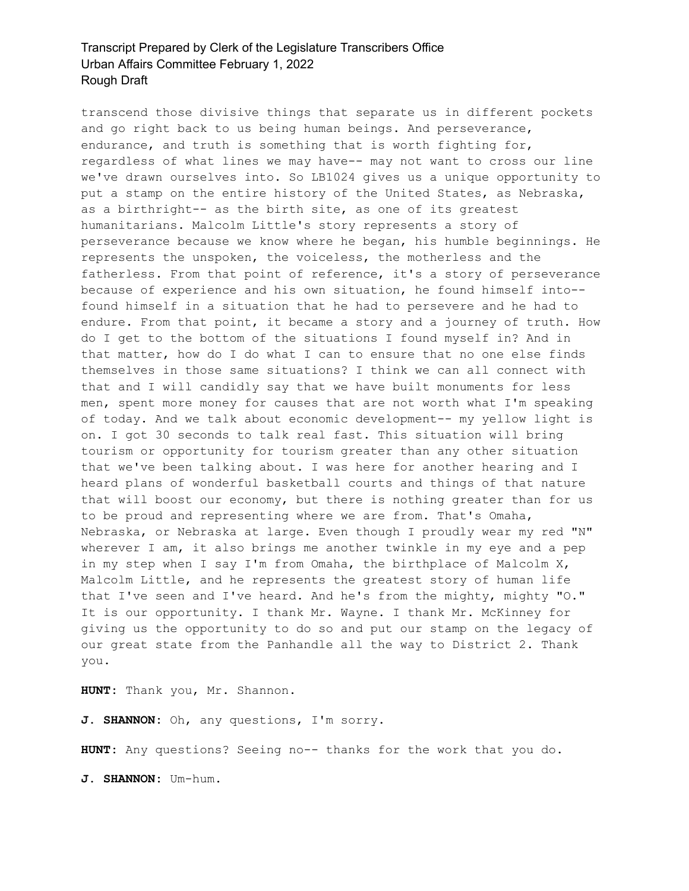transcend those divisive things that separate us in different pockets and go right back to us being human beings. And perseverance, endurance, and truth is something that is worth fighting for, regardless of what lines we may have-- may not want to cross our line we've drawn ourselves into. So LB1024 gives us a unique opportunity to put a stamp on the entire history of the United States, as Nebraska, as a birthright-- as the birth site, as one of its greatest humanitarians. Malcolm Little's story represents a story of perseverance because we know where he began, his humble beginnings. He represents the unspoken, the voiceless, the motherless and the fatherless. From that point of reference, it's a story of perseverance because of experience and his own situation, he found himself into- found himself in a situation that he had to persevere and he had to endure. From that point, it became a story and a journey of truth. How do I get to the bottom of the situations I found myself in? And in that matter, how do I do what I can to ensure that no one else finds themselves in those same situations? I think we can all connect with that and I will candidly say that we have built monuments for less men, spent more money for causes that are not worth what I'm speaking of today. And we talk about economic development-- my yellow light is on. I got 30 seconds to talk real fast. This situation will bring tourism or opportunity for tourism greater than any other situation that we've been talking about. I was here for another hearing and I heard plans of wonderful basketball courts and things of that nature that will boost our economy, but there is nothing greater than for us to be proud and representing where we are from. That's Omaha, Nebraska, or Nebraska at large. Even though I proudly wear my red "N" wherever I am, it also brings me another twinkle in my eye and a pep in my step when I say I'm from Omaha, the birthplace of Malcolm X, Malcolm Little, and he represents the greatest story of human life that I've seen and I've heard. And he's from the mighty, mighty "O." It is our opportunity. I thank Mr. Wayne. I thank Mr. McKinney for giving us the opportunity to do so and put our stamp on the legacy of our great state from the Panhandle all the way to District 2. Thank you.

**HUNT:** Thank you, Mr. Shannon.

**J. SHANNON:** Oh, any questions, I'm sorry.

**HUNT:** Any questions? Seeing no-- thanks for the work that you do.

**J. SHANNON:** Um-hum.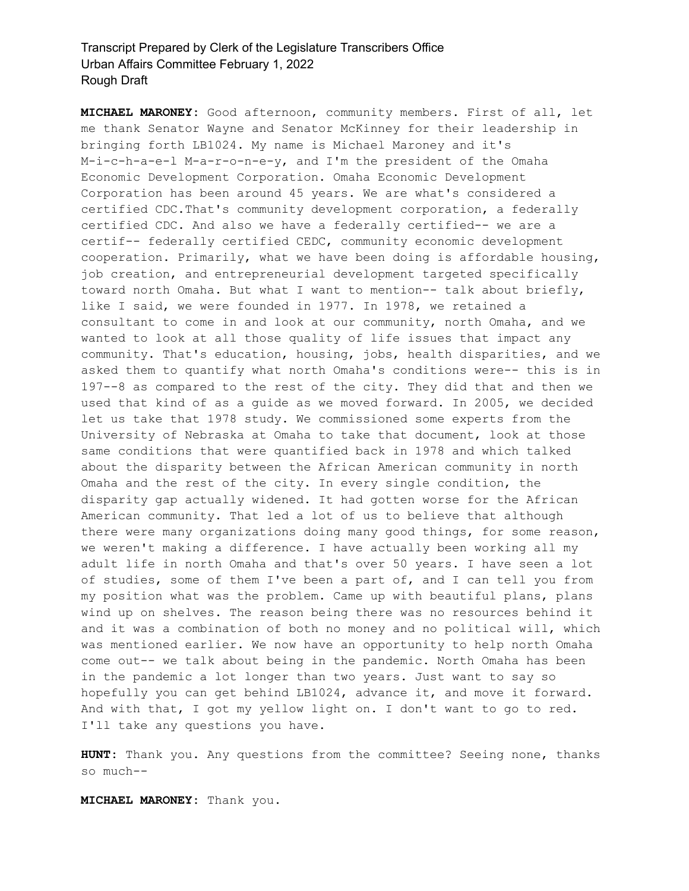**MICHAEL MARONEY:** Good afternoon, community members. First of all, let me thank Senator Wayne and Senator McKinney for their leadership in bringing forth LB1024. My name is Michael Maroney and it's M-i-c-h-a-e-l M-a-r-o-n-e-y, and I'm the president of the Omaha Economic Development Corporation. Omaha Economic Development Corporation has been around 45 years. We are what's considered a certified CDC.That's community development corporation, a federally certified CDC. And also we have a federally certified-- we are a certif-- federally certified CEDC, community economic development cooperation. Primarily, what we have been doing is affordable housing, job creation, and entrepreneurial development targeted specifically toward north Omaha. But what I want to mention-- talk about briefly, like I said, we were founded in 1977. In 1978, we retained a consultant to come in and look at our community, north Omaha, and we wanted to look at all those quality of life issues that impact any community. That's education, housing, jobs, health disparities, and we asked them to quantify what north Omaha's conditions were-- this is in 197--8 as compared to the rest of the city. They did that and then we used that kind of as a guide as we moved forward. In 2005, we decided let us take that 1978 study. We commissioned some experts from the University of Nebraska at Omaha to take that document, look at those same conditions that were quantified back in 1978 and which talked about the disparity between the African American community in north Omaha and the rest of the city. In every single condition, the disparity gap actually widened. It had gotten worse for the African American community. That led a lot of us to believe that although there were many organizations doing many good things, for some reason, we weren't making a difference. I have actually been working all my adult life in north Omaha and that's over 50 years. I have seen a lot of studies, some of them I've been a part of, and I can tell you from my position what was the problem. Came up with beautiful plans, plans wind up on shelves. The reason being there was no resources behind it and it was a combination of both no money and no political will, which was mentioned earlier. We now have an opportunity to help north Omaha come out-- we talk about being in the pandemic. North Omaha has been in the pandemic a lot longer than two years. Just want to say so hopefully you can get behind LB1024, advance it, and move it forward. And with that, I got my yellow light on. I don't want to go to red. I'll take any questions you have.

**HUNT:** Thank you. Any questions from the committee? Seeing none, thanks so much--

**MICHAEL MARONEY:** Thank you.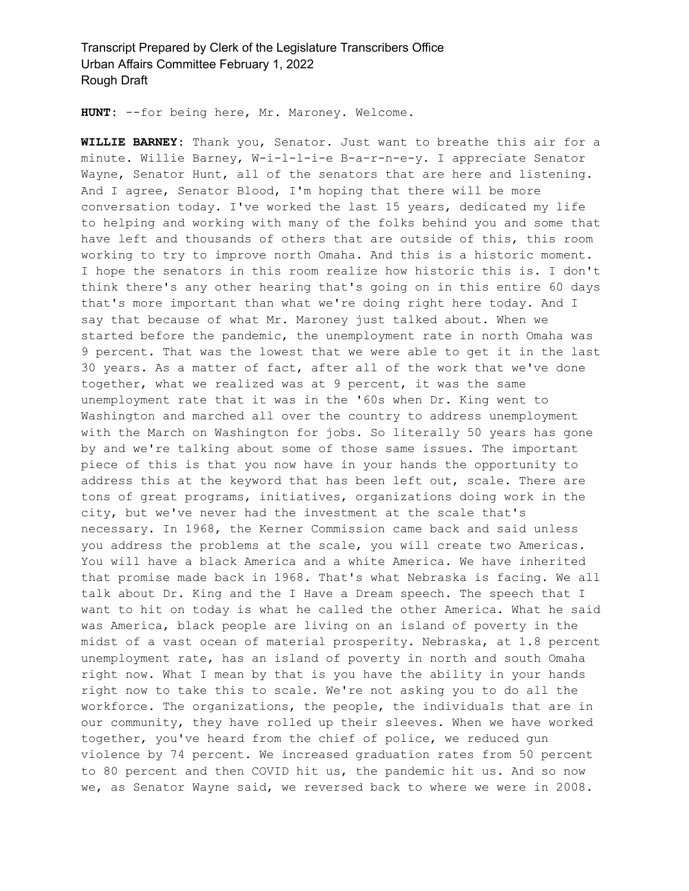**HUNT:** --for being here, Mr. Maroney. Welcome.

**WILLIE BARNEY:** Thank you, Senator. Just want to breathe this air for a minute. Willie Barney, W-i-l-l-i-e B-a-r-n-e-y. I appreciate Senator Wayne, Senator Hunt, all of the senators that are here and listening. And I agree, Senator Blood, I'm hoping that there will be more conversation today. I've worked the last 15 years, dedicated my life to helping and working with many of the folks behind you and some that have left and thousands of others that are outside of this, this room working to try to improve north Omaha. And this is a historic moment. I hope the senators in this room realize how historic this is. I don't think there's any other hearing that's going on in this entire 60 days that's more important than what we're doing right here today. And I say that because of what Mr. Maroney just talked about. When we started before the pandemic, the unemployment rate in north Omaha was 9 percent. That was the lowest that we were able to get it in the last 30 years. As a matter of fact, after all of the work that we've done together, what we realized was at 9 percent, it was the same unemployment rate that it was in the '60s when Dr. King went to Washington and marched all over the country to address unemployment with the March on Washington for jobs. So literally 50 years has gone by and we're talking about some of those same issues. The important piece of this is that you now have in your hands the opportunity to address this at the keyword that has been left out, scale. There are tons of great programs, initiatives, organizations doing work in the city, but we've never had the investment at the scale that's necessary. In 1968, the Kerner Commission came back and said unless you address the problems at the scale, you will create two Americas. You will have a black America and a white America. We have inherited that promise made back in 1968. That's what Nebraska is facing. We all talk about Dr. King and the I Have a Dream speech. The speech that I want to hit on today is what he called the other America. What he said was America, black people are living on an island of poverty in the midst of a vast ocean of material prosperity. Nebraska, at 1.8 percent unemployment rate, has an island of poverty in north and south Omaha right now. What I mean by that is you have the ability in your hands right now to take this to scale. We're not asking you to do all the workforce. The organizations, the people, the individuals that are in our community, they have rolled up their sleeves. When we have worked together, you've heard from the chief of police, we reduced gun violence by 74 percent. We increased graduation rates from 50 percent to 80 percent and then COVID hit us, the pandemic hit us. And so now we, as Senator Wayne said, we reversed back to where we were in 2008.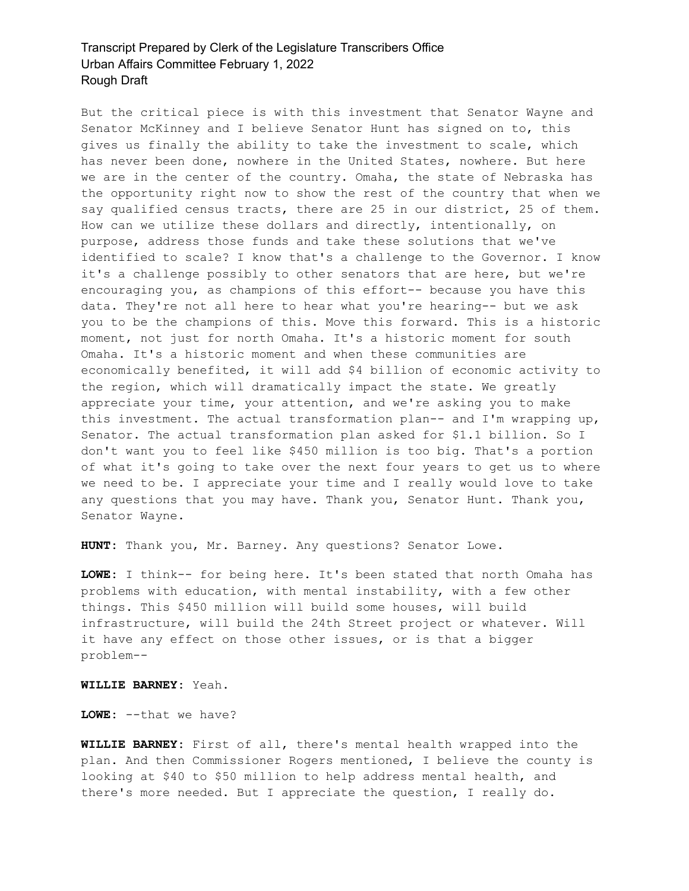But the critical piece is with this investment that Senator Wayne and Senator McKinney and I believe Senator Hunt has signed on to, this gives us finally the ability to take the investment to scale, which has never been done, nowhere in the United States, nowhere. But here we are in the center of the country. Omaha, the state of Nebraska has the opportunity right now to show the rest of the country that when we say qualified census tracts, there are 25 in our district, 25 of them. How can we utilize these dollars and directly, intentionally, on purpose, address those funds and take these solutions that we've identified to scale? I know that's a challenge to the Governor. I know it's a challenge possibly to other senators that are here, but we're encouraging you, as champions of this effort-- because you have this data. They're not all here to hear what you're hearing-- but we ask you to be the champions of this. Move this forward. This is a historic moment, not just for north Omaha. It's a historic moment for south Omaha. It's a historic moment and when these communities are economically benefited, it will add \$4 billion of economic activity to the region, which will dramatically impact the state. We greatly appreciate your time, your attention, and we're asking you to make this investment. The actual transformation plan-- and I'm wrapping up, Senator. The actual transformation plan asked for \$1.1 billion. So I don't want you to feel like \$450 million is too big. That's a portion of what it's going to take over the next four years to get us to where we need to be. I appreciate your time and I really would love to take any questions that you may have. Thank you, Senator Hunt. Thank you, Senator Wayne.

**HUNT:** Thank you, Mr. Barney. Any questions? Senator Lowe.

**LOWE:** I think-- for being here. It's been stated that north Omaha has problems with education, with mental instability, with a few other things. This \$450 million will build some houses, will build infrastructure, will build the 24th Street project or whatever. Will it have any effect on those other issues, or is that a bigger problem--

**WILLIE BARNEY:** Yeah.

**LOWE:** --that we have?

**WILLIE BARNEY:** First of all, there's mental health wrapped into the plan. And then Commissioner Rogers mentioned, I believe the county is looking at \$40 to \$50 million to help address mental health, and there's more needed. But I appreciate the question, I really do.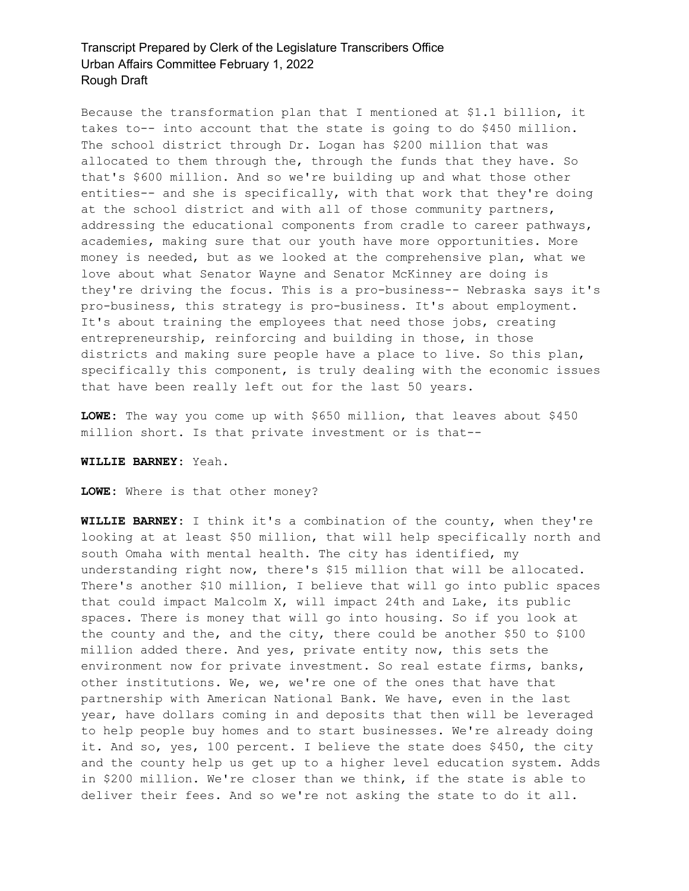Because the transformation plan that I mentioned at \$1.1 billion, it takes to-- into account that the state is going to do \$450 million. The school district through Dr. Logan has \$200 million that was allocated to them through the, through the funds that they have. So that's \$600 million. And so we're building up and what those other entities-- and she is specifically, with that work that they're doing at the school district and with all of those community partners, addressing the educational components from cradle to career pathways, academies, making sure that our youth have more opportunities. More money is needed, but as we looked at the comprehensive plan, what we love about what Senator Wayne and Senator McKinney are doing is they're driving the focus. This is a pro-business-- Nebraska says it's pro-business, this strategy is pro-business. It's about employment. It's about training the employees that need those jobs, creating entrepreneurship, reinforcing and building in those, in those districts and making sure people have a place to live. So this plan, specifically this component, is truly dealing with the economic issues that have been really left out for the last 50 years.

**LOWE:** The way you come up with \$650 million, that leaves about \$450 million short. Is that private investment or is that--

#### **WILLIE BARNEY:** Yeah.

**LOWE:** Where is that other money?

**WILLIE BARNEY:** I think it's a combination of the county, when they're looking at at least \$50 million, that will help specifically north and south Omaha with mental health. The city has identified, my understanding right now, there's \$15 million that will be allocated. There's another \$10 million, I believe that will go into public spaces that could impact Malcolm X, will impact 24th and Lake, its public spaces. There is money that will go into housing. So if you look at the county and the, and the city, there could be another \$50 to \$100 million added there. And yes, private entity now, this sets the environment now for private investment. So real estate firms, banks, other institutions. We, we, we're one of the ones that have that partnership with American National Bank. We have, even in the last year, have dollars coming in and deposits that then will be leveraged to help people buy homes and to start businesses. We're already doing it. And so, yes, 100 percent. I believe the state does \$450, the city and the county help us get up to a higher level education system. Adds in \$200 million. We're closer than we think, if the state is able to deliver their fees. And so we're not asking the state to do it all.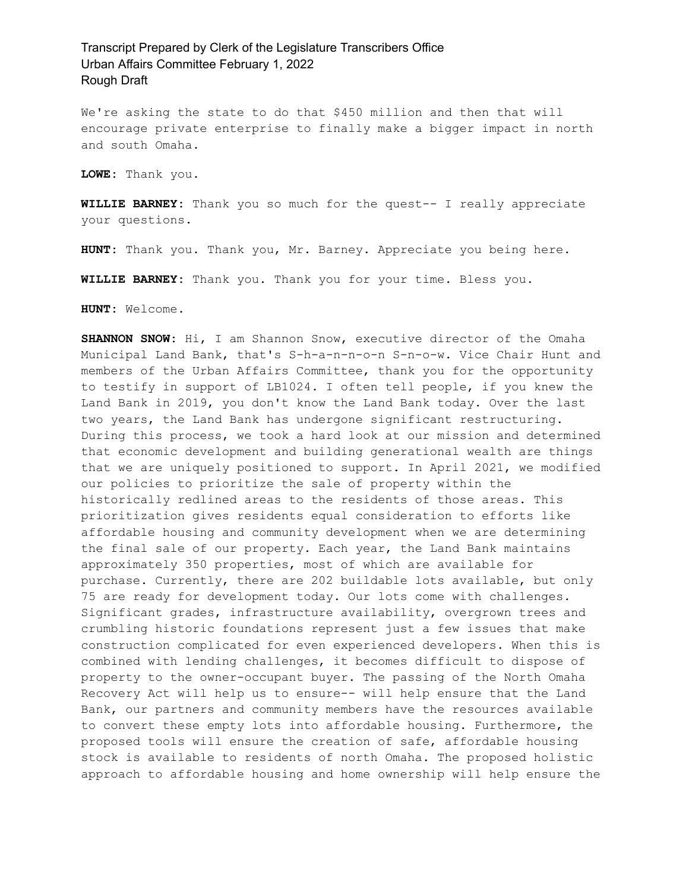We're asking the state to do that \$450 million and then that will encourage private enterprise to finally make a bigger impact in north and south Omaha.

**LOWE:** Thank you.

**WILLIE BARNEY:** Thank you so much for the quest-- I really appreciate your questions.

**HUNT:** Thank you. Thank you, Mr. Barney. Appreciate you being here.

**WILLIE BARNEY:** Thank you. Thank you for your time. Bless you.

**HUNT:** Welcome.

**SHANNON SNOW:** Hi, I am Shannon Snow, executive director of the Omaha Municipal Land Bank, that's S-h-a-n-n-o-n S-n-o-w. Vice Chair Hunt and members of the Urban Affairs Committee, thank you for the opportunity to testify in support of LB1024. I often tell people, if you knew the Land Bank in 2019, you don't know the Land Bank today. Over the last two years, the Land Bank has undergone significant restructuring. During this process, we took a hard look at our mission and determined that economic development and building generational wealth are things that we are uniquely positioned to support. In April 2021, we modified our policies to prioritize the sale of property within the historically redlined areas to the residents of those areas. This prioritization gives residents equal consideration to efforts like affordable housing and community development when we are determining the final sale of our property. Each year, the Land Bank maintains approximately 350 properties, most of which are available for purchase. Currently, there are 202 buildable lots available, but only 75 are ready for development today. Our lots come with challenges. Significant grades, infrastructure availability, overgrown trees and crumbling historic foundations represent just a few issues that make construction complicated for even experienced developers. When this is combined with lending challenges, it becomes difficult to dispose of property to the owner-occupant buyer. The passing of the North Omaha Recovery Act will help us to ensure-- will help ensure that the Land Bank, our partners and community members have the resources available to convert these empty lots into affordable housing. Furthermore, the proposed tools will ensure the creation of safe, affordable housing stock is available to residents of north Omaha. The proposed holistic approach to affordable housing and home ownership will help ensure the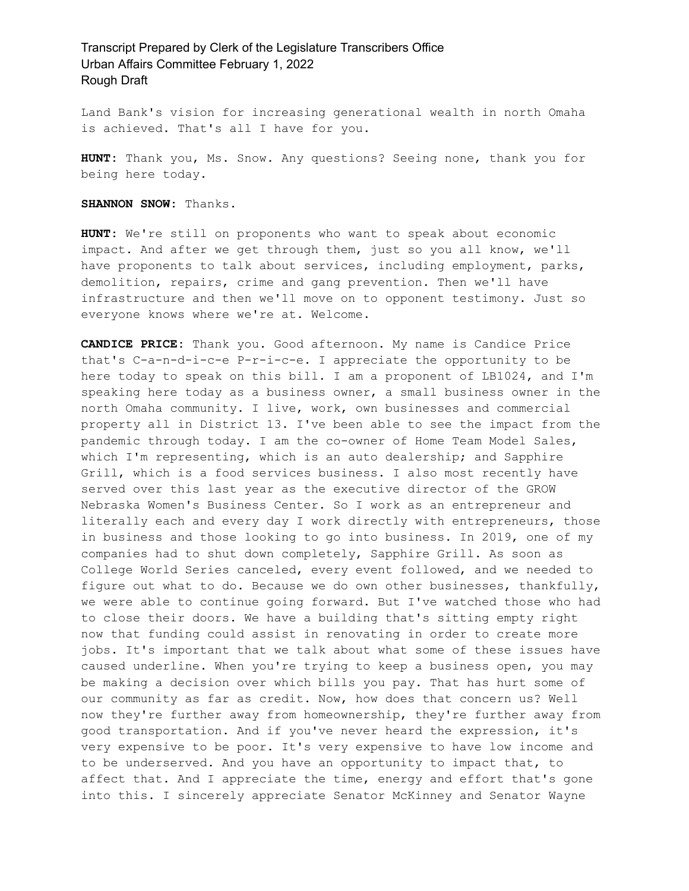Land Bank's vision for increasing generational wealth in north Omaha is achieved. That's all I have for you.

**HUNT:** Thank you, Ms. Snow. Any questions? Seeing none, thank you for being here today.

**SHANNON SNOW:** Thanks.

**HUNT:** We're still on proponents who want to speak about economic impact. And after we get through them, just so you all know, we'll have proponents to talk about services, including employment, parks, demolition, repairs, crime and gang prevention. Then we'll have infrastructure and then we'll move on to opponent testimony. Just so everyone knows where we're at. Welcome.

**CANDICE PRICE:** Thank you. Good afternoon. My name is Candice Price that's C-a-n-d-i-c-e P-r-i-c-e. I appreciate the opportunity to be here today to speak on this bill. I am a proponent of LB1024, and I'm speaking here today as a business owner, a small business owner in the north Omaha community. I live, work, own businesses and commercial property all in District 13. I've been able to see the impact from the pandemic through today. I am the co-owner of Home Team Model Sales, which I'm representing, which is an auto dealership; and Sapphire Grill, which is a food services business. I also most recently have served over this last year as the executive director of the GROW Nebraska Women's Business Center. So I work as an entrepreneur and literally each and every day I work directly with entrepreneurs, those in business and those looking to go into business. In 2019, one of my companies had to shut down completely, Sapphire Grill. As soon as College World Series canceled, every event followed, and we needed to figure out what to do. Because we do own other businesses, thankfully, we were able to continue going forward. But I've watched those who had to close their doors. We have a building that's sitting empty right now that funding could assist in renovating in order to create more jobs. It's important that we talk about what some of these issues have caused underline. When you're trying to keep a business open, you may be making a decision over which bills you pay. That has hurt some of our community as far as credit. Now, how does that concern us? Well now they're further away from homeownership, they're further away from good transportation. And if you've never heard the expression, it's very expensive to be poor. It's very expensive to have low income and to be underserved. And you have an opportunity to impact that, to affect that. And I appreciate the time, energy and effort that's gone into this. I sincerely appreciate Senator McKinney and Senator Wayne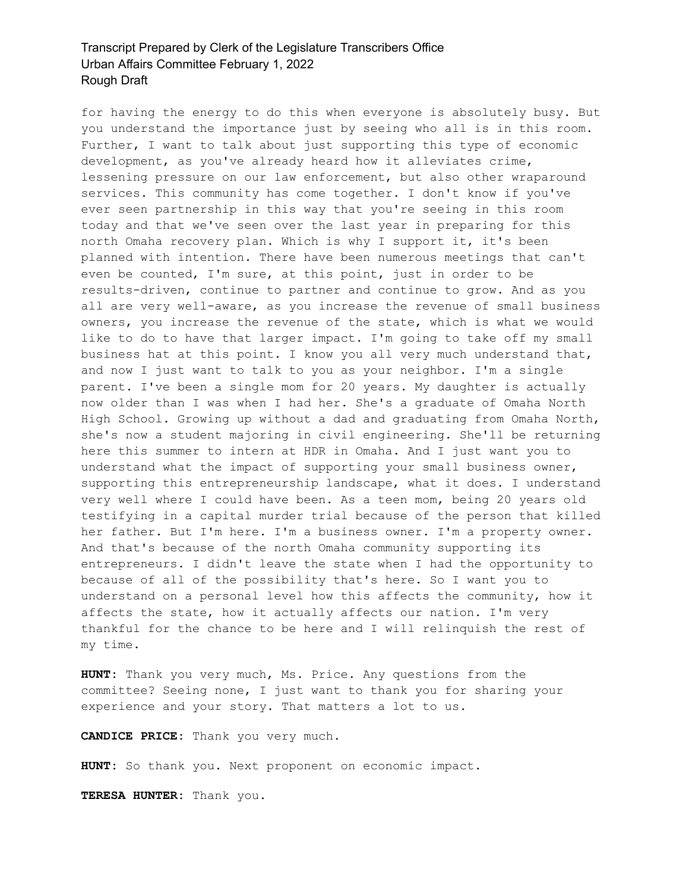for having the energy to do this when everyone is absolutely busy. But you understand the importance just by seeing who all is in this room. Further, I want to talk about just supporting this type of economic development, as you've already heard how it alleviates crime, lessening pressure on our law enforcement, but also other wraparound services. This community has come together. I don't know if you've ever seen partnership in this way that you're seeing in this room today and that we've seen over the last year in preparing for this north Omaha recovery plan. Which is why I support it, it's been planned with intention. There have been numerous meetings that can't even be counted, I'm sure, at this point, just in order to be results-driven, continue to partner and continue to grow. And as you all are very well-aware, as you increase the revenue of small business owners, you increase the revenue of the state, which is what we would like to do to have that larger impact. I'm going to take off my small business hat at this point. I know you all very much understand that, and now I just want to talk to you as your neighbor. I'm a single parent. I've been a single mom for 20 years. My daughter is actually now older than I was when I had her. She's a graduate of Omaha North High School. Growing up without a dad and graduating from Omaha North, she's now a student majoring in civil engineering. She'll be returning here this summer to intern at HDR in Omaha. And I just want you to understand what the impact of supporting your small business owner, supporting this entrepreneurship landscape, what it does. I understand very well where I could have been. As a teen mom, being 20 years old testifying in a capital murder trial because of the person that killed her father. But I'm here. I'm a business owner. I'm a property owner. And that's because of the north Omaha community supporting its entrepreneurs. I didn't leave the state when I had the opportunity to because of all of the possibility that's here. So I want you to understand on a personal level how this affects the community, how it affects the state, how it actually affects our nation. I'm very thankful for the chance to be here and I will relinquish the rest of my time.

**HUNT:** Thank you very much, Ms. Price. Any questions from the committee? Seeing none, I just want to thank you for sharing your experience and your story. That matters a lot to us.

**CANDICE PRICE:** Thank you very much.

**HUNT:** So thank you. Next proponent on economic impact.

**TERESA HUNTER:** Thank you.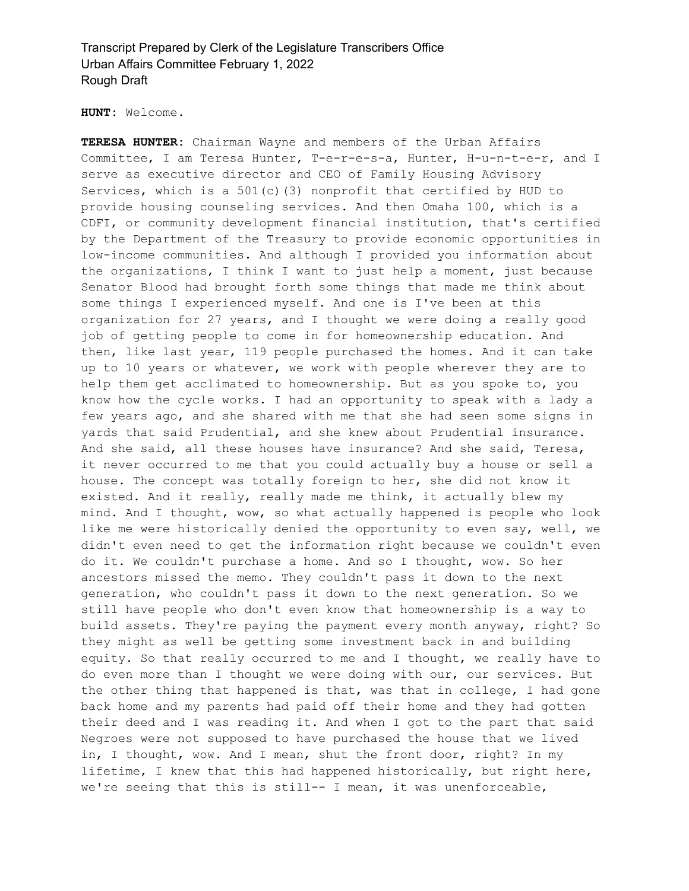**HUNT:** Welcome.

**TERESA HUNTER:** Chairman Wayne and members of the Urban Affairs Committee, I am Teresa Hunter, T-e-r-e-s-a, Hunter, H-u-n-t-e-r, and I serve as executive director and CEO of Family Housing Advisory Services, which is a 501(c)(3) nonprofit that certified by HUD to provide housing counseling services. And then Omaha 100, which is a CDFI, or community development financial institution, that's certified by the Department of the Treasury to provide economic opportunities in low-income communities. And although I provided you information about the organizations, I think I want to just help a moment, just because Senator Blood had brought forth some things that made me think about some things I experienced myself. And one is I've been at this organization for 27 years, and I thought we were doing a really good job of getting people to come in for homeownership education. And then, like last year, 119 people purchased the homes. And it can take up to 10 years or whatever, we work with people wherever they are to help them get acclimated to homeownership. But as you spoke to, you know how the cycle works. I had an opportunity to speak with a lady a few years ago, and she shared with me that she had seen some signs in yards that said Prudential, and she knew about Prudential insurance. And she said, all these houses have insurance? And she said, Teresa, it never occurred to me that you could actually buy a house or sell a house. The concept was totally foreign to her, she did not know it existed. And it really, really made me think, it actually blew my mind. And I thought, wow, so what actually happened is people who look like me were historically denied the opportunity to even say, well, we didn't even need to get the information right because we couldn't even do it. We couldn't purchase a home. And so I thought, wow. So her ancestors missed the memo. They couldn't pass it down to the next generation, who couldn't pass it down to the next generation. So we still have people who don't even know that homeownership is a way to build assets. They're paying the payment every month anyway, right? So they might as well be getting some investment back in and building equity. So that really occurred to me and I thought, we really have to do even more than I thought we were doing with our, our services. But the other thing that happened is that, was that in college, I had gone back home and my parents had paid off their home and they had gotten their deed and I was reading it. And when I got to the part that said Negroes were not supposed to have purchased the house that we lived in, I thought, wow. And I mean, shut the front door, right? In my lifetime, I knew that this had happened historically, but right here, we're seeing that this is still-- I mean, it was unenforceable,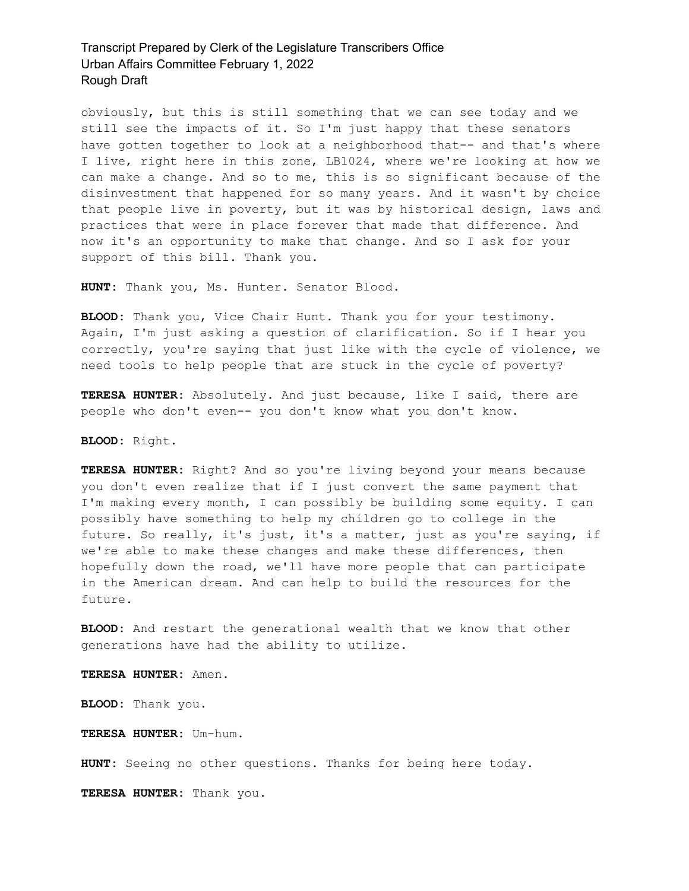obviously, but this is still something that we can see today and we still see the impacts of it. So I'm just happy that these senators have gotten together to look at a neighborhood that-- and that's where I live, right here in this zone, LB1024, where we're looking at how we can make a change. And so to me, this is so significant because of the disinvestment that happened for so many years. And it wasn't by choice that people live in poverty, but it was by historical design, laws and practices that were in place forever that made that difference. And now it's an opportunity to make that change. And so I ask for your support of this bill. Thank you.

**HUNT:** Thank you, Ms. Hunter. Senator Blood.

**BLOOD:** Thank you, Vice Chair Hunt. Thank you for your testimony. Again, I'm just asking a question of clarification. So if I hear you correctly, you're saying that just like with the cycle of violence, we need tools to help people that are stuck in the cycle of poverty?

**TERESA HUNTER:** Absolutely. And just because, like I said, there are people who don't even-- you don't know what you don't know.

**BLOOD:** Right.

**TERESA HUNTER:** Right? And so you're living beyond your means because you don't even realize that if I just convert the same payment that I'm making every month, I can possibly be building some equity. I can possibly have something to help my children go to college in the future. So really, it's just, it's a matter, just as you're saying, if we're able to make these changes and make these differences, then hopefully down the road, we'll have more people that can participate in the American dream. And can help to build the resources for the future.

**BLOOD:** And restart the generational wealth that we know that other generations have had the ability to utilize.

**TERESA HUNTER:** Amen.

**BLOOD:** Thank you.

**TERESA HUNTER:** Um-hum.

**HUNT:** Seeing no other questions. Thanks for being here today.

**TERESA HUNTER:** Thank you.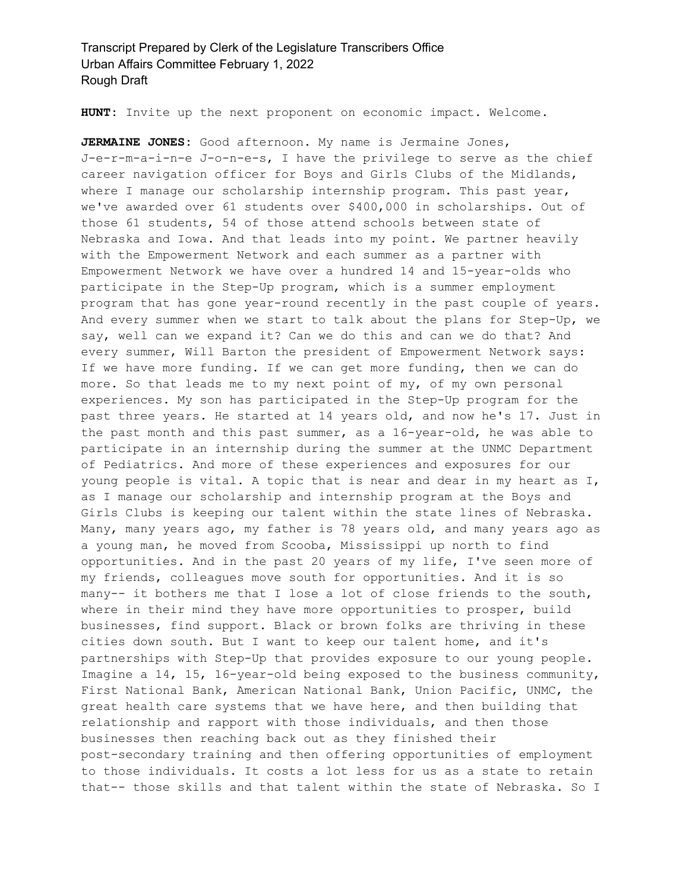**HUNT:** Invite up the next proponent on economic impact. Welcome.

**JERMAINE JONES:** Good afternoon. My name is Jermaine Jones, J-e-r-m-a-i-n-e J-o-n-e-s, I have the privilege to serve as the chief career navigation officer for Boys and Girls Clubs of the Midlands, where I manage our scholarship internship program. This past year, we've awarded over 61 students over \$400,000 in scholarships. Out of those 61 students, 54 of those attend schools between state of Nebraska and Iowa. And that leads into my point. We partner heavily with the Empowerment Network and each summer as a partner with Empowerment Network we have over a hundred 14 and 15-year-olds who participate in the Step-Up program, which is a summer employment program that has gone year-round recently in the past couple of years. And every summer when we start to talk about the plans for Step-Up, we say, well can we expand it? Can we do this and can we do that? And every summer, Will Barton the president of Empowerment Network says: If we have more funding. If we can get more funding, then we can do more. So that leads me to my next point of my, of my own personal experiences. My son has participated in the Step-Up program for the past three years. He started at 14 years old, and now he's 17. Just in the past month and this past summer, as a 16-year-old, he was able to participate in an internship during the summer at the UNMC Department of Pediatrics. And more of these experiences and exposures for our young people is vital. A topic that is near and dear in my heart as I, as I manage our scholarship and internship program at the Boys and Girls Clubs is keeping our talent within the state lines of Nebraska. Many, many years ago, my father is 78 years old, and many years ago as a young man, he moved from Scooba, Mississippi up north to find opportunities. And in the past 20 years of my life, I've seen more of my friends, colleagues move south for opportunities. And it is so many-- it bothers me that I lose a lot of close friends to the south, where in their mind they have more opportunities to prosper, build businesses, find support. Black or brown folks are thriving in these cities down south. But I want to keep our talent home, and it's partnerships with Step-Up that provides exposure to our young people. Imagine a 14, 15, 16-year-old being exposed to the business community, First National Bank, American National Bank, Union Pacific, UNMC, the great health care systems that we have here, and then building that relationship and rapport with those individuals, and then those businesses then reaching back out as they finished their post-secondary training and then offering opportunities of employment to those individuals. It costs a lot less for us as a state to retain that-- those skills and that talent within the state of Nebraska. So I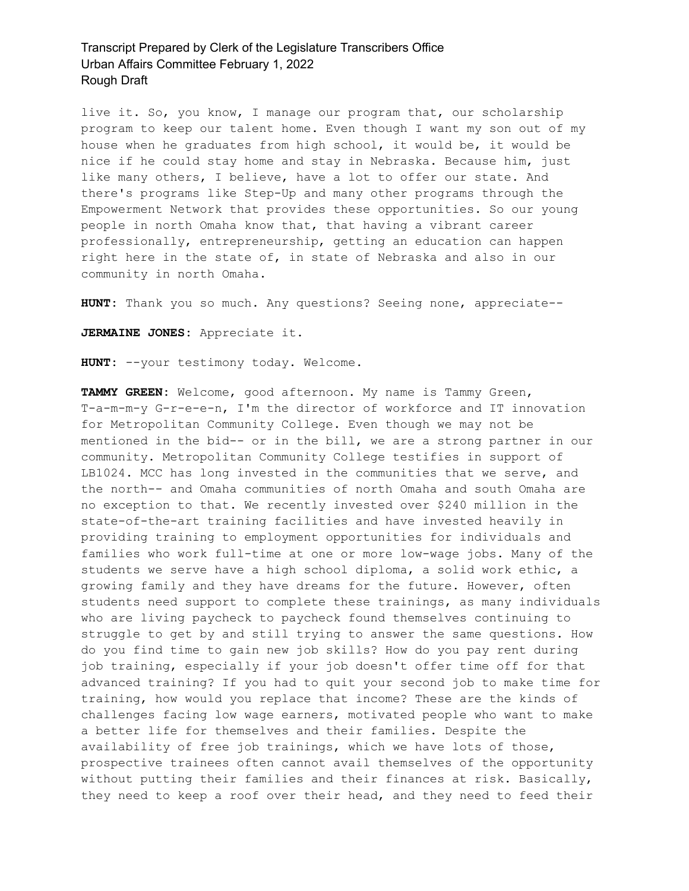live it. So, you know, I manage our program that, our scholarship program to keep our talent home. Even though I want my son out of my house when he graduates from high school, it would be, it would be nice if he could stay home and stay in Nebraska. Because him, just like many others, I believe, have a lot to offer our state. And there's programs like Step-Up and many other programs through the Empowerment Network that provides these opportunities. So our young people in north Omaha know that, that having a vibrant career professionally, entrepreneurship, getting an education can happen right here in the state of, in state of Nebraska and also in our community in north Omaha.

**HUNT:** Thank you so much. Any questions? Seeing none, appreciate--

**JERMAINE JONES:** Appreciate it.

**HUNT:** --your testimony today. Welcome.

**TAMMY GREEN:** Welcome, good afternoon. My name is Tammy Green, T-a-m-m-y G-r-e-e-n, I'm the director of workforce and IT innovation for Metropolitan Community College. Even though we may not be mentioned in the bid-- or in the bill, we are a strong partner in our community. Metropolitan Community College testifies in support of LB1024. MCC has long invested in the communities that we serve, and the north-- and Omaha communities of north Omaha and south Omaha are no exception to that. We recently invested over \$240 million in the state-of-the-art training facilities and have invested heavily in providing training to employment opportunities for individuals and families who work full-time at one or more low-wage jobs. Many of the students we serve have a high school diploma, a solid work ethic, a growing family and they have dreams for the future. However, often students need support to complete these trainings, as many individuals who are living paycheck to paycheck found themselves continuing to struggle to get by and still trying to answer the same questions. How do you find time to gain new job skills? How do you pay rent during job training, especially if your job doesn't offer time off for that advanced training? If you had to quit your second job to make time for training, how would you replace that income? These are the kinds of challenges facing low wage earners, motivated people who want to make a better life for themselves and their families. Despite the availability of free job trainings, which we have lots of those, prospective trainees often cannot avail themselves of the opportunity without putting their families and their finances at risk. Basically, they need to keep a roof over their head, and they need to feed their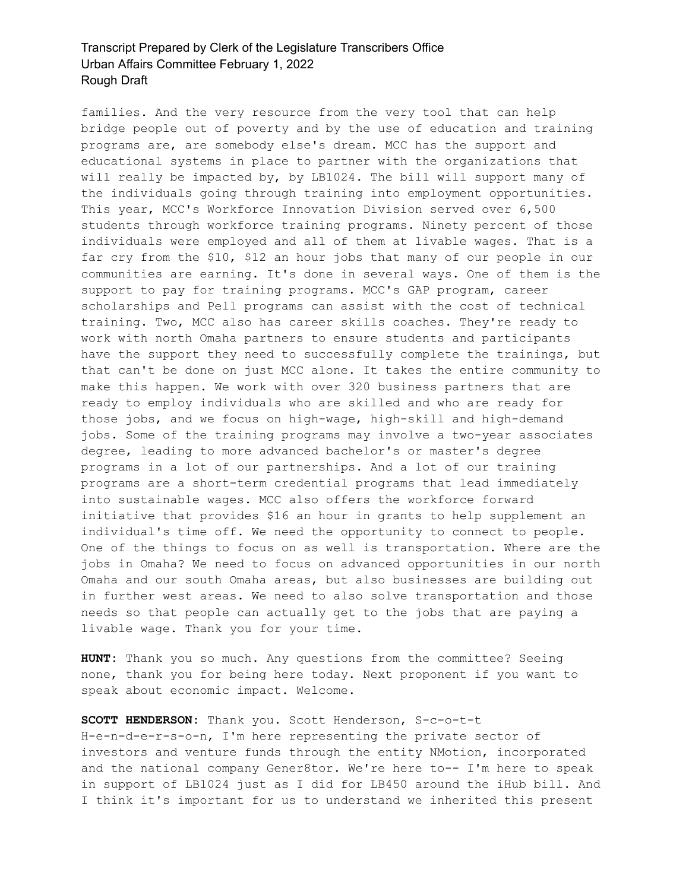families. And the very resource from the very tool that can help bridge people out of poverty and by the use of education and training programs are, are somebody else's dream. MCC has the support and educational systems in place to partner with the organizations that will really be impacted by, by LB1024. The bill will support many of the individuals going through training into employment opportunities. This year, MCC's Workforce Innovation Division served over 6,500 students through workforce training programs. Ninety percent of those individuals were employed and all of them at livable wages. That is a far cry from the \$10, \$12 an hour jobs that many of our people in our communities are earning. It's done in several ways. One of them is the support to pay for training programs. MCC's GAP program, career scholarships and Pell programs can assist with the cost of technical training. Two, MCC also has career skills coaches. They're ready to work with north Omaha partners to ensure students and participants have the support they need to successfully complete the trainings, but that can't be done on just MCC alone. It takes the entire community to make this happen. We work with over 320 business partners that are ready to employ individuals who are skilled and who are ready for those jobs, and we focus on high-wage, high-skill and high-demand jobs. Some of the training programs may involve a two-year associates degree, leading to more advanced bachelor's or master's degree programs in a lot of our partnerships. And a lot of our training programs are a short-term credential programs that lead immediately into sustainable wages. MCC also offers the workforce forward initiative that provides \$16 an hour in grants to help supplement an individual's time off. We need the opportunity to connect to people. One of the things to focus on as well is transportation. Where are the jobs in Omaha? We need to focus on advanced opportunities in our north Omaha and our south Omaha areas, but also businesses are building out in further west areas. We need to also solve transportation and those needs so that people can actually get to the jobs that are paying a livable wage. Thank you for your time.

**HUNT:** Thank you so much. Any questions from the committee? Seeing none, thank you for being here today. Next proponent if you want to speak about economic impact. Welcome.

**SCOTT HENDERSON:** Thank you. Scott Henderson, S-c-o-t-t H-e-n-d-e-r-s-o-n, I'm here representing the private sector of investors and venture funds through the entity NMotion, incorporated and the national company Gener8tor. We're here to-- I'm here to speak in support of LB1024 just as I did for LB450 around the iHub bill. And I think it's important for us to understand we inherited this present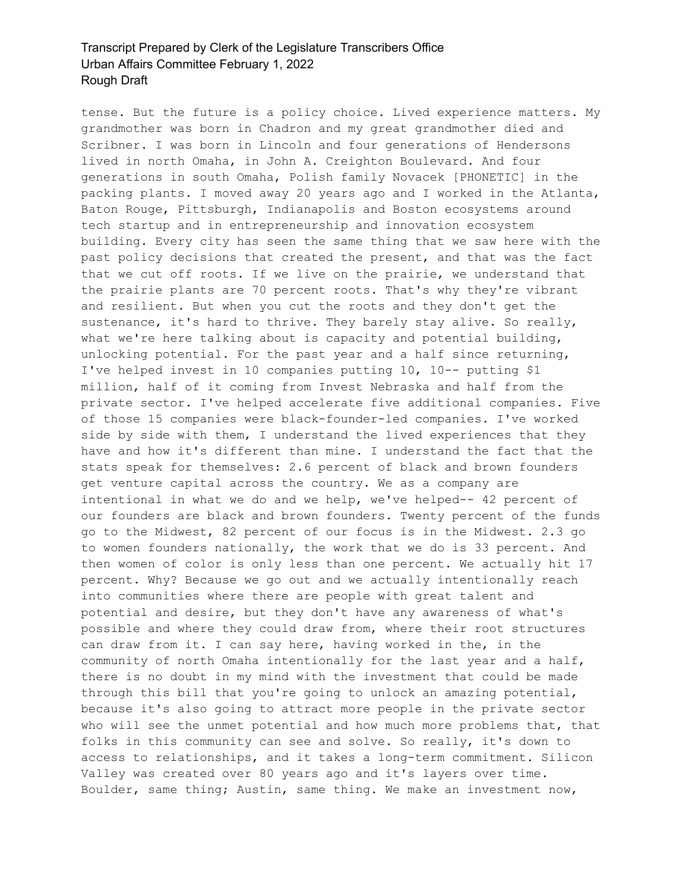tense. But the future is a policy choice. Lived experience matters. My grandmother was born in Chadron and my great grandmother died and Scribner. I was born in Lincoln and four generations of Hendersons lived in north Omaha, in John A. Creighton Boulevard. And four generations in south Omaha, Polish family Novacek [PHONETIC] in the packing plants. I moved away 20 years ago and I worked in the Atlanta, Baton Rouge, Pittsburgh, Indianapolis and Boston ecosystems around tech startup and in entrepreneurship and innovation ecosystem building. Every city has seen the same thing that we saw here with the past policy decisions that created the present, and that was the fact that we cut off roots. If we live on the prairie, we understand that the prairie plants are 70 percent roots. That's why they're vibrant and resilient. But when you cut the roots and they don't get the sustenance, it's hard to thrive. They barely stay alive. So really, what we're here talking about is capacity and potential building, unlocking potential. For the past year and a half since returning, I've helped invest in 10 companies putting 10, 10-- putting \$1 million, half of it coming from Invest Nebraska and half from the private sector. I've helped accelerate five additional companies. Five of those 15 companies were black-founder-led companies. I've worked side by side with them, I understand the lived experiences that they have and how it's different than mine. I understand the fact that the stats speak for themselves: 2.6 percent of black and brown founders get venture capital across the country. We as a company are intentional in what we do and we help, we've helped-- 42 percent of our founders are black and brown founders. Twenty percent of the funds go to the Midwest, 82 percent of our focus is in the Midwest. 2.3 go to women founders nationally, the work that we do is 33 percent. And then women of color is only less than one percent. We actually hit 17 percent. Why? Because we go out and we actually intentionally reach into communities where there are people with great talent and potential and desire, but they don't have any awareness of what's possible and where they could draw from, where their root structures can draw from it. I can say here, having worked in the, in the community of north Omaha intentionally for the last year and a half, there is no doubt in my mind with the investment that could be made through this bill that you're going to unlock an amazing potential, because it's also going to attract more people in the private sector who will see the unmet potential and how much more problems that, that folks in this community can see and solve. So really, it's down to access to relationships, and it takes a long-term commitment. Silicon Valley was created over 80 years ago and it's layers over time. Boulder, same thing; Austin, same thing. We make an investment now,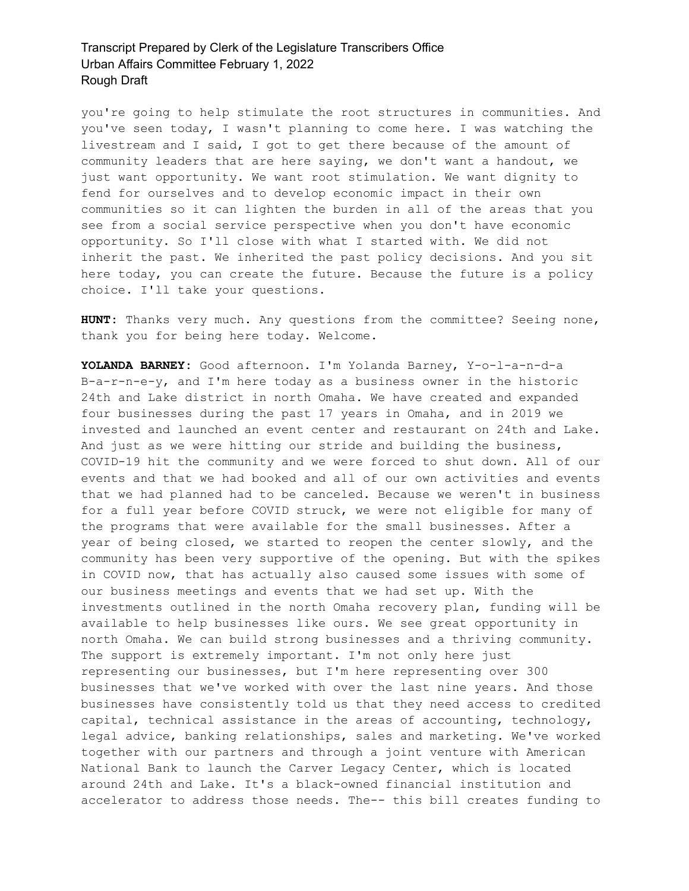you're going to help stimulate the root structures in communities. And you've seen today, I wasn't planning to come here. I was watching the livestream and I said, I got to get there because of the amount of community leaders that are here saying, we don't want a handout, we just want opportunity. We want root stimulation. We want dignity to fend for ourselves and to develop economic impact in their own communities so it can lighten the burden in all of the areas that you see from a social service perspective when you don't have economic opportunity. So I'll close with what I started with. We did not inherit the past. We inherited the past policy decisions. And you sit here today, you can create the future. Because the future is a policy choice. I'll take your questions.

**HUNT:** Thanks very much. Any questions from the committee? Seeing none, thank you for being here today. Welcome.

**YOLANDA BARNEY:** Good afternoon. I'm Yolanda Barney, Y-o-l-a-n-d-a B-a-r-n-e-y, and I'm here today as a business owner in the historic 24th and Lake district in north Omaha. We have created and expanded four businesses during the past 17 years in Omaha, and in 2019 we invested and launched an event center and restaurant on 24th and Lake. And just as we were hitting our stride and building the business, COVID-19 hit the community and we were forced to shut down. All of our events and that we had booked and all of our own activities and events that we had planned had to be canceled. Because we weren't in business for a full year before COVID struck, we were not eligible for many of the programs that were available for the small businesses. After a year of being closed, we started to reopen the center slowly, and the community has been very supportive of the opening. But with the spikes in COVID now, that has actually also caused some issues with some of our business meetings and events that we had set up. With the investments outlined in the north Omaha recovery plan, funding will be available to help businesses like ours. We see great opportunity in north Omaha. We can build strong businesses and a thriving community. The support is extremely important. I'm not only here just representing our businesses, but I'm here representing over 300 businesses that we've worked with over the last nine years. And those businesses have consistently told us that they need access to credited capital, technical assistance in the areas of accounting, technology, legal advice, banking relationships, sales and marketing. We've worked together with our partners and through a joint venture with American National Bank to launch the Carver Legacy Center, which is located around 24th and Lake. It's a black-owned financial institution and accelerator to address those needs. The-- this bill creates funding to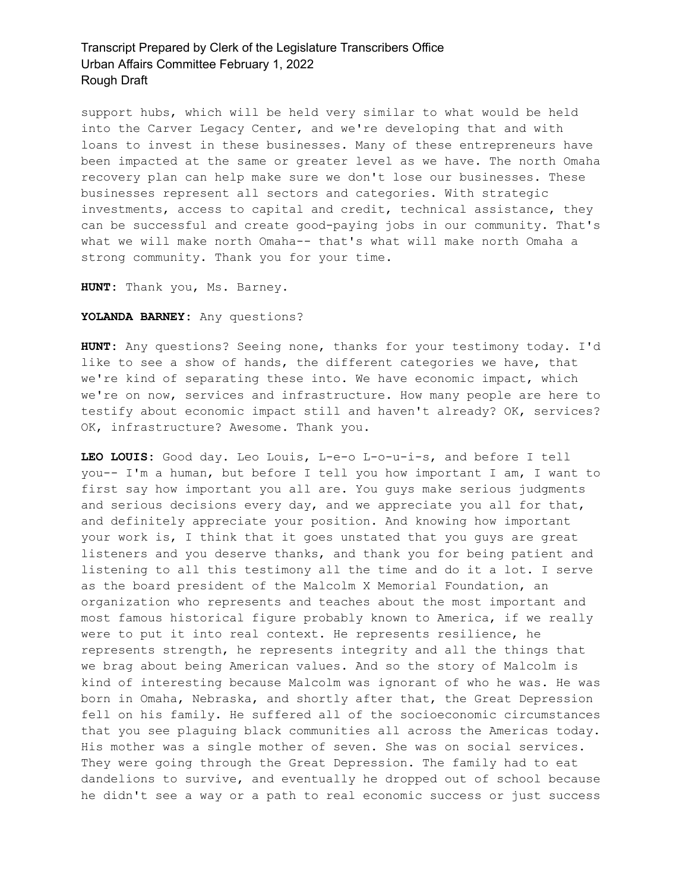support hubs, which will be held very similar to what would be held into the Carver Legacy Center, and we're developing that and with loans to invest in these businesses. Many of these entrepreneurs have been impacted at the same or greater level as we have. The north Omaha recovery plan can help make sure we don't lose our businesses. These businesses represent all sectors and categories. With strategic investments, access to capital and credit, technical assistance, they can be successful and create good-paying jobs in our community. That's what we will make north Omaha-- that's what will make north Omaha a strong community. Thank you for your time.

**HUNT:** Thank you, Ms. Barney.

#### **YOLANDA BARNEY:** Any questions?

**HUNT:** Any questions? Seeing none, thanks for your testimony today. I'd like to see a show of hands, the different categories we have, that we're kind of separating these into. We have economic impact, which we're on now, services and infrastructure. How many people are here to testify about economic impact still and haven't already? OK, services? OK, infrastructure? Awesome. Thank you.

**LEO LOUIS:** Good day. Leo Louis, L-e-o L-o-u-i-s, and before I tell you-- I'm a human, but before I tell you how important I am, I want to first say how important you all are. You guys make serious judgments and serious decisions every day, and we appreciate you all for that, and definitely appreciate your position. And knowing how important your work is, I think that it goes unstated that you guys are great listeners and you deserve thanks, and thank you for being patient and listening to all this testimony all the time and do it a lot. I serve as the board president of the Malcolm X Memorial Foundation, an organization who represents and teaches about the most important and most famous historical figure probably known to America, if we really were to put it into real context. He represents resilience, he represents strength, he represents integrity and all the things that we brag about being American values. And so the story of Malcolm is kind of interesting because Malcolm was ignorant of who he was. He was born in Omaha, Nebraska, and shortly after that, the Great Depression fell on his family. He suffered all of the socioeconomic circumstances that you see plaguing black communities all across the Americas today. His mother was a single mother of seven. She was on social services. They were going through the Great Depression. The family had to eat dandelions to survive, and eventually he dropped out of school because he didn't see a way or a path to real economic success or just success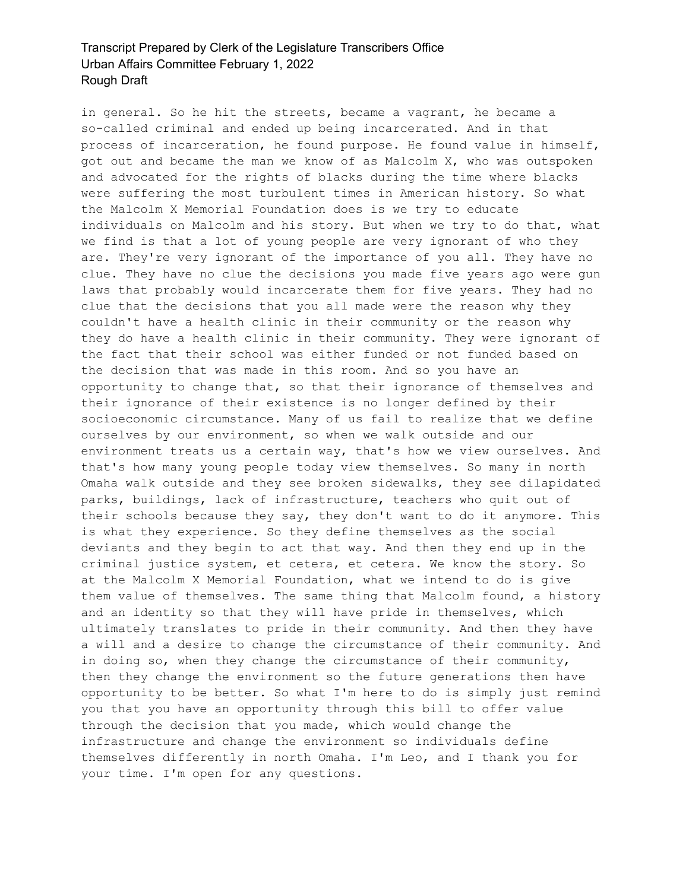in general. So he hit the streets, became a vagrant, he became a so-called criminal and ended up being incarcerated. And in that process of incarceration, he found purpose. He found value in himself, got out and became the man we know of as Malcolm X, who was outspoken and advocated for the rights of blacks during the time where blacks were suffering the most turbulent times in American history. So what the Malcolm X Memorial Foundation does is we try to educate individuals on Malcolm and his story. But when we try to do that, what we find is that a lot of young people are very ignorant of who they are. They're very ignorant of the importance of you all. They have no clue. They have no clue the decisions you made five years ago were gun laws that probably would incarcerate them for five years. They had no clue that the decisions that you all made were the reason why they couldn't have a health clinic in their community or the reason why they do have a health clinic in their community. They were ignorant of the fact that their school was either funded or not funded based on the decision that was made in this room. And so you have an opportunity to change that, so that their ignorance of themselves and their ignorance of their existence is no longer defined by their socioeconomic circumstance. Many of us fail to realize that we define ourselves by our environment, so when we walk outside and our environment treats us a certain way, that's how we view ourselves. And that's how many young people today view themselves. So many in north Omaha walk outside and they see broken sidewalks, they see dilapidated parks, buildings, lack of infrastructure, teachers who quit out of their schools because they say, they don't want to do it anymore. This is what they experience. So they define themselves as the social deviants and they begin to act that way. And then they end up in the criminal justice system, et cetera, et cetera. We know the story. So at the Malcolm X Memorial Foundation, what we intend to do is give them value of themselves. The same thing that Malcolm found, a history and an identity so that they will have pride in themselves, which ultimately translates to pride in their community. And then they have a will and a desire to change the circumstance of their community. And in doing so, when they change the circumstance of their community, then they change the environment so the future generations then have opportunity to be better. So what I'm here to do is simply just remind you that you have an opportunity through this bill to offer value through the decision that you made, which would change the infrastructure and change the environment so individuals define themselves differently in north Omaha. I'm Leo, and I thank you for your time. I'm open for any questions.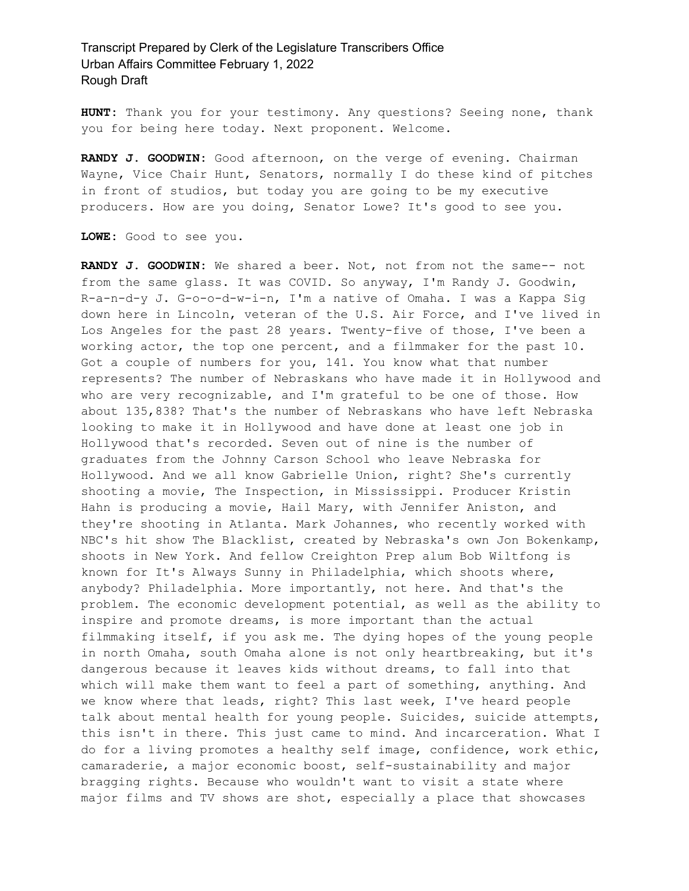**HUNT:** Thank you for your testimony. Any questions? Seeing none, thank you for being here today. Next proponent. Welcome.

**RANDY J. GOODWIN:** Good afternoon, on the verge of evening. Chairman Wayne, Vice Chair Hunt, Senators, normally I do these kind of pitches in front of studios, but today you are going to be my executive producers. How are you doing, Senator Lowe? It's good to see you.

**LOWE:** Good to see you.

**RANDY J. GOODWIN:** We shared a beer. Not, not from not the same-- not from the same glass. It was COVID. So anyway, I'm Randy J. Goodwin, R-a-n-d-y J. G-o-o-d-w-i-n, I'm a native of Omaha. I was a Kappa Sig down here in Lincoln, veteran of the U.S. Air Force, and I've lived in Los Angeles for the past 28 years. Twenty-five of those, I've been a working actor, the top one percent, and a filmmaker for the past 10. Got a couple of numbers for you, 141. You know what that number represents? The number of Nebraskans who have made it in Hollywood and who are very recognizable, and I'm grateful to be one of those. How about 135,838? That's the number of Nebraskans who have left Nebraska looking to make it in Hollywood and have done at least one job in Hollywood that's recorded. Seven out of nine is the number of graduates from the Johnny Carson School who leave Nebraska for Hollywood. And we all know Gabrielle Union, right? She's currently shooting a movie, The Inspection, in Mississippi. Producer Kristin Hahn is producing a movie, Hail Mary, with Jennifer Aniston, and they're shooting in Atlanta. Mark Johannes, who recently worked with NBC's hit show The Blacklist, created by Nebraska's own Jon Bokenkamp, shoots in New York. And fellow Creighton Prep alum Bob Wiltfong is known for It's Always Sunny in Philadelphia, which shoots where, anybody? Philadelphia. More importantly, not here. And that's the problem. The economic development potential, as well as the ability to inspire and promote dreams, is more important than the actual filmmaking itself, if you ask me. The dying hopes of the young people in north Omaha, south Omaha alone is not only heartbreaking, but it's dangerous because it leaves kids without dreams, to fall into that which will make them want to feel a part of something, anything. And we know where that leads, right? This last week, I've heard people talk about mental health for young people. Suicides, suicide attempts, this isn't in there. This just came to mind. And incarceration. What I do for a living promotes a healthy self image, confidence, work ethic, camaraderie, a major economic boost, self-sustainability and major bragging rights. Because who wouldn't want to visit a state where major films and TV shows are shot, especially a place that showcases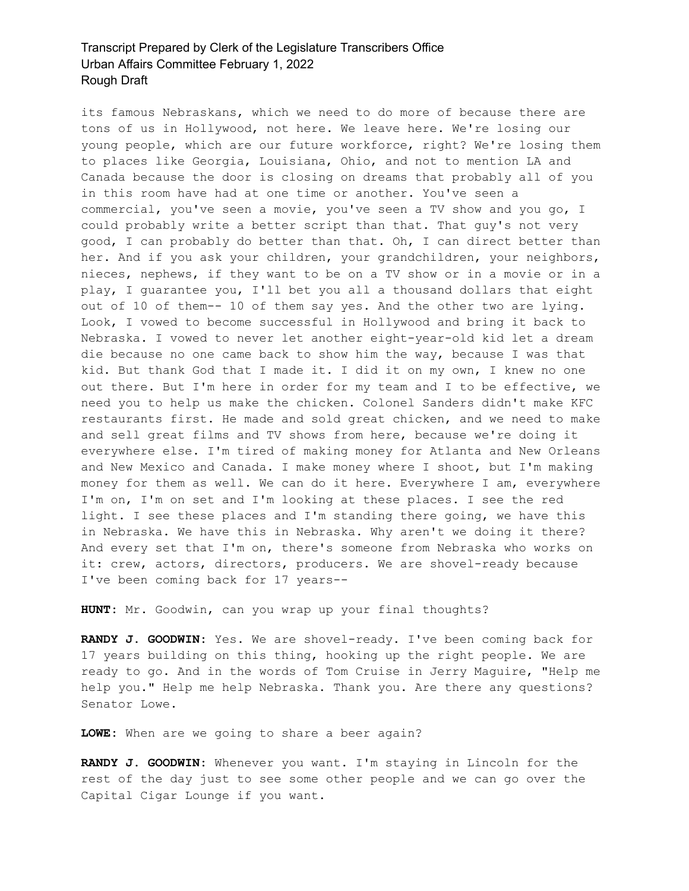its famous Nebraskans, which we need to do more of because there are tons of us in Hollywood, not here. We leave here. We're losing our young people, which are our future workforce, right? We're losing them to places like Georgia, Louisiana, Ohio, and not to mention LA and Canada because the door is closing on dreams that probably all of you in this room have had at one time or another. You've seen a commercial, you've seen a movie, you've seen a TV show and you go, I could probably write a better script than that. That guy's not very good, I can probably do better than that. Oh, I can direct better than her. And if you ask your children, your grandchildren, your neighbors, nieces, nephews, if they want to be on a TV show or in a movie or in a play, I guarantee you, I'll bet you all a thousand dollars that eight out of 10 of them-- 10 of them say yes. And the other two are lying. Look, I vowed to become successful in Hollywood and bring it back to Nebraska. I vowed to never let another eight-year-old kid let a dream die because no one came back to show him the way, because I was that kid. But thank God that I made it. I did it on my own, I knew no one out there. But I'm here in order for my team and I to be effective, we need you to help us make the chicken. Colonel Sanders didn't make KFC restaurants first. He made and sold great chicken, and we need to make and sell great films and TV shows from here, because we're doing it everywhere else. I'm tired of making money for Atlanta and New Orleans and New Mexico and Canada. I make money where I shoot, but I'm making money for them as well. We can do it here. Everywhere I am, everywhere I'm on, I'm on set and I'm looking at these places. I see the red light. I see these places and I'm standing there going, we have this in Nebraska. We have this in Nebraska. Why aren't we doing it there? And every set that I'm on, there's someone from Nebraska who works on it: crew, actors, directors, producers. We are shovel-ready because I've been coming back for 17 years--

**HUNT:** Mr. Goodwin, can you wrap up your final thoughts?

**RANDY J. GOODWIN:** Yes. We are shovel-ready. I've been coming back for 17 years building on this thing, hooking up the right people. We are ready to go. And in the words of Tom Cruise in Jerry Maguire, "Help me help you." Help me help Nebraska. Thank you. Are there any questions? Senator Lowe.

**LOWE:** When are we going to share a beer again?

**RANDY J. GOODWIN:** Whenever you want. I'm staying in Lincoln for the rest of the day just to see some other people and we can go over the Capital Cigar Lounge if you want.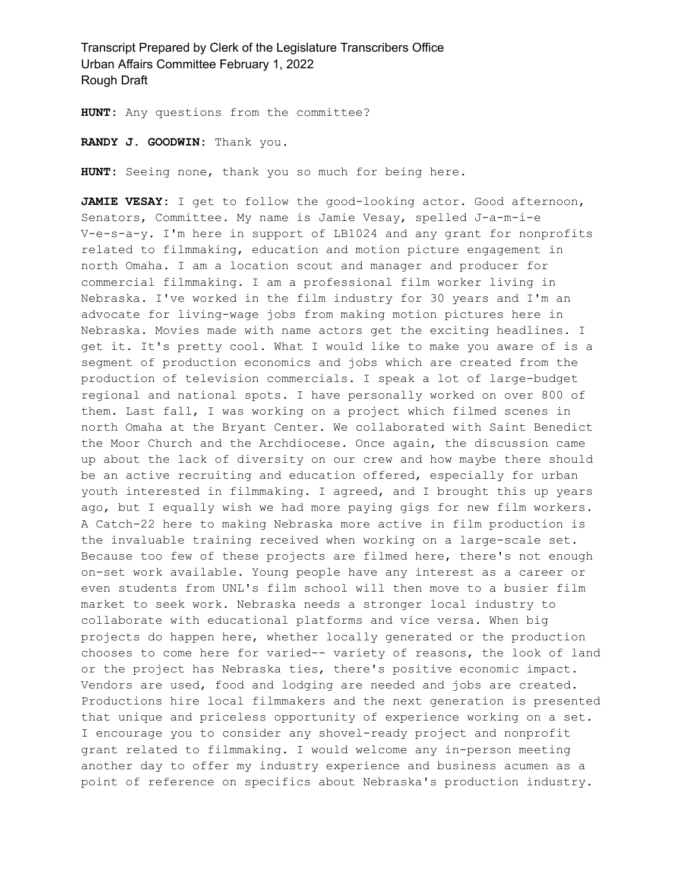**HUNT:** Any questions from the committee?

**RANDY J. GOODWIN:** Thank you.

**HUNT:** Seeing none, thank you so much for being here.

**JAMIE VESAY:** I get to follow the good-looking actor. Good afternoon, Senators, Committee. My name is Jamie Vesay, spelled J-a-m-i-e V-e-s-a-y. I'm here in support of LB1024 and any grant for nonprofits related to filmmaking, education and motion picture engagement in north Omaha. I am a location scout and manager and producer for commercial filmmaking. I am a professional film worker living in Nebraska. I've worked in the film industry for 30 years and I'm an advocate for living-wage jobs from making motion pictures here in Nebraska. Movies made with name actors get the exciting headlines. I get it. It's pretty cool. What I would like to make you aware of is a segment of production economics and jobs which are created from the production of television commercials. I speak a lot of large-budget regional and national spots. I have personally worked on over 800 of them. Last fall, I was working on a project which filmed scenes in north Omaha at the Bryant Center. We collaborated with Saint Benedict the Moor Church and the Archdiocese. Once again, the discussion came up about the lack of diversity on our crew and how maybe there should be an active recruiting and education offered, especially for urban youth interested in filmmaking. I agreed, and I brought this up years ago, but I equally wish we had more paying gigs for new film workers. A Catch-22 here to making Nebraska more active in film production is the invaluable training received when working on a large-scale set. Because too few of these projects are filmed here, there's not enough on-set work available. Young people have any interest as a career or even students from UNL's film school will then move to a busier film market to seek work. Nebraska needs a stronger local industry to collaborate with educational platforms and vice versa. When big projects do happen here, whether locally generated or the production chooses to come here for varied-- variety of reasons, the look of land or the project has Nebraska ties, there's positive economic impact. Vendors are used, food and lodging are needed and jobs are created. Productions hire local filmmakers and the next generation is presented that unique and priceless opportunity of experience working on a set. I encourage you to consider any shovel-ready project and nonprofit grant related to filmmaking. I would welcome any in-person meeting another day to offer my industry experience and business acumen as a point of reference on specifics about Nebraska's production industry.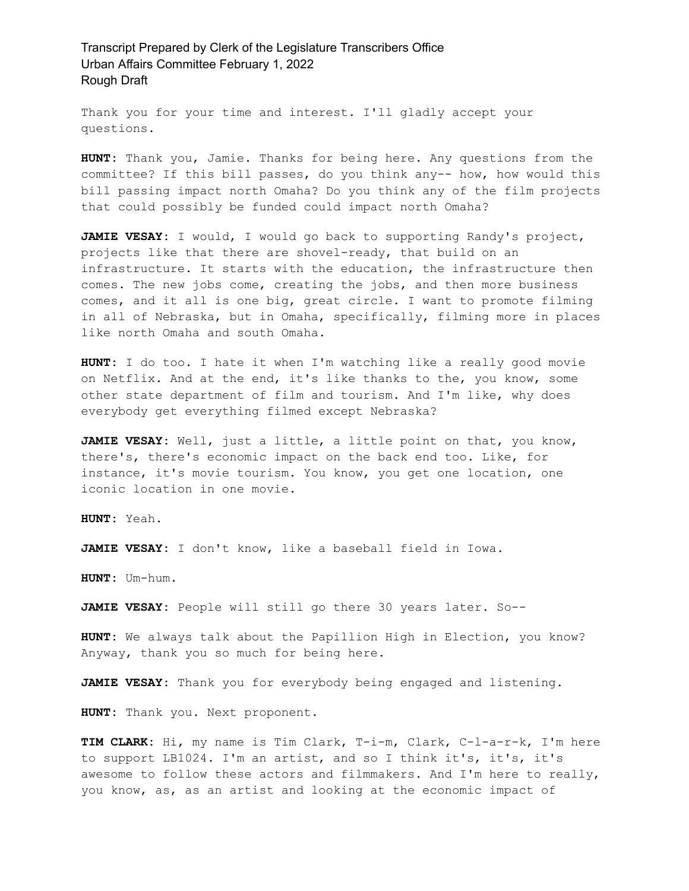Thank you for your time and interest. I'll gladly accept your questions.

**HUNT:** Thank you, Jamie. Thanks for being here. Any questions from the committee? If this bill passes, do you think any-- how, how would this bill passing impact north Omaha? Do you think any of the film projects that could possibly be funded could impact north Omaha?

**JAMIE VESAY:** I would, I would go back to supporting Randy's project, projects like that there are shovel-ready, that build on an infrastructure. It starts with the education, the infrastructure then comes. The new jobs come, creating the jobs, and then more business comes, and it all is one big, great circle. I want to promote filming in all of Nebraska, but in Omaha, specifically, filming more in places like north Omaha and south Omaha.

**HUNT:** I do too. I hate it when I'm watching like a really good movie on Netflix. And at the end, it's like thanks to the, you know, some other state department of film and tourism. And I'm like, why does everybody get everything filmed except Nebraska?

**JAMIE VESAY:** Well, just a little, a little point on that, you know, there's, there's economic impact on the back end too. Like, for instance, it's movie tourism. You know, you get one location, one iconic location in one movie.

**HUNT:** Yeah.

**JAMIE VESAY:** I don't know, like a baseball field in Iowa.

**HUNT:** Um-hum.

**JAMIE VESAY:** People will still go there 30 years later. So--

**HUNT:** We always talk about the Papillion High in Election, you know? Anyway, thank you so much for being here.

**JAMIE VESAY:** Thank you for everybody being engaged and listening.

**HUNT:** Thank you. Next proponent.

**TIM CLARK:** Hi, my name is Tim Clark, T-i-m, Clark, C-l-a-r-k, I'm here to support LB1024. I'm an artist, and so I think it's, it's, it's awesome to follow these actors and filmmakers. And I'm here to really, you know, as, as an artist and looking at the economic impact of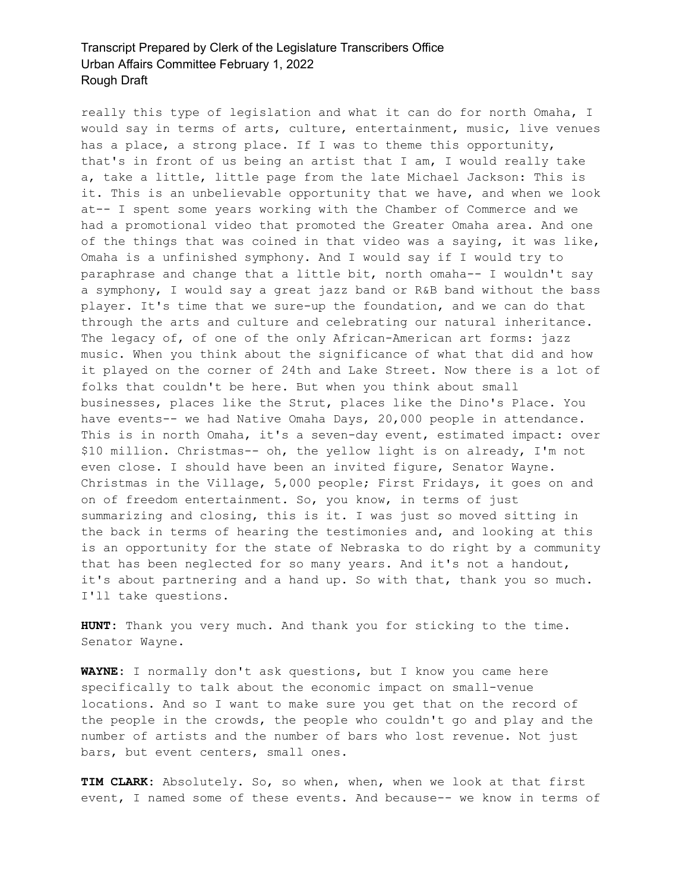really this type of legislation and what it can do for north Omaha, I would say in terms of arts, culture, entertainment, music, live venues has a place, a strong place. If I was to theme this opportunity, that's in front of us being an artist that I am, I would really take a, take a little, little page from the late Michael Jackson: This is it. This is an unbelievable opportunity that we have, and when we look at-- I spent some years working with the Chamber of Commerce and we had a promotional video that promoted the Greater Omaha area. And one of the things that was coined in that video was a saying, it was like, Omaha is a unfinished symphony. And I would say if I would try to paraphrase and change that a little bit, north omaha-- I wouldn't say a symphony, I would say a great jazz band or R&B band without the bass player. It's time that we sure-up the foundation, and we can do that through the arts and culture and celebrating our natural inheritance. The legacy of, of one of the only African-American art forms: jazz music. When you think about the significance of what that did and how it played on the corner of 24th and Lake Street. Now there is a lot of folks that couldn't be here. But when you think about small businesses, places like the Strut, places like the Dino's Place. You have events-- we had Native Omaha Days, 20,000 people in attendance. This is in north Omaha, it's a seven-day event, estimated impact: over \$10 million. Christmas-- oh, the yellow light is on already, I'm not even close. I should have been an invited figure, Senator Wayne. Christmas in the Village, 5,000 people; First Fridays, it goes on and on of freedom entertainment. So, you know, in terms of just summarizing and closing, this is it. I was just so moved sitting in the back in terms of hearing the testimonies and, and looking at this is an opportunity for the state of Nebraska to do right by a community that has been neglected for so many years. And it's not a handout, it's about partnering and a hand up. So with that, thank you so much. I'll take questions.

**HUNT:** Thank you very much. And thank you for sticking to the time. Senator Wayne.

**WAYNE:** I normally don't ask questions, but I know you came here specifically to talk about the economic impact on small-venue locations. And so I want to make sure you get that on the record of the people in the crowds, the people who couldn't go and play and the number of artists and the number of bars who lost revenue. Not just bars, but event centers, small ones.

**TIM CLARK:** Absolutely. So, so when, when, when we look at that first event, I named some of these events. And because-- we know in terms of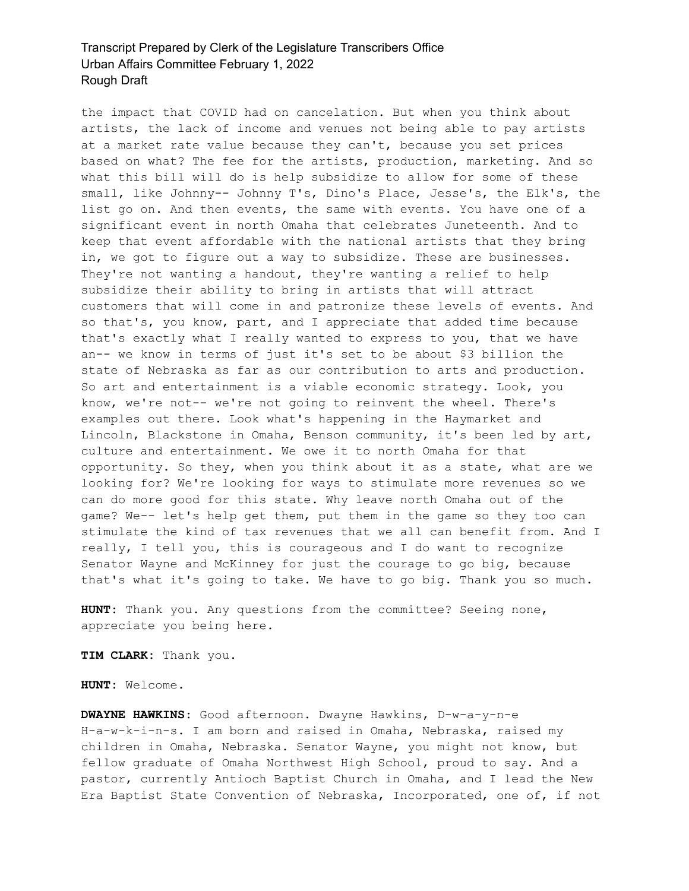the impact that COVID had on cancelation. But when you think about artists, the lack of income and venues not being able to pay artists at a market rate value because they can't, because you set prices based on what? The fee for the artists, production, marketing. And so what this bill will do is help subsidize to allow for some of these small, like Johnny-- Johnny T's, Dino's Place, Jesse's, the Elk's, the list go on. And then events, the same with events. You have one of a significant event in north Omaha that celebrates Juneteenth. And to keep that event affordable with the national artists that they bring in, we got to figure out a way to subsidize. These are businesses. They're not wanting a handout, they're wanting a relief to help subsidize their ability to bring in artists that will attract customers that will come in and patronize these levels of events. And so that's, you know, part, and I appreciate that added time because that's exactly what I really wanted to express to you, that we have an-- we know in terms of just it's set to be about \$3 billion the state of Nebraska as far as our contribution to arts and production. So art and entertainment is a viable economic strategy. Look, you know, we're not-- we're not going to reinvent the wheel. There's examples out there. Look what's happening in the Haymarket and Lincoln, Blackstone in Omaha, Benson community, it's been led by art, culture and entertainment. We owe it to north Omaha for that opportunity. So they, when you think about it as a state, what are we looking for? We're looking for ways to stimulate more revenues so we can do more good for this state. Why leave north Omaha out of the game? We-- let's help get them, put them in the game so they too can stimulate the kind of tax revenues that we all can benefit from. And I really, I tell you, this is courageous and I do want to recognize Senator Wayne and McKinney for just the courage to go big, because that's what it's going to take. We have to go big. Thank you so much.

**HUNT:** Thank you. Any questions from the committee? Seeing none, appreciate you being here.

**TIM CLARK:** Thank you.

**HUNT:** Welcome.

**DWAYNE HAWKINS:** Good afternoon. Dwayne Hawkins, D-w-a-y-n-e H-a-w-k-i-n-s. I am born and raised in Omaha, Nebraska, raised my children in Omaha, Nebraska. Senator Wayne, you might not know, but fellow graduate of Omaha Northwest High School, proud to say. And a pastor, currently Antioch Baptist Church in Omaha, and I lead the New Era Baptist State Convention of Nebraska, Incorporated, one of, if not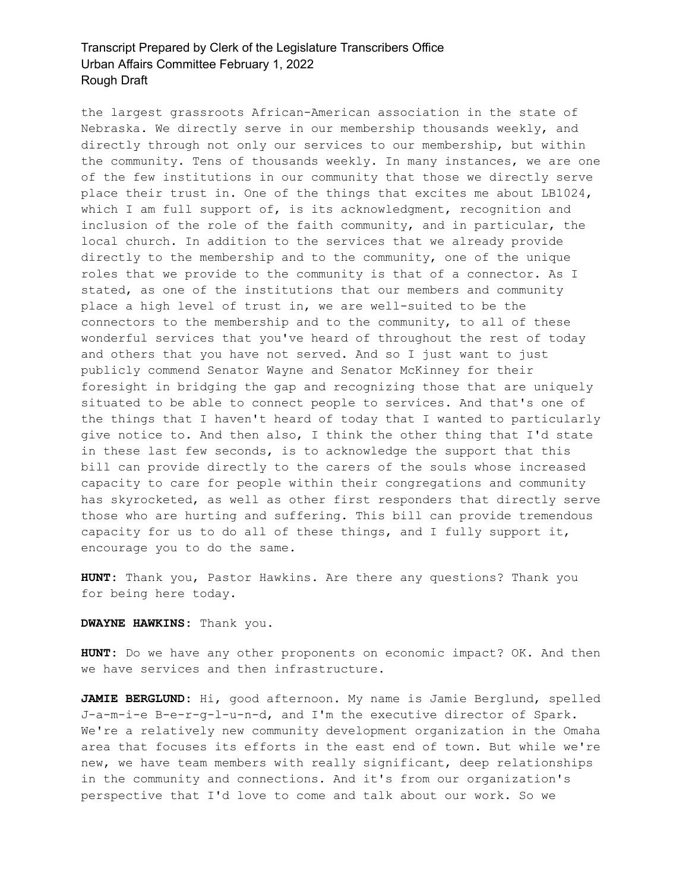the largest grassroots African-American association in the state of Nebraska. We directly serve in our membership thousands weekly, and directly through not only our services to our membership, but within the community. Tens of thousands weekly. In many instances, we are one of the few institutions in our community that those we directly serve place their trust in. One of the things that excites me about LB1024, which I am full support of, is its acknowledgment, recognition and inclusion of the role of the faith community, and in particular, the local church. In addition to the services that we already provide directly to the membership and to the community, one of the unique roles that we provide to the community is that of a connector. As I stated, as one of the institutions that our members and community place a high level of trust in, we are well-suited to be the connectors to the membership and to the community, to all of these wonderful services that you've heard of throughout the rest of today and others that you have not served. And so I just want to just publicly commend Senator Wayne and Senator McKinney for their foresight in bridging the gap and recognizing those that are uniquely situated to be able to connect people to services. And that's one of the things that I haven't heard of today that I wanted to particularly give notice to. And then also, I think the other thing that I'd state in these last few seconds, is to acknowledge the support that this bill can provide directly to the carers of the souls whose increased capacity to care for people within their congregations and community has skyrocketed, as well as other first responders that directly serve those who are hurting and suffering. This bill can provide tremendous capacity for us to do all of these things, and I fully support it, encourage you to do the same.

**HUNT:** Thank you, Pastor Hawkins. Are there any questions? Thank you for being here today.

#### **DWAYNE HAWKINS:** Thank you.

**HUNT:** Do we have any other proponents on economic impact? OK. And then we have services and then infrastructure.

**JAMIE BERGLUND:** Hi, good afternoon. My name is Jamie Berglund, spelled J-a-m-i-e B-e-r-g-l-u-n-d, and I'm the executive director of Spark. We're a relatively new community development organization in the Omaha area that focuses its efforts in the east end of town. But while we're new, we have team members with really significant, deep relationships in the community and connections. And it's from our organization's perspective that I'd love to come and talk about our work. So we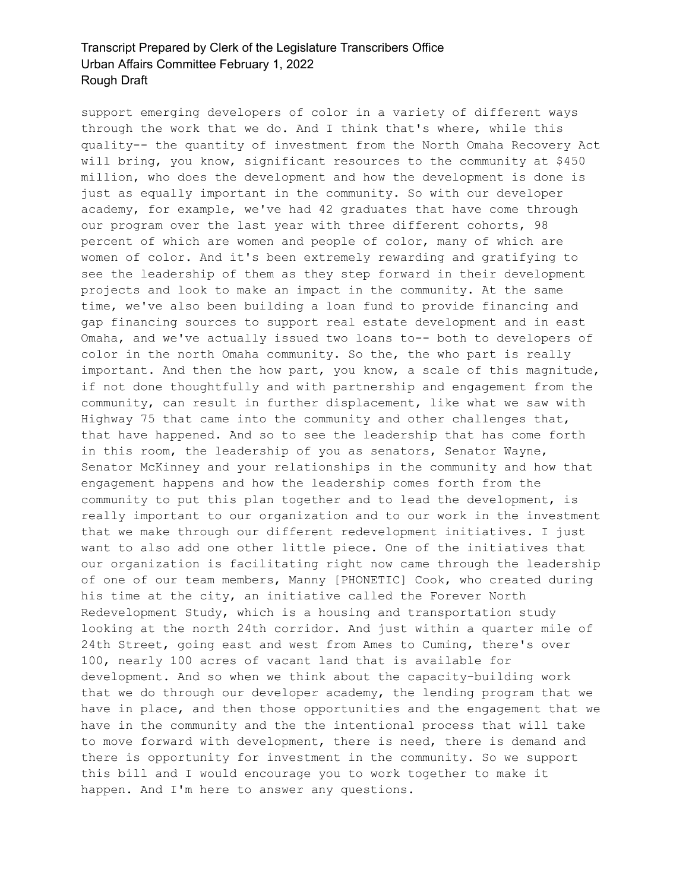support emerging developers of color in a variety of different ways through the work that we do. And I think that's where, while this quality-- the quantity of investment from the North Omaha Recovery Act will bring, you know, significant resources to the community at \$450 million, who does the development and how the development is done is just as equally important in the community. So with our developer academy, for example, we've had 42 graduates that have come through our program over the last year with three different cohorts, 98 percent of which are women and people of color, many of which are women of color. And it's been extremely rewarding and gratifying to see the leadership of them as they step forward in their development projects and look to make an impact in the community. At the same time, we've also been building a loan fund to provide financing and gap financing sources to support real estate development and in east Omaha, and we've actually issued two loans to-- both to developers of color in the north Omaha community. So the, the who part is really important. And then the how part, you know, a scale of this magnitude, if not done thoughtfully and with partnership and engagement from the community, can result in further displacement, like what we saw with Highway 75 that came into the community and other challenges that, that have happened. And so to see the leadership that has come forth in this room, the leadership of you as senators, Senator Wayne, Senator McKinney and your relationships in the community and how that engagement happens and how the leadership comes forth from the community to put this plan together and to lead the development, is really important to our organization and to our work in the investment that we make through our different redevelopment initiatives. I just want to also add one other little piece. One of the initiatives that our organization is facilitating right now came through the leadership of one of our team members, Manny [PHONETIC] Cook, who created during his time at the city, an initiative called the Forever North Redevelopment Study, which is a housing and transportation study looking at the north 24th corridor. And just within a quarter mile of 24th Street, going east and west from Ames to Cuming, there's over 100, nearly 100 acres of vacant land that is available for development. And so when we think about the capacity-building work that we do through our developer academy, the lending program that we have in place, and then those opportunities and the engagement that we have in the community and the the intentional process that will take to move forward with development, there is need, there is demand and there is opportunity for investment in the community. So we support this bill and I would encourage you to work together to make it happen. And I'm here to answer any questions.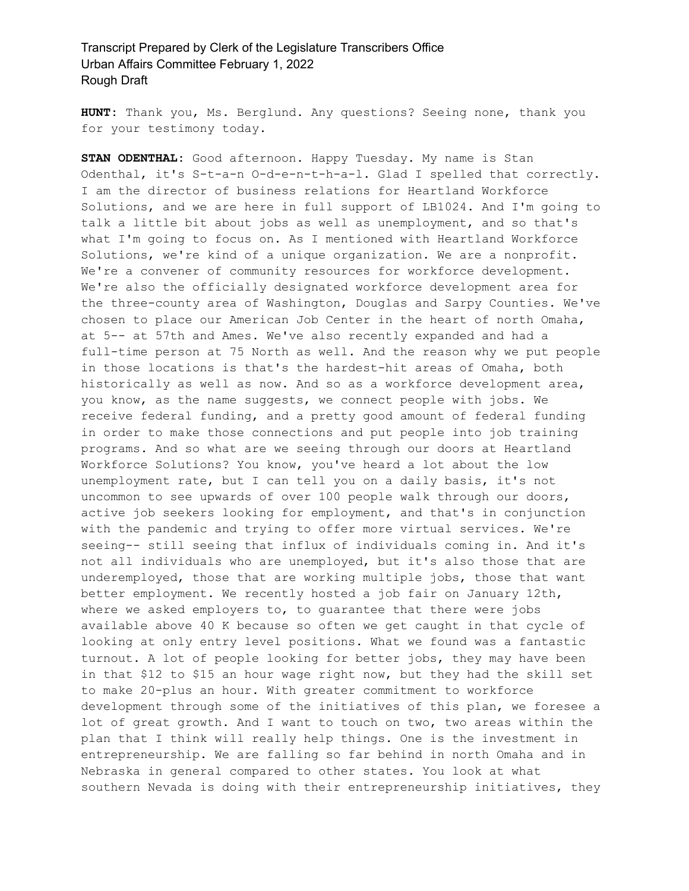**HUNT:** Thank you, Ms. Berglund. Any questions? Seeing none, thank you for your testimony today.

**STAN ODENTHAL:** Good afternoon. Happy Tuesday. My name is Stan Odenthal, it's S-t-a-n O-d-e-n-t-h-a-l. Glad I spelled that correctly. I am the director of business relations for Heartland Workforce Solutions, and we are here in full support of LB1024. And I'm going to talk a little bit about jobs as well as unemployment, and so that's what I'm going to focus on. As I mentioned with Heartland Workforce Solutions, we're kind of a unique organization. We are a nonprofit. We're a convener of community resources for workforce development. We're also the officially designated workforce development area for the three-county area of Washington, Douglas and Sarpy Counties. We've chosen to place our American Job Center in the heart of north Omaha, at 5-- at 57th and Ames. We've also recently expanded and had a full-time person at 75 North as well. And the reason why we put people in those locations is that's the hardest-hit areas of Omaha, both historically as well as now. And so as a workforce development area, you know, as the name suggests, we connect people with jobs. We receive federal funding, and a pretty good amount of federal funding in order to make those connections and put people into job training programs. And so what are we seeing through our doors at Heartland Workforce Solutions? You know, you've heard a lot about the low unemployment rate, but I can tell you on a daily basis, it's not uncommon to see upwards of over 100 people walk through our doors, active job seekers looking for employment, and that's in conjunction with the pandemic and trying to offer more virtual services. We're seeing-- still seeing that influx of individuals coming in. And it's not all individuals who are unemployed, but it's also those that are underemployed, those that are working multiple jobs, those that want better employment. We recently hosted a job fair on January 12th, where we asked employers to, to guarantee that there were jobs available above 40 K because so often we get caught in that cycle of looking at only entry level positions. What we found was a fantastic turnout. A lot of people looking for better jobs, they may have been in that \$12 to \$15 an hour wage right now, but they had the skill set to make 20-plus an hour. With greater commitment to workforce development through some of the initiatives of this plan, we foresee a lot of great growth. And I want to touch on two, two areas within the plan that I think will really help things. One is the investment in entrepreneurship. We are falling so far behind in north Omaha and in Nebraska in general compared to other states. You look at what southern Nevada is doing with their entrepreneurship initiatives, they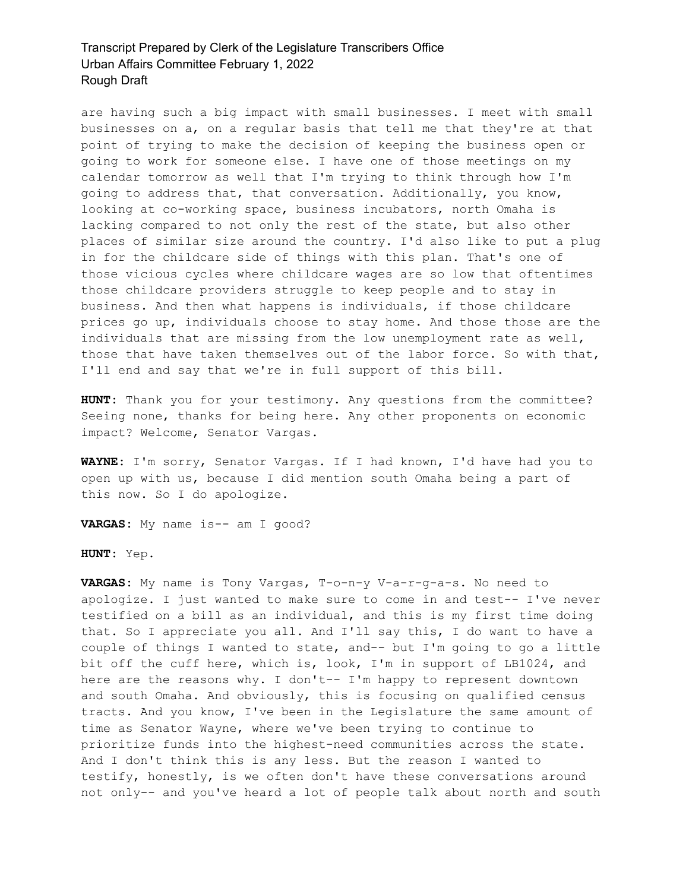are having such a big impact with small businesses. I meet with small businesses on a, on a regular basis that tell me that they're at that point of trying to make the decision of keeping the business open or going to work for someone else. I have one of those meetings on my calendar tomorrow as well that I'm trying to think through how I'm going to address that, that conversation. Additionally, you know, looking at co-working space, business incubators, north Omaha is lacking compared to not only the rest of the state, but also other places of similar size around the country. I'd also like to put a plug in for the childcare side of things with this plan. That's one of those vicious cycles where childcare wages are so low that oftentimes those childcare providers struggle to keep people and to stay in business. And then what happens is individuals, if those childcare prices go up, individuals choose to stay home. And those those are the individuals that are missing from the low unemployment rate as well, those that have taken themselves out of the labor force. So with that, I'll end and say that we're in full support of this bill.

**HUNT:** Thank you for your testimony. Any questions from the committee? Seeing none, thanks for being here. Any other proponents on economic impact? Welcome, Senator Vargas.

**WAYNE:** I'm sorry, Senator Vargas. If I had known, I'd have had you to open up with us, because I did mention south Omaha being a part of this now. So I do apologize.

**VARGAS:** My name is-- am I good?

**HUNT:** Yep.

**VARGAS:** My name is Tony Vargas, T-o-n-y V-a-r-g-a-s. No need to apologize. I just wanted to make sure to come in and test-- I've never testified on a bill as an individual, and this is my first time doing that. So I appreciate you all. And I'll say this, I do want to have a couple of things I wanted to state, and-- but I'm going to go a little bit off the cuff here, which is, look, I'm in support of LB1024, and here are the reasons why. I don't-- I'm happy to represent downtown and south Omaha. And obviously, this is focusing on qualified census tracts. And you know, I've been in the Legislature the same amount of time as Senator Wayne, where we've been trying to continue to prioritize funds into the highest-need communities across the state. And I don't think this is any less. But the reason I wanted to testify, honestly, is we often don't have these conversations around not only-- and you've heard a lot of people talk about north and south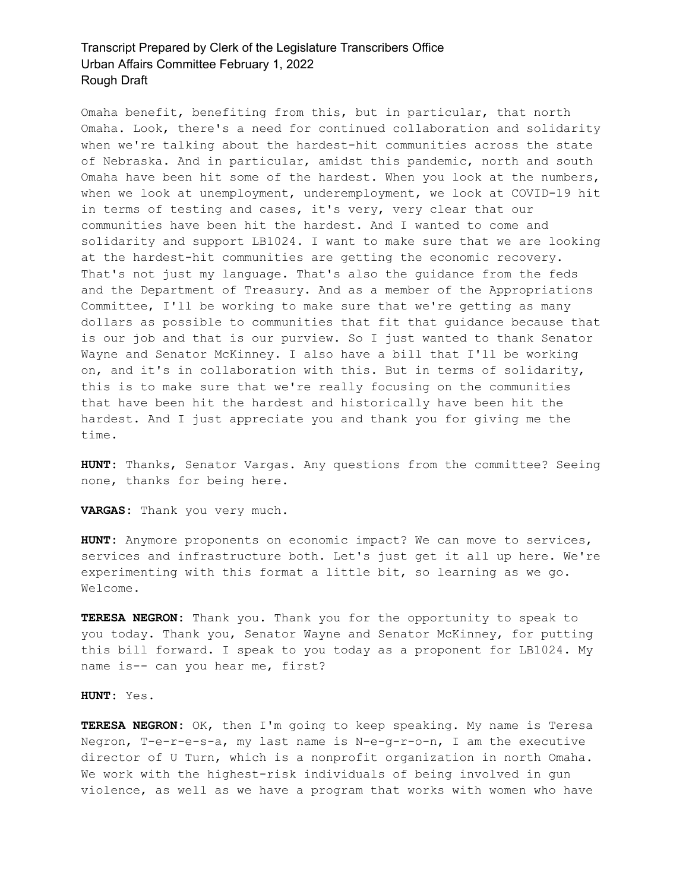Omaha benefit, benefiting from this, but in particular, that north Omaha. Look, there's a need for continued collaboration and solidarity when we're talking about the hardest-hit communities across the state of Nebraska. And in particular, amidst this pandemic, north and south Omaha have been hit some of the hardest. When you look at the numbers, when we look at unemployment, underemployment, we look at COVID-19 hit in terms of testing and cases, it's very, very clear that our communities have been hit the hardest. And I wanted to come and solidarity and support LB1024. I want to make sure that we are looking at the hardest-hit communities are getting the economic recovery. That's not just my language. That's also the guidance from the feds and the Department of Treasury. And as a member of the Appropriations Committee, I'll be working to make sure that we're getting as many dollars as possible to communities that fit that guidance because that is our job and that is our purview. So I just wanted to thank Senator Wayne and Senator McKinney. I also have a bill that I'll be working on, and it's in collaboration with this. But in terms of solidarity, this is to make sure that we're really focusing on the communities that have been hit the hardest and historically have been hit the hardest. And I just appreciate you and thank you for giving me the time.

**HUNT:** Thanks, Senator Vargas. Any questions from the committee? Seeing none, thanks for being here.

**VARGAS:** Thank you very much.

**HUNT:** Anymore proponents on economic impact? We can move to services, services and infrastructure both. Let's just get it all up here. We're experimenting with this format a little bit, so learning as we go. Welcome.

**TERESA NEGRON:** Thank you. Thank you for the opportunity to speak to you today. Thank you, Senator Wayne and Senator McKinney, for putting this bill forward. I speak to you today as a proponent for LB1024. My name is-- can you hear me, first?

#### **HUNT:** Yes.

**TERESA NEGRON:** OK, then I'm going to keep speaking. My name is Teresa Negron, T-e-r-e-s-a, my last name is N-e-g-r-o-n, I am the executive director of U Turn, which is a nonprofit organization in north Omaha. We work with the highest-risk individuals of being involved in gun violence, as well as we have a program that works with women who have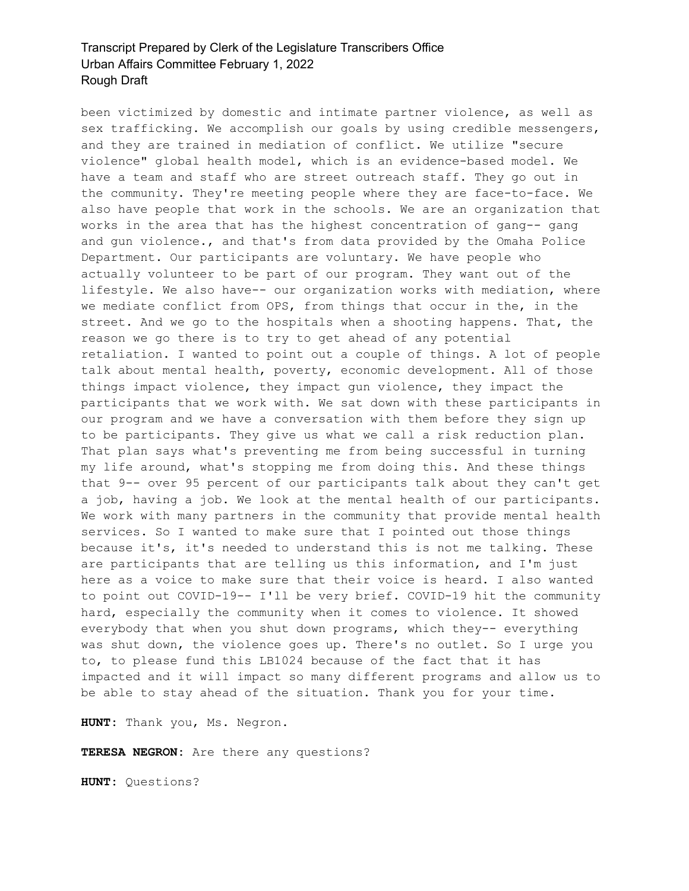been victimized by domestic and intimate partner violence, as well as sex trafficking. We accomplish our goals by using credible messengers, and they are trained in mediation of conflict. We utilize "secure violence" global health model, which is an evidence-based model. We have a team and staff who are street outreach staff. They go out in the community. They're meeting people where they are face-to-face. We also have people that work in the schools. We are an organization that works in the area that has the highest concentration of gang-- gang and gun violence., and that's from data provided by the Omaha Police Department. Our participants are voluntary. We have people who actually volunteer to be part of our program. They want out of the lifestyle. We also have-- our organization works with mediation, where we mediate conflict from OPS, from things that occur in the, in the street. And we go to the hospitals when a shooting happens. That, the reason we go there is to try to get ahead of any potential retaliation. I wanted to point out a couple of things. A lot of people talk about mental health, poverty, economic development. All of those things impact violence, they impact gun violence, they impact the participants that we work with. We sat down with these participants in our program and we have a conversation with them before they sign up to be participants. They give us what we call a risk reduction plan. That plan says what's preventing me from being successful in turning my life around, what's stopping me from doing this. And these things that 9-- over 95 percent of our participants talk about they can't get a job, having a job. We look at the mental health of our participants. We work with many partners in the community that provide mental health services. So I wanted to make sure that I pointed out those things because it's, it's needed to understand this is not me talking. These are participants that are telling us this information, and I'm just here as a voice to make sure that their voice is heard. I also wanted to point out COVID-19-- I'll be very brief. COVID-19 hit the community hard, especially the community when it comes to violence. It showed everybody that when you shut down programs, which they-- everything was shut down, the violence goes up. There's no outlet. So I urge you to, to please fund this LB1024 because of the fact that it has impacted and it will impact so many different programs and allow us to be able to stay ahead of the situation. Thank you for your time.

**HUNT:** Thank you, Ms. Negron.

**TERESA NEGRON:** Are there any questions?

**HUNT:** Questions?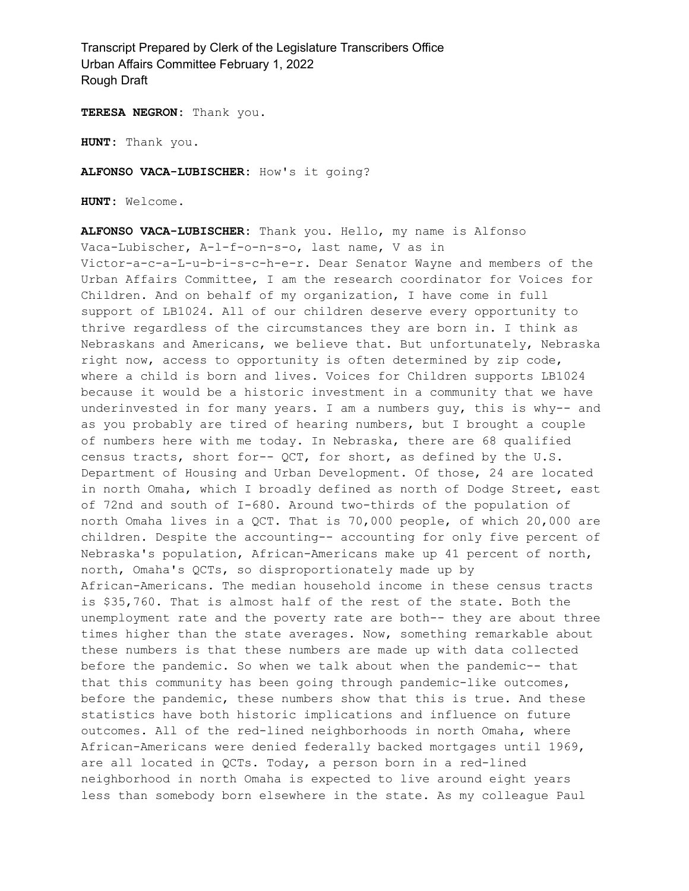**TERESA NEGRON:** Thank you.

**HUNT:** Thank you.

**ALFONSO VACA-LUBISCHER:** How's it going?

**HUNT:** Welcome.

**ALFONSO VACA-LUBISCHER:** Thank you. Hello, my name is Alfonso Vaca-Lubischer, A-l-f-o-n-s-o, last name, V as in Victor-a-c-a-L-u-b-i-s-c-h-e-r. Dear Senator Wayne and members of the Urban Affairs Committee, I am the research coordinator for Voices for Children. And on behalf of my organization, I have come in full support of LB1024. All of our children deserve every opportunity to thrive regardless of the circumstances they are born in. I think as Nebraskans and Americans, we believe that. But unfortunately, Nebraska right now, access to opportunity is often determined by zip code, where a child is born and lives. Voices for Children supports LB1024 because it would be a historic investment in a community that we have underinvested in for many years. I am a numbers guy, this is why-- and as you probably are tired of hearing numbers, but I brought a couple of numbers here with me today. In Nebraska, there are 68 qualified census tracts, short for-- QCT, for short, as defined by the U.S. Department of Housing and Urban Development. Of those, 24 are located in north Omaha, which I broadly defined as north of Dodge Street, east of 72nd and south of I-680. Around two-thirds of the population of north Omaha lives in a QCT. That is 70,000 people, of which 20,000 are children. Despite the accounting-- accounting for only five percent of Nebraska's population, African-Americans make up 41 percent of north, north, Omaha's QCTs, so disproportionately made up by African-Americans. The median household income in these census tracts is \$35,760. That is almost half of the rest of the state. Both the unemployment rate and the poverty rate are both-- they are about three times higher than the state averages. Now, something remarkable about these numbers is that these numbers are made up with data collected before the pandemic. So when we talk about when the pandemic-- that that this community has been going through pandemic-like outcomes, before the pandemic, these numbers show that this is true. And these statistics have both historic implications and influence on future outcomes. All of the red-lined neighborhoods in north Omaha, where African-Americans were denied federally backed mortgages until 1969, are all located in QCTs. Today, a person born in a red-lined neighborhood in north Omaha is expected to live around eight years less than somebody born elsewhere in the state. As my colleague Paul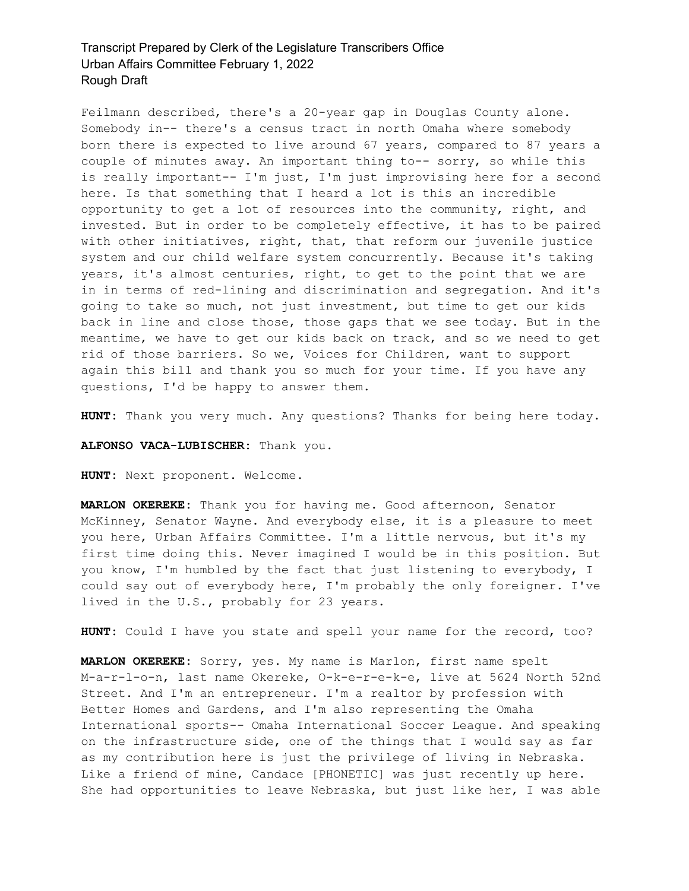Feilmann described, there's a 20-year gap in Douglas County alone. Somebody in-- there's a census tract in north Omaha where somebody born there is expected to live around 67 years, compared to 87 years a couple of minutes away. An important thing to-- sorry, so while this is really important-- I'm just, I'm just improvising here for a second here. Is that something that I heard a lot is this an incredible opportunity to get a lot of resources into the community, right, and invested. But in order to be completely effective, it has to be paired with other initiatives, right, that, that reform our juvenile justice system and our child welfare system concurrently. Because it's taking years, it's almost centuries, right, to get to the point that we are in in terms of red-lining and discrimination and segregation. And it's going to take so much, not just investment, but time to get our kids back in line and close those, those gaps that we see today. But in the meantime, we have to get our kids back on track, and so we need to get rid of those barriers. So we, Voices for Children, want to support again this bill and thank you so much for your time. If you have any questions, I'd be happy to answer them.

**HUNT:** Thank you very much. Any questions? Thanks for being here today.

**ALFONSO VACA-LUBISCHER:** Thank you.

**HUNT:** Next proponent. Welcome.

**MARLON OKEREKE:** Thank you for having me. Good afternoon, Senator McKinney, Senator Wayne. And everybody else, it is a pleasure to meet you here, Urban Affairs Committee. I'm a little nervous, but it's my first time doing this. Never imagined I would be in this position. But you know, I'm humbled by the fact that just listening to everybody, I could say out of everybody here, I'm probably the only foreigner. I've lived in the U.S., probably for 23 years.

**HUNT:** Could I have you state and spell your name for the record, too?

**MARLON OKEREKE:** Sorry, yes. My name is Marlon, first name spelt M-a-r-l-o-n, last name Okereke, O-k-e-r-e-k-e, live at 5624 North 52nd Street. And I'm an entrepreneur. I'm a realtor by profession with Better Homes and Gardens, and I'm also representing the Omaha International sports-- Omaha International Soccer League. And speaking on the infrastructure side, one of the things that I would say as far as my contribution here is just the privilege of living in Nebraska. Like a friend of mine, Candace [PHONETIC] was just recently up here. She had opportunities to leave Nebraska, but just like her, I was able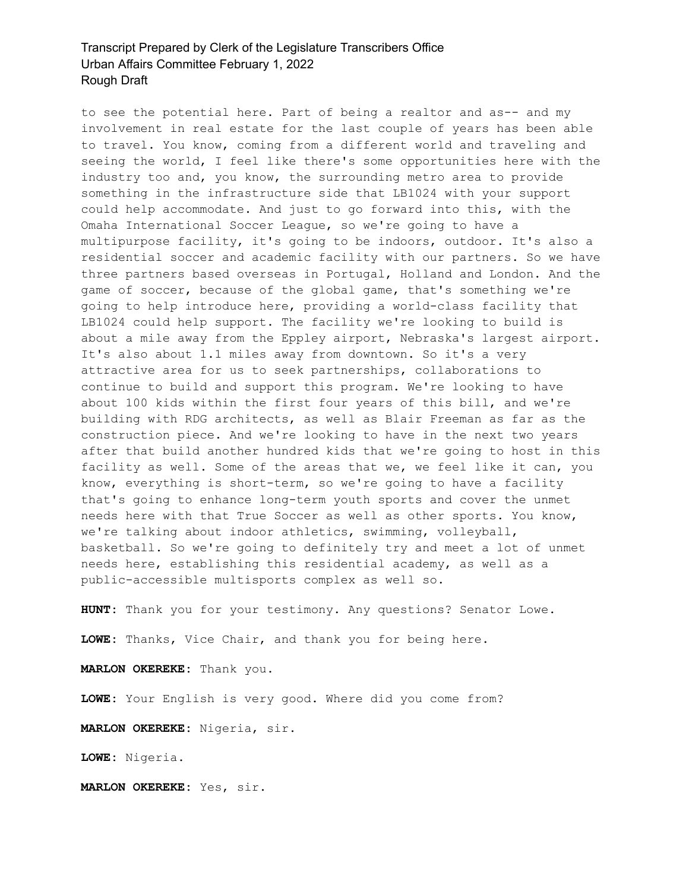to see the potential here. Part of being a realtor and as-- and my involvement in real estate for the last couple of years has been able to travel. You know, coming from a different world and traveling and seeing the world, I feel like there's some opportunities here with the industry too and, you know, the surrounding metro area to provide something in the infrastructure side that LB1024 with your support could help accommodate. And just to go forward into this, with the Omaha International Soccer League, so we're going to have a multipurpose facility, it's going to be indoors, outdoor. It's also a residential soccer and academic facility with our partners. So we have three partners based overseas in Portugal, Holland and London. And the game of soccer, because of the global game, that's something we're going to help introduce here, providing a world-class facility that LB1024 could help support. The facility we're looking to build is about a mile away from the Eppley airport, Nebraska's largest airport. It's also about 1.1 miles away from downtown. So it's a very attractive area for us to seek partnerships, collaborations to continue to build and support this program. We're looking to have about 100 kids within the first four years of this bill, and we're building with RDG architects, as well as Blair Freeman as far as the construction piece. And we're looking to have in the next two years after that build another hundred kids that we're going to host in this facility as well. Some of the areas that we, we feel like it can, you know, everything is short-term, so we're going to have a facility that's going to enhance long-term youth sports and cover the unmet needs here with that True Soccer as well as other sports. You know, we're talking about indoor athletics, swimming, volleyball, basketball. So we're going to definitely try and meet a lot of unmet needs here, establishing this residential academy, as well as a public-accessible multisports complex as well so.

**HUNT:** Thank you for your testimony. Any questions? Senator Lowe.

**LOWE:** Thanks, Vice Chair, and thank you for being here.

**MARLON OKEREKE:** Thank you.

**LOWE:** Your English is very good. Where did you come from?

**MARLON OKEREKE:** Nigeria, sir.

**LOWE:** Nigeria.

**MARLON OKEREKE:** Yes, sir.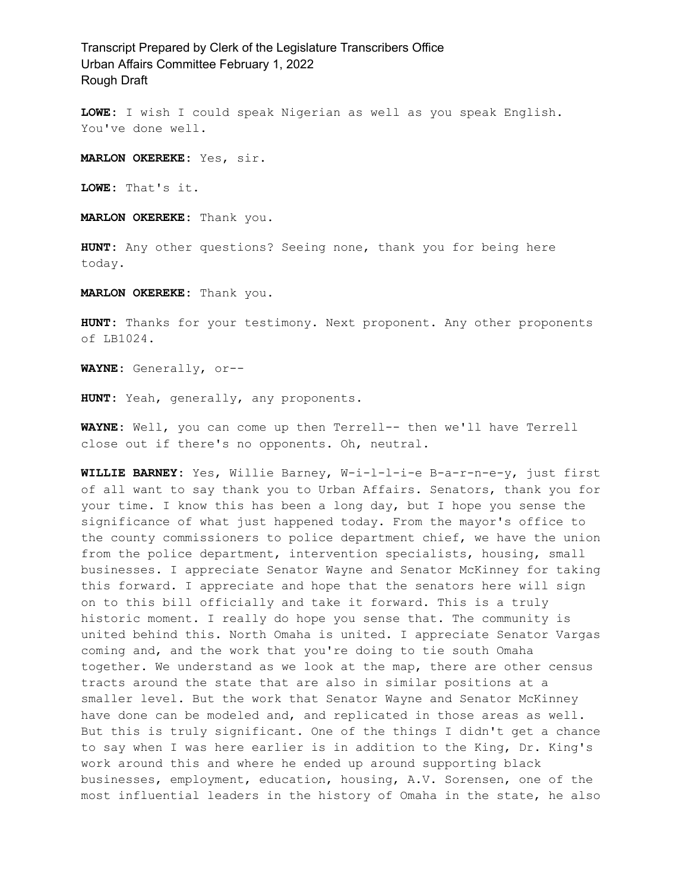**LOWE:** I wish I could speak Nigerian as well as you speak English. You've done well.

**MARLON OKEREKE:** Yes, sir.

**LOWE:** That's it.

**MARLON OKEREKE:** Thank you.

**HUNT:** Any other questions? Seeing none, thank you for being here today.

**MARLON OKEREKE:** Thank you.

**HUNT:** Thanks for your testimony. Next proponent. Any other proponents of LB1024.

**WAYNE:** Generally, or--

**HUNT:** Yeah, generally, any proponents.

**WAYNE:** Well, you can come up then Terrell-- then we'll have Terrell close out if there's no opponents. Oh, neutral.

**WILLIE BARNEY:** Yes, Willie Barney, W-i-l-l-i-e B-a-r-n-e-y, just first of all want to say thank you to Urban Affairs. Senators, thank you for your time. I know this has been a long day, but I hope you sense the significance of what just happened today. From the mayor's office to the county commissioners to police department chief, we have the union from the police department, intervention specialists, housing, small businesses. I appreciate Senator Wayne and Senator McKinney for taking this forward. I appreciate and hope that the senators here will sign on to this bill officially and take it forward. This is a truly historic moment. I really do hope you sense that. The community is united behind this. North Omaha is united. I appreciate Senator Vargas coming and, and the work that you're doing to tie south Omaha together. We understand as we look at the map, there are other census tracts around the state that are also in similar positions at a smaller level. But the work that Senator Wayne and Senator McKinney have done can be modeled and, and replicated in those areas as well. But this is truly significant. One of the things I didn't get a chance to say when I was here earlier is in addition to the King, Dr. King's work around this and where he ended up around supporting black businesses, employment, education, housing, A.V. Sorensen, one of the most influential leaders in the history of Omaha in the state, he also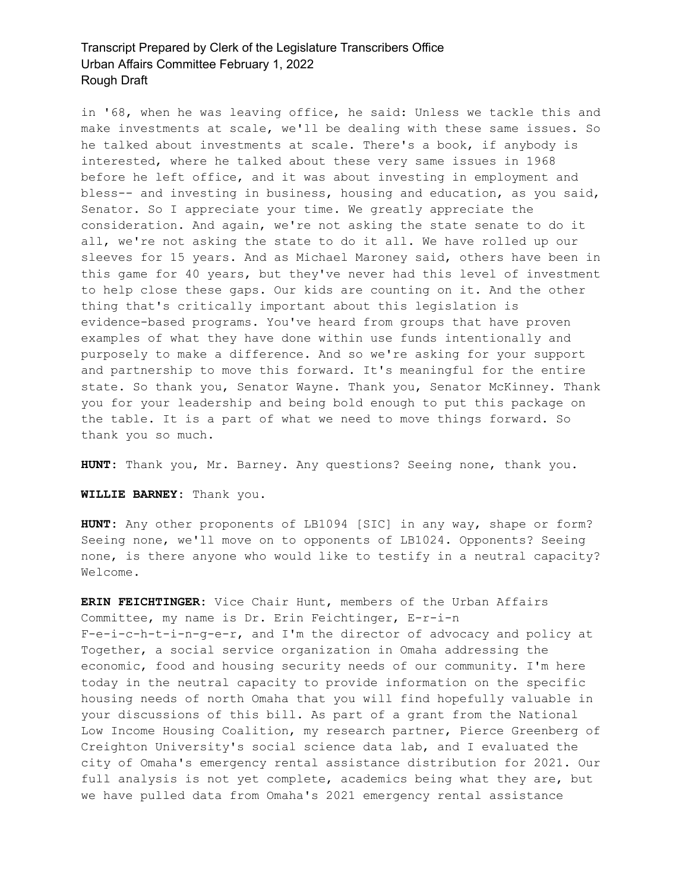in '68, when he was leaving office, he said: Unless we tackle this and make investments at scale, we'll be dealing with these same issues. So he talked about investments at scale. There's a book, if anybody is interested, where he talked about these very same issues in 1968 before he left office, and it was about investing in employment and bless-- and investing in business, housing and education, as you said, Senator. So I appreciate your time. We greatly appreciate the consideration. And again, we're not asking the state senate to do it all, we're not asking the state to do it all. We have rolled up our sleeves for 15 years. And as Michael Maroney said, others have been in this game for 40 years, but they've never had this level of investment to help close these gaps. Our kids are counting on it. And the other thing that's critically important about this legislation is evidence-based programs. You've heard from groups that have proven examples of what they have done within use funds intentionally and purposely to make a difference. And so we're asking for your support and partnership to move this forward. It's meaningful for the entire state. So thank you, Senator Wayne. Thank you, Senator McKinney. Thank you for your leadership and being bold enough to put this package on the table. It is a part of what we need to move things forward. So thank you so much.

**HUNT:** Thank you, Mr. Barney. Any questions? Seeing none, thank you.

**WILLIE BARNEY:** Thank you.

**HUNT:** Any other proponents of LB1094 [SIC] in any way, shape or form? Seeing none, we'll move on to opponents of LB1024. Opponents? Seeing none, is there anyone who would like to testify in a neutral capacity? Welcome.

**ERIN FEICHTINGER:** Vice Chair Hunt, members of the Urban Affairs Committee, my name is Dr. Erin Feichtinger, E-r-i-n F-e-i-c-h-t-i-n-g-e-r, and I'm the director of advocacy and policy at Together, a social service organization in Omaha addressing the economic, food and housing security needs of our community. I'm here today in the neutral capacity to provide information on the specific housing needs of north Omaha that you will find hopefully valuable in your discussions of this bill. As part of a grant from the National Low Income Housing Coalition, my research partner, Pierce Greenberg of Creighton University's social science data lab, and I evaluated the city of Omaha's emergency rental assistance distribution for 2021. Our full analysis is not yet complete, academics being what they are, but we have pulled data from Omaha's 2021 emergency rental assistance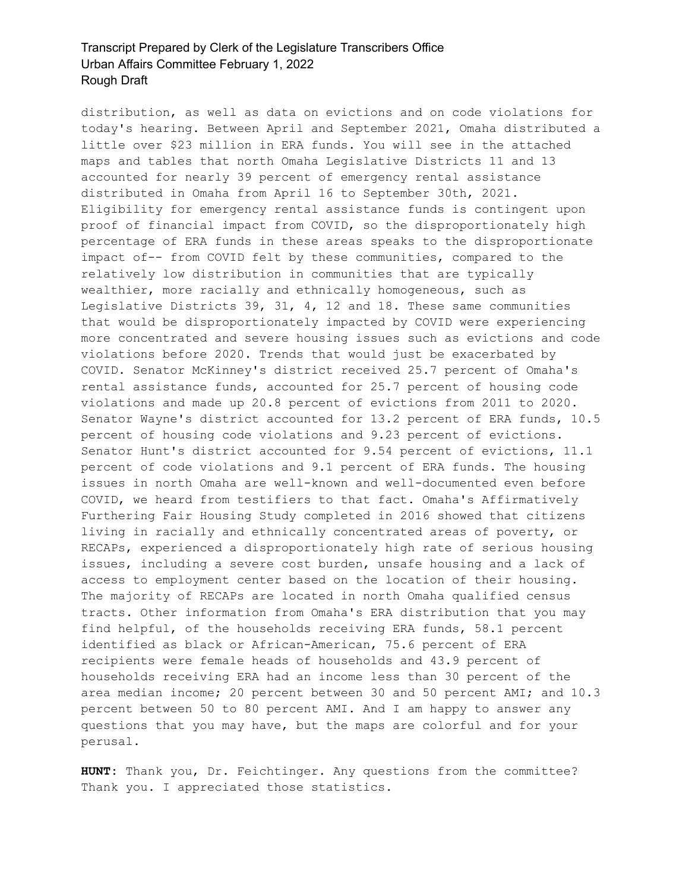distribution, as well as data on evictions and on code violations for today's hearing. Between April and September 2021, Omaha distributed a little over \$23 million in ERA funds. You will see in the attached maps and tables that north Omaha Legislative Districts 11 and 13 accounted for nearly 39 percent of emergency rental assistance distributed in Omaha from April 16 to September 30th, 2021. Eligibility for emergency rental assistance funds is contingent upon proof of financial impact from COVID, so the disproportionately high percentage of ERA funds in these areas speaks to the disproportionate impact of-- from COVID felt by these communities, compared to the relatively low distribution in communities that are typically wealthier, more racially and ethnically homogeneous, such as Legislative Districts 39, 31, 4, 12 and 18. These same communities that would be disproportionately impacted by COVID were experiencing more concentrated and severe housing issues such as evictions and code violations before 2020. Trends that would just be exacerbated by COVID. Senator McKinney's district received 25.7 percent of Omaha's rental assistance funds, accounted for 25.7 percent of housing code violations and made up 20.8 percent of evictions from 2011 to 2020. Senator Wayne's district accounted for 13.2 percent of ERA funds, 10.5 percent of housing code violations and 9.23 percent of evictions. Senator Hunt's district accounted for 9.54 percent of evictions, 11.1 percent of code violations and 9.1 percent of ERA funds. The housing issues in north Omaha are well-known and well-documented even before COVID, we heard from testifiers to that fact. Omaha's Affirmatively Furthering Fair Housing Study completed in 2016 showed that citizens living in racially and ethnically concentrated areas of poverty, or RECAPs, experienced a disproportionately high rate of serious housing issues, including a severe cost burden, unsafe housing and a lack of access to employment center based on the location of their housing. The majority of RECAPs are located in north Omaha qualified census tracts. Other information from Omaha's ERA distribution that you may find helpful, of the households receiving ERA funds, 58.1 percent identified as black or African-American, 75.6 percent of ERA recipients were female heads of households and 43.9 percent of households receiving ERA had an income less than 30 percent of the area median income; 20 percent between 30 and 50 percent AMI; and 10.3 percent between 50 to 80 percent AMI. And I am happy to answer any questions that you may have, but the maps are colorful and for your perusal.

**HUNT:** Thank you, Dr. Feichtinger. Any questions from the committee? Thank you. I appreciated those statistics.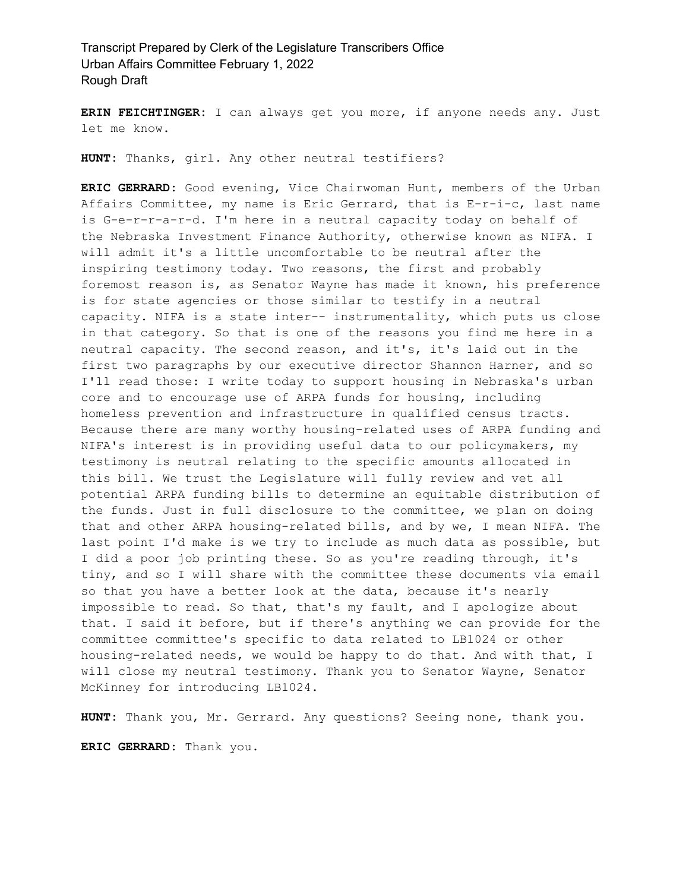**ERIN FEICHTINGER:** I can always get you more, if anyone needs any. Just let me know.

**HUNT:** Thanks, girl. Any other neutral testifiers?

**ERIC GERRARD:** Good evening, Vice Chairwoman Hunt, members of the Urban Affairs Committee, my name is Eric Gerrard, that is E-r-i-c, last name is G-e-r-r-a-r-d. I'm here in a neutral capacity today on behalf of the Nebraska Investment Finance Authority, otherwise known as NIFA. I will admit it's a little uncomfortable to be neutral after the inspiring testimony today. Two reasons, the first and probably foremost reason is, as Senator Wayne has made it known, his preference is for state agencies or those similar to testify in a neutral capacity. NIFA is a state inter-- instrumentality, which puts us close in that category. So that is one of the reasons you find me here in a neutral capacity. The second reason, and it's, it's laid out in the first two paragraphs by our executive director Shannon Harner, and so I'll read those: I write today to support housing in Nebraska's urban core and to encourage use of ARPA funds for housing, including homeless prevention and infrastructure in qualified census tracts. Because there are many worthy housing-related uses of ARPA funding and NIFA's interest is in providing useful data to our policymakers, my testimony is neutral relating to the specific amounts allocated in this bill. We trust the Legislature will fully review and vet all potential ARPA funding bills to determine an equitable distribution of the funds. Just in full disclosure to the committee, we plan on doing that and other ARPA housing-related bills, and by we, I mean NIFA. The last point I'd make is we try to include as much data as possible, but I did a poor job printing these. So as you're reading through, it's tiny, and so I will share with the committee these documents via email so that you have a better look at the data, because it's nearly impossible to read. So that, that's my fault, and I apologize about that. I said it before, but if there's anything we can provide for the committee committee's specific to data related to LB1024 or other housing-related needs, we would be happy to do that. And with that, I will close my neutral testimony. Thank you to Senator Wayne, Senator McKinney for introducing LB1024.

**HUNT:** Thank you, Mr. Gerrard. Any questions? Seeing none, thank you.

**ERIC GERRARD:** Thank you.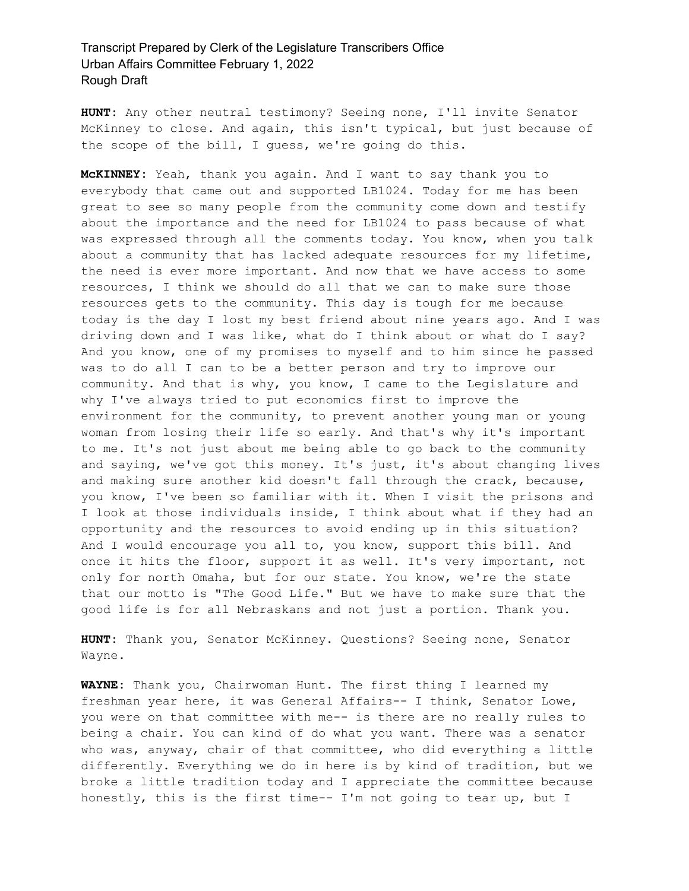**HUNT:** Any other neutral testimony? Seeing none, I'll invite Senator McKinney to close. And again, this isn't typical, but just because of the scope of the bill, I guess, we're going do this.

**McKINNEY:** Yeah, thank you again. And I want to say thank you to everybody that came out and supported LB1024. Today for me has been great to see so many people from the community come down and testify about the importance and the need for LB1024 to pass because of what was expressed through all the comments today. You know, when you talk about a community that has lacked adequate resources for my lifetime, the need is ever more important. And now that we have access to some resources, I think we should do all that we can to make sure those resources gets to the community. This day is tough for me because today is the day I lost my best friend about nine years ago. And I was driving down and I was like, what do I think about or what do I say? And you know, one of my promises to myself and to him since he passed was to do all I can to be a better person and try to improve our community. And that is why, you know, I came to the Legislature and why I've always tried to put economics first to improve the environment for the community, to prevent another young man or young woman from losing their life so early. And that's why it's important to me. It's not just about me being able to go back to the community and saying, we've got this money. It's just, it's about changing lives and making sure another kid doesn't fall through the crack, because, you know, I've been so familiar with it. When I visit the prisons and I look at those individuals inside, I think about what if they had an opportunity and the resources to avoid ending up in this situation? And I would encourage you all to, you know, support this bill. And once it hits the floor, support it as well. It's very important, not only for north Omaha, but for our state. You know, we're the state that our motto is "The Good Life." But we have to make sure that the good life is for all Nebraskans and not just a portion. Thank you.

**HUNT:** Thank you, Senator McKinney. Questions? Seeing none, Senator Wayne.

**WAYNE:** Thank you, Chairwoman Hunt. The first thing I learned my freshman year here, it was General Affairs-- I think, Senator Lowe, you were on that committee with me-- is there are no really rules to being a chair. You can kind of do what you want. There was a senator who was, anyway, chair of that committee, who did everything a little differently. Everything we do in here is by kind of tradition, but we broke a little tradition today and I appreciate the committee because honestly, this is the first time-- I'm not going to tear up, but I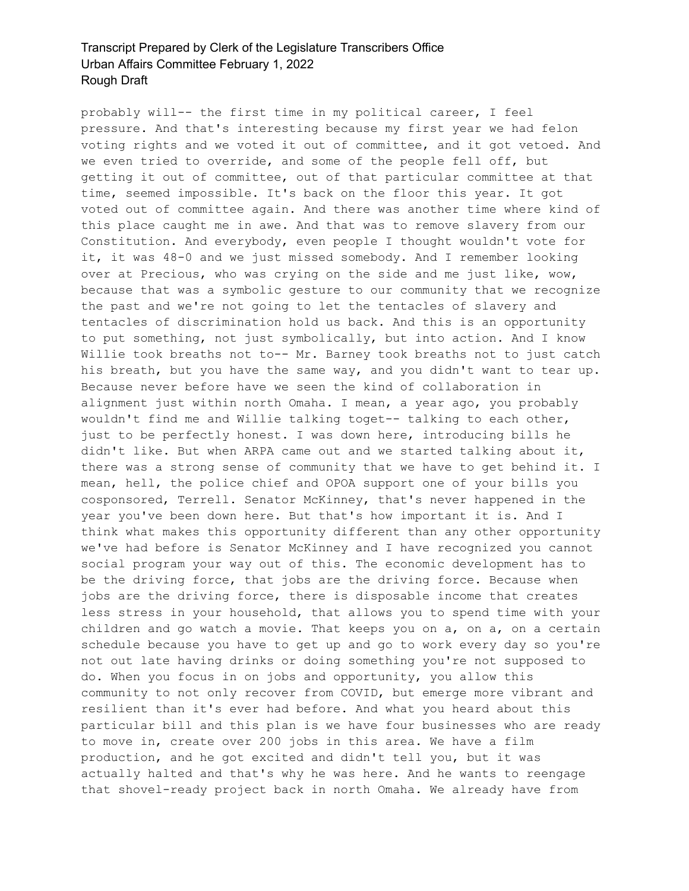probably will-- the first time in my political career, I feel pressure. And that's interesting because my first year we had felon voting rights and we voted it out of committee, and it got vetoed. And we even tried to override, and some of the people fell off, but getting it out of committee, out of that particular committee at that time, seemed impossible. It's back on the floor this year. It got voted out of committee again. And there was another time where kind of this place caught me in awe. And that was to remove slavery from our Constitution. And everybody, even people I thought wouldn't vote for it, it was 48-0 and we just missed somebody. And I remember looking over at Precious, who was crying on the side and me just like, wow, because that was a symbolic gesture to our community that we recognize the past and we're not going to let the tentacles of slavery and tentacles of discrimination hold us back. And this is an opportunity to put something, not just symbolically, but into action. And I know Willie took breaths not to-- Mr. Barney took breaths not to just catch his breath, but you have the same way, and you didn't want to tear up. Because never before have we seen the kind of collaboration in alignment just within north Omaha. I mean, a year ago, you probably wouldn't find me and Willie talking toget-- talking to each other, just to be perfectly honest. I was down here, introducing bills he didn't like. But when ARPA came out and we started talking about it, there was a strong sense of community that we have to get behind it. I mean, hell, the police chief and OPOA support one of your bills you cosponsored, Terrell. Senator McKinney, that's never happened in the year you've been down here. But that's how important it is. And I think what makes this opportunity different than any other opportunity we've had before is Senator McKinney and I have recognized you cannot social program your way out of this. The economic development has to be the driving force, that jobs are the driving force. Because when jobs are the driving force, there is disposable income that creates less stress in your household, that allows you to spend time with your children and go watch a movie. That keeps you on a, on a, on a certain schedule because you have to get up and go to work every day so you're not out late having drinks or doing something you're not supposed to do. When you focus in on jobs and opportunity, you allow this community to not only recover from COVID, but emerge more vibrant and resilient than it's ever had before. And what you heard about this particular bill and this plan is we have four businesses who are ready to move in, create over 200 jobs in this area. We have a film production, and he got excited and didn't tell you, but it was actually halted and that's why he was here. And he wants to reengage that shovel-ready project back in north Omaha. We already have from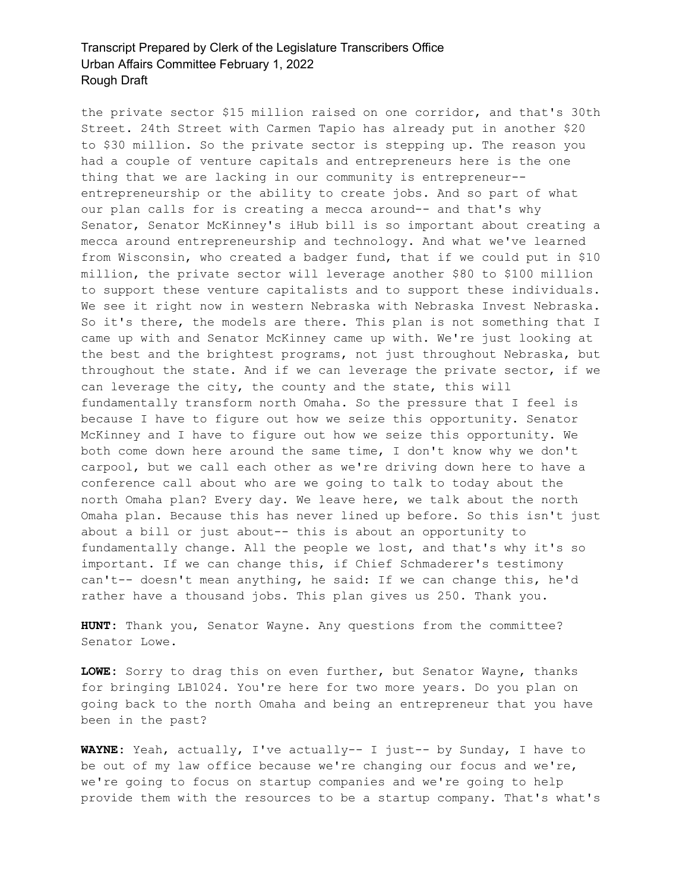the private sector \$15 million raised on one corridor, and that's 30th Street. 24th Street with Carmen Tapio has already put in another \$20 to \$30 million. So the private sector is stepping up. The reason you had a couple of venture capitals and entrepreneurs here is the one thing that we are lacking in our community is entrepreneur- entrepreneurship or the ability to create jobs. And so part of what our plan calls for is creating a mecca around-- and that's why Senator, Senator McKinney's iHub bill is so important about creating a mecca around entrepreneurship and technology. And what we've learned from Wisconsin, who created a badger fund, that if we could put in \$10 million, the private sector will leverage another \$80 to \$100 million to support these venture capitalists and to support these individuals. We see it right now in western Nebraska with Nebraska Invest Nebraska. So it's there, the models are there. This plan is not something that I came up with and Senator McKinney came up with. We're just looking at the best and the brightest programs, not just throughout Nebraska, but throughout the state. And if we can leverage the private sector, if we can leverage the city, the county and the state, this will fundamentally transform north Omaha. So the pressure that I feel is because I have to figure out how we seize this opportunity. Senator McKinney and I have to figure out how we seize this opportunity. We both come down here around the same time, I don't know why we don't carpool, but we call each other as we're driving down here to have a conference call about who are we going to talk to today about the north Omaha plan? Every day. We leave here, we talk about the north Omaha plan. Because this has never lined up before. So this isn't just about a bill or just about-- this is about an opportunity to fundamentally change. All the people we lost, and that's why it's so important. If we can change this, if Chief Schmaderer's testimony can't-- doesn't mean anything, he said: If we can change this, he'd rather have a thousand jobs. This plan gives us 250. Thank you.

**HUNT:** Thank you, Senator Wayne. Any questions from the committee? Senator Lowe.

**LOWE:** Sorry to drag this on even further, but Senator Wayne, thanks for bringing LB1024. You're here for two more years. Do you plan on going back to the north Omaha and being an entrepreneur that you have been in the past?

**WAYNE:** Yeah, actually, I've actually-- I just-- by Sunday, I have to be out of my law office because we're changing our focus and we're, we're going to focus on startup companies and we're going to help provide them with the resources to be a startup company. That's what's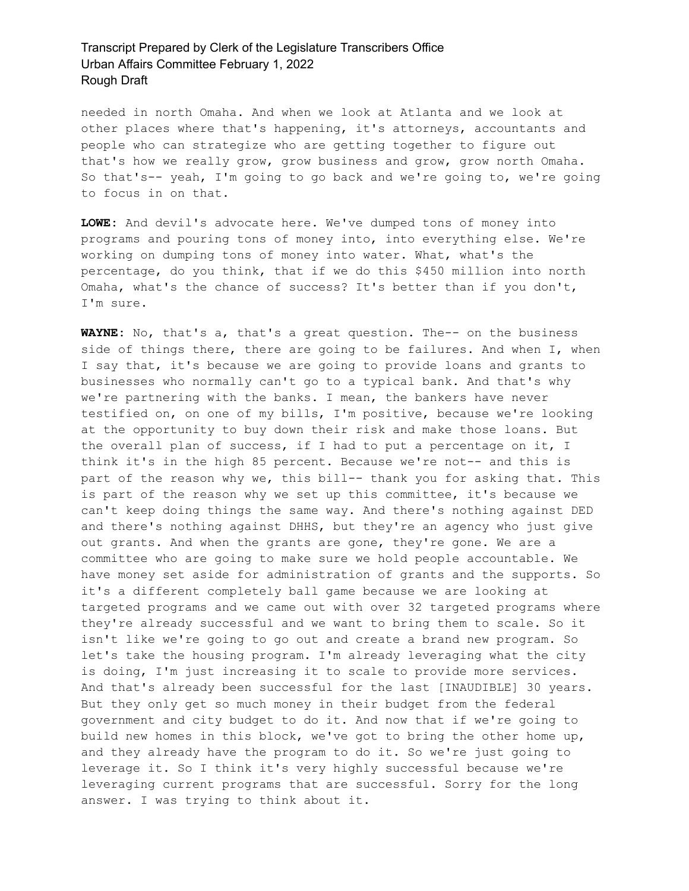needed in north Omaha. And when we look at Atlanta and we look at other places where that's happening, it's attorneys, accountants and people who can strategize who are getting together to figure out that's how we really grow, grow business and grow, grow north Omaha. So that's-- yeah, I'm going to go back and we're going to, we're going to focus in on that.

**LOWE:** And devil's advocate here. We've dumped tons of money into programs and pouring tons of money into, into everything else. We're working on dumping tons of money into water. What, what's the percentage, do you think, that if we do this \$450 million into north Omaha, what's the chance of success? It's better than if you don't, I'm sure.

**WAYNE:** No, that's a, that's a great question. The-- on the business side of things there, there are going to be failures. And when I, when I say that, it's because we are going to provide loans and grants to businesses who normally can't go to a typical bank. And that's why we're partnering with the banks. I mean, the bankers have never testified on, on one of my bills, I'm positive, because we're looking at the opportunity to buy down their risk and make those loans. But the overall plan of success, if I had to put a percentage on it, I think it's in the high 85 percent. Because we're not-- and this is part of the reason why we, this bill-- thank you for asking that. This is part of the reason why we set up this committee, it's because we can't keep doing things the same way. And there's nothing against DED and there's nothing against DHHS, but they're an agency who just give out grants. And when the grants are gone, they're gone. We are a committee who are going to make sure we hold people accountable. We have money set aside for administration of grants and the supports. So it's a different completely ball game because we are looking at targeted programs and we came out with over 32 targeted programs where they're already successful and we want to bring them to scale. So it isn't like we're going to go out and create a brand new program. So let's take the housing program. I'm already leveraging what the city is doing, I'm just increasing it to scale to provide more services. And that's already been successful for the last [INAUDIBLE] 30 years. But they only get so much money in their budget from the federal government and city budget to do it. And now that if we're going to build new homes in this block, we've got to bring the other home up, and they already have the program to do it. So we're just going to leverage it. So I think it's very highly successful because we're leveraging current programs that are successful. Sorry for the long answer. I was trying to think about it.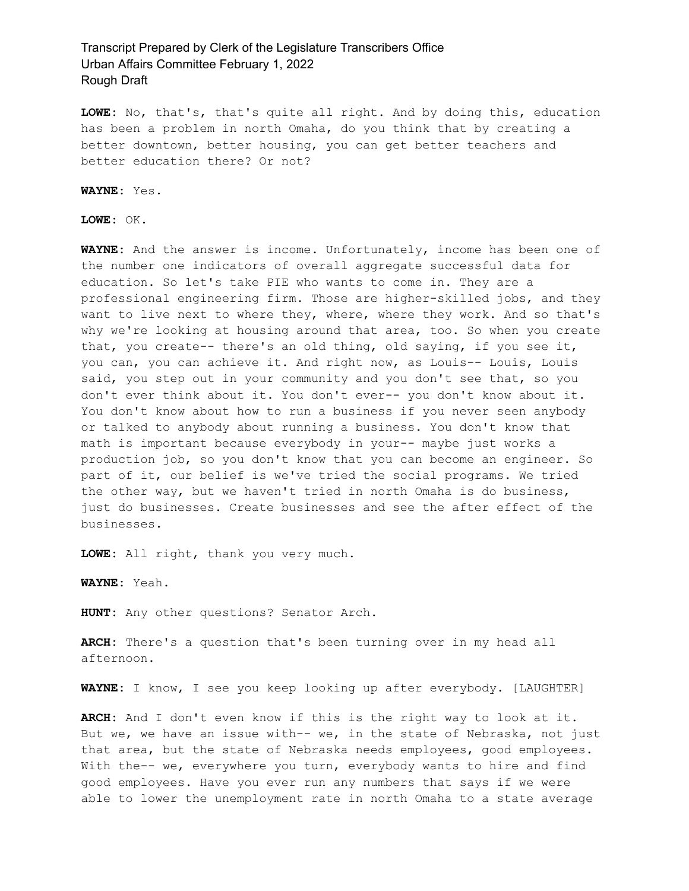**LOWE:** No, that's, that's quite all right. And by doing this, education has been a problem in north Omaha, do you think that by creating a better downtown, better housing, you can get better teachers and better education there? Or not?

**WAYNE:** Yes.

**LOWE:** OK.

**WAYNE:** And the answer is income. Unfortunately, income has been one of the number one indicators of overall aggregate successful data for education. So let's take PIE who wants to come in. They are a professional engineering firm. Those are higher-skilled jobs, and they want to live next to where they, where, where they work. And so that's why we're looking at housing around that area, too. So when you create that, you create-- there's an old thing, old saying, if you see it, you can, you can achieve it. And right now, as Louis-- Louis, Louis said, you step out in your community and you don't see that, so you don't ever think about it. You don't ever-- you don't know about it. You don't know about how to run a business if you never seen anybody or talked to anybody about running a business. You don't know that math is important because everybody in your-- maybe just works a production job, so you don't know that you can become an engineer. So part of it, our belief is we've tried the social programs. We tried the other way, but we haven't tried in north Omaha is do business, just do businesses. Create businesses and see the after effect of the businesses.

**LOWE:** All right, thank you very much.

**WAYNE:** Yeah.

**HUNT:** Any other questions? Senator Arch.

**ARCH:** There's a question that's been turning over in my head all afternoon.

**WAYNE:** I know, I see you keep looking up after everybody. [LAUGHTER]

**ARCH:** And I don't even know if this is the right way to look at it. But we, we have an issue with-- we, in the state of Nebraska, not just that area, but the state of Nebraska needs employees, good employees. With the-- we, everywhere you turn, everybody wants to hire and find good employees. Have you ever run any numbers that says if we were able to lower the unemployment rate in north Omaha to a state average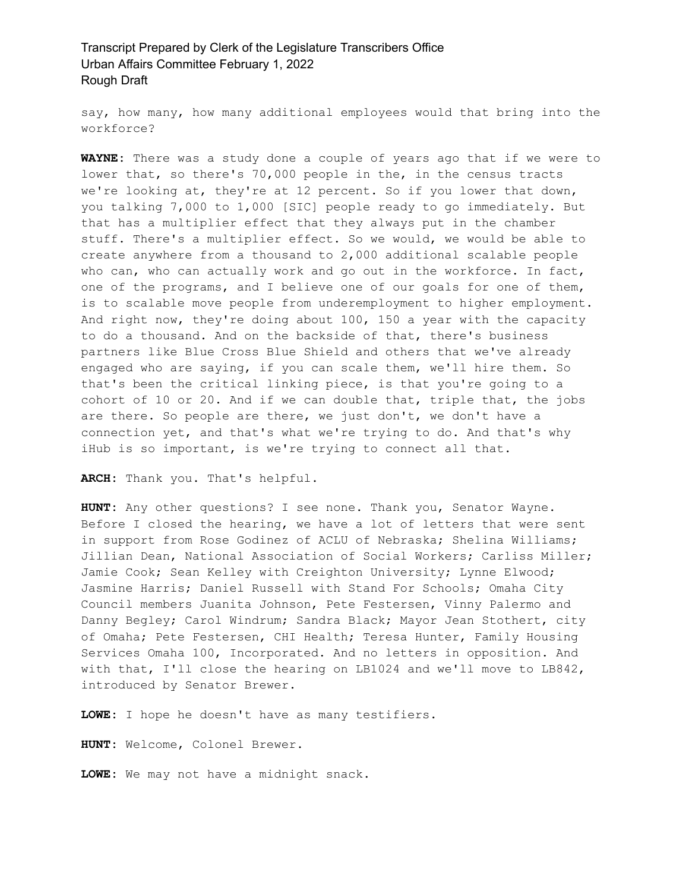say, how many, how many additional employees would that bring into the workforce?

**WAYNE:** There was a study done a couple of years ago that if we were to lower that, so there's 70,000 people in the, in the census tracts we're looking at, they're at 12 percent. So if you lower that down, you talking 7,000 to 1,000 [SIC] people ready to go immediately. But that has a multiplier effect that they always put in the chamber stuff. There's a multiplier effect. So we would, we would be able to create anywhere from a thousand to 2,000 additional scalable people who can, who can actually work and go out in the workforce. In fact, one of the programs, and I believe one of our goals for one of them, is to scalable move people from underemployment to higher employment. And right now, they're doing about 100, 150 a year with the capacity to do a thousand. And on the backside of that, there's business partners like Blue Cross Blue Shield and others that we've already engaged who are saying, if you can scale them, we'll hire them. So that's been the critical linking piece, is that you're going to a cohort of 10 or 20. And if we can double that, triple that, the jobs are there. So people are there, we just don't, we don't have a connection yet, and that's what we're trying to do. And that's why iHub is so important, is we're trying to connect all that.

**ARCH:** Thank you. That's helpful.

**HUNT:** Any other questions? I see none. Thank you, Senator Wayne. Before I closed the hearing, we have a lot of letters that were sent in support from Rose Godinez of ACLU of Nebraska; Shelina Williams; Jillian Dean, National Association of Social Workers; Carliss Miller; Jamie Cook; Sean Kelley with Creighton University; Lynne Elwood; Jasmine Harris; Daniel Russell with Stand For Schools; Omaha City Council members Juanita Johnson, Pete Festersen, Vinny Palermo and Danny Begley; Carol Windrum; Sandra Black; Mayor Jean Stothert, city of Omaha; Pete Festersen, CHI Health; Teresa Hunter, Family Housing Services Omaha 100, Incorporated. And no letters in opposition. And with that, I'll close the hearing on LB1024 and we'll move to LB842, introduced by Senator Brewer.

**LOWE:** I hope he doesn't have as many testifiers.

**HUNT:** Welcome, Colonel Brewer.

**LOWE:** We may not have a midnight snack.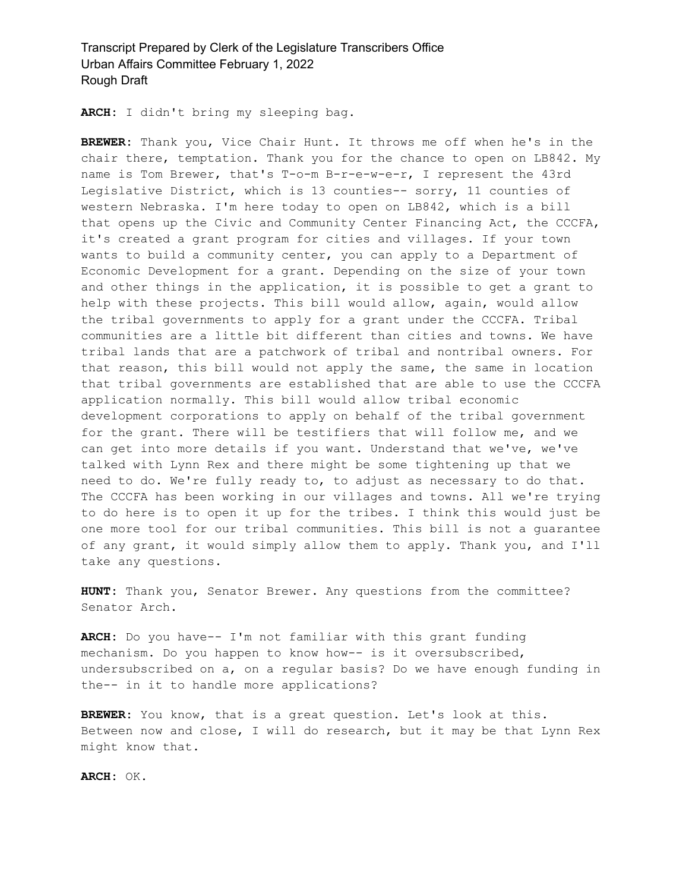**ARCH:** I didn't bring my sleeping bag.

**BREWER:** Thank you, Vice Chair Hunt. It throws me off when he's in the chair there, temptation. Thank you for the chance to open on LB842. My name is Tom Brewer, that's T-o-m B-r-e-w-e-r, I represent the 43rd Legislative District, which is 13 counties-- sorry, 11 counties of western Nebraska. I'm here today to open on LB842, which is a bill that opens up the Civic and Community Center Financing Act, the CCCFA, it's created a grant program for cities and villages. If your town wants to build a community center, you can apply to a Department of Economic Development for a grant. Depending on the size of your town and other things in the application, it is possible to get a grant to help with these projects. This bill would allow, again, would allow the tribal governments to apply for a grant under the CCCFA. Tribal communities are a little bit different than cities and towns. We have tribal lands that are a patchwork of tribal and nontribal owners. For that reason, this bill would not apply the same, the same in location that tribal governments are established that are able to use the CCCFA application normally. This bill would allow tribal economic development corporations to apply on behalf of the tribal government for the grant. There will be testifiers that will follow me, and we can get into more details if you want. Understand that we've, we've talked with Lynn Rex and there might be some tightening up that we need to do. We're fully ready to, to adjust as necessary to do that. The CCCFA has been working in our villages and towns. All we're trying to do here is to open it up for the tribes. I think this would just be one more tool for our tribal communities. This bill is not a guarantee of any grant, it would simply allow them to apply. Thank you, and I'll take any questions.

**HUNT:** Thank you, Senator Brewer. Any questions from the committee? Senator Arch.

**ARCH:** Do you have-- I'm not familiar with this grant funding mechanism. Do you happen to know how-- is it oversubscribed, undersubscribed on a, on a regular basis? Do we have enough funding in the-- in it to handle more applications?

**BREWER:** You know, that is a great question. Let's look at this. Between now and close, I will do research, but it may be that Lynn Rex might know that.

**ARCH:** OK.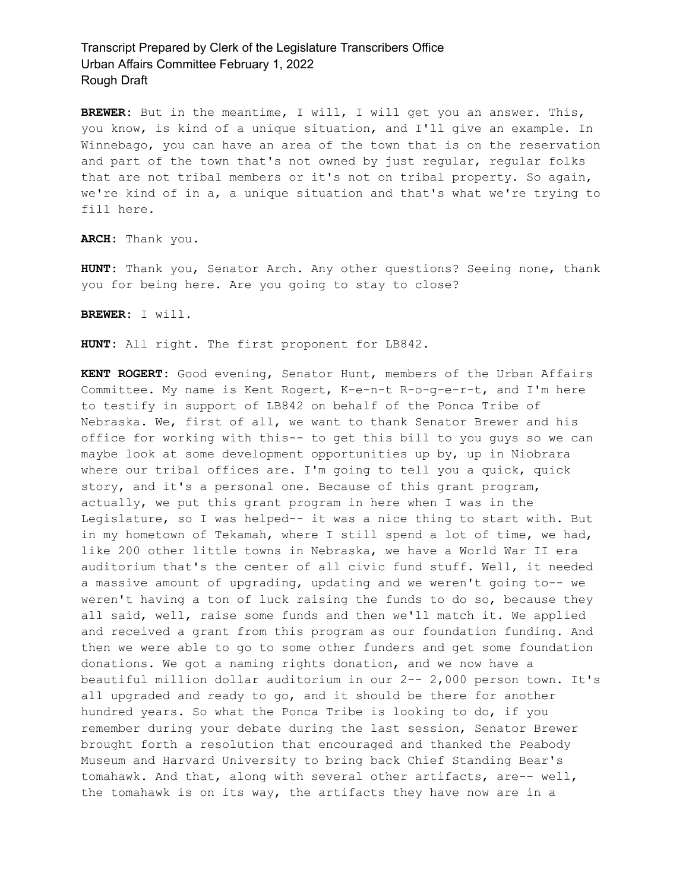**BREWER:** But in the meantime, I will, I will get you an answer. This, you know, is kind of a unique situation, and I'll give an example. In Winnebago, you can have an area of the town that is on the reservation and part of the town that's not owned by just regular, regular folks that are not tribal members or it's not on tribal property. So again, we're kind of in a, a unique situation and that's what we're trying to fill here.

**ARCH:** Thank you.

**HUNT:** Thank you, Senator Arch. Any other questions? Seeing none, thank you for being here. Are you going to stay to close?

**BREWER:** I will.

**HUNT:** All right. The first proponent for LB842.

**KENT ROGERT:** Good evening, Senator Hunt, members of the Urban Affairs Committee. My name is Kent Rogert, K-e-n-t R-o-g-e-r-t, and I'm here to testify in support of LB842 on behalf of the Ponca Tribe of Nebraska. We, first of all, we want to thank Senator Brewer and his office for working with this-- to get this bill to you guys so we can maybe look at some development opportunities up by, up in Niobrara where our tribal offices are. I'm going to tell you a quick, quick story, and it's a personal one. Because of this grant program, actually, we put this grant program in here when I was in the Legislature, so I was helped-- it was a nice thing to start with. But in my hometown of Tekamah, where I still spend a lot of time, we had, like 200 other little towns in Nebraska, we have a World War II era auditorium that's the center of all civic fund stuff. Well, it needed a massive amount of upgrading, updating and we weren't going to-- we weren't having a ton of luck raising the funds to do so, because they all said, well, raise some funds and then we'll match it. We applied and received a grant from this program as our foundation funding. And then we were able to go to some other funders and get some foundation donations. We got a naming rights donation, and we now have a beautiful million dollar auditorium in our 2-- 2,000 person town. It's all upgraded and ready to go, and it should be there for another hundred years. So what the Ponca Tribe is looking to do, if you remember during your debate during the last session, Senator Brewer brought forth a resolution that encouraged and thanked the Peabody Museum and Harvard University to bring back Chief Standing Bear's tomahawk. And that, along with several other artifacts, are-- well, the tomahawk is on its way, the artifacts they have now are in a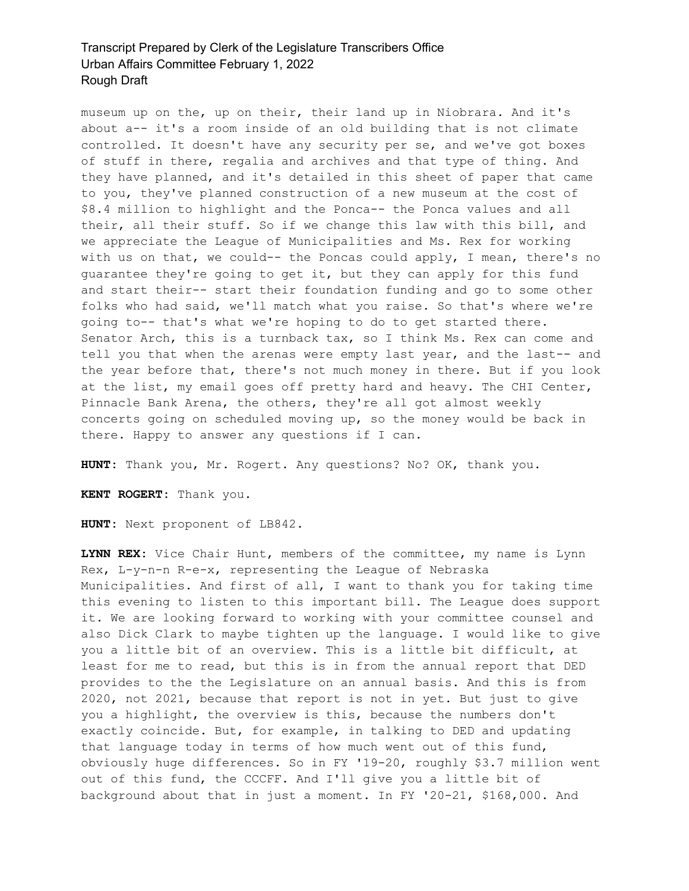museum up on the, up on their, their land up in Niobrara. And it's about a-- it's a room inside of an old building that is not climate controlled. It doesn't have any security per se, and we've got boxes of stuff in there, regalia and archives and that type of thing. And they have planned, and it's detailed in this sheet of paper that came to you, they've planned construction of a new museum at the cost of \$8.4 million to highlight and the Ponca-- the Ponca values and all their, all their stuff. So if we change this law with this bill, and we appreciate the League of Municipalities and Ms. Rex for working with us on that, we could-- the Poncas could apply, I mean, there's no guarantee they're going to get it, but they can apply for this fund and start their-- start their foundation funding and go to some other folks who had said, we'll match what you raise. So that's where we're going to-- that's what we're hoping to do to get started there. Senator Arch, this is a turnback tax, so I think Ms. Rex can come and tell you that when the arenas were empty last year, and the last-- and the year before that, there's not much money in there. But if you look at the list, my email goes off pretty hard and heavy. The CHI Center, Pinnacle Bank Arena, the others, they're all got almost weekly concerts going on scheduled moving up, so the money would be back in there. Happy to answer any questions if I can.

**HUNT:** Thank you, Mr. Rogert. Any questions? No? OK, thank you.

**KENT ROGERT:** Thank you.

**HUNT:** Next proponent of LB842.

**LYNN REX:** Vice Chair Hunt, members of the committee, my name is Lynn Rex, L-y-n-n R-e-x, representing the League of Nebraska Municipalities. And first of all, I want to thank you for taking time this evening to listen to this important bill. The League does support it. We are looking forward to working with your committee counsel and also Dick Clark to maybe tighten up the language. I would like to give you a little bit of an overview. This is a little bit difficult, at least for me to read, but this is in from the annual report that DED provides to the the Legislature on an annual basis. And this is from 2020, not 2021, because that report is not in yet. But just to give you a highlight, the overview is this, because the numbers don't exactly coincide. But, for example, in talking to DED and updating that language today in terms of how much went out of this fund, obviously huge differences. So in FY '19-20, roughly \$3.7 million went out of this fund, the CCCFF. And I'll give you a little bit of background about that in just a moment. In FY '20-21, \$168,000. And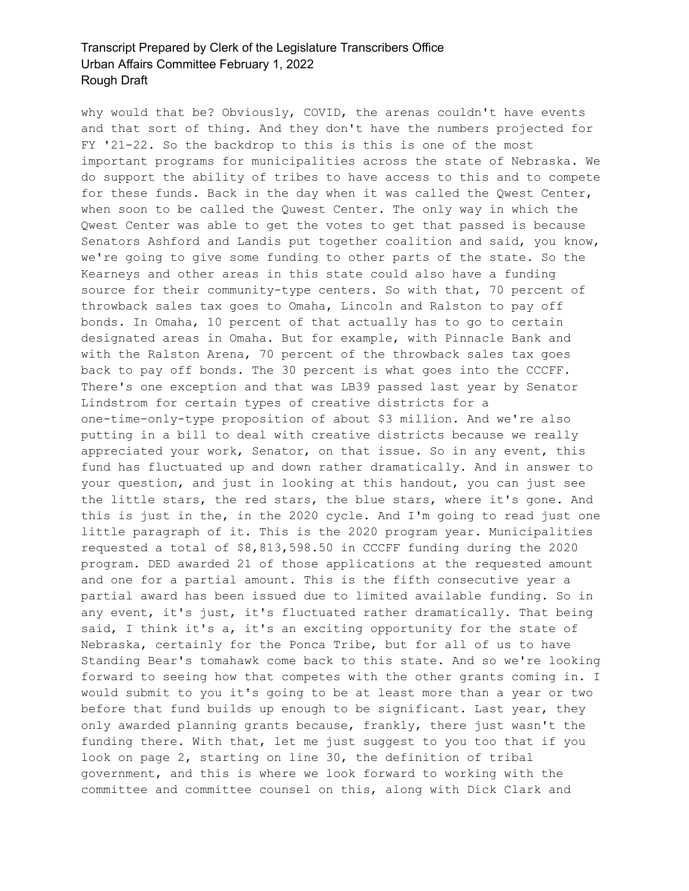why would that be? Obviously, COVID, the arenas couldn't have events and that sort of thing. And they don't have the numbers projected for FY '21-22. So the backdrop to this is this is one of the most important programs for municipalities across the state of Nebraska. We do support the ability of tribes to have access to this and to compete for these funds. Back in the day when it was called the Qwest Center, when soon to be called the Quwest Center. The only way in which the Qwest Center was able to get the votes to get that passed is because Senators Ashford and Landis put together coalition and said, you know, we're going to give some funding to other parts of the state. So the Kearneys and other areas in this state could also have a funding source for their community-type centers. So with that, 70 percent of throwback sales tax goes to Omaha, Lincoln and Ralston to pay off bonds. In Omaha, 10 percent of that actually has to go to certain designated areas in Omaha. But for example, with Pinnacle Bank and with the Ralston Arena, 70 percent of the throwback sales tax goes back to pay off bonds. The 30 percent is what goes into the CCCFF. There's one exception and that was LB39 passed last year by Senator Lindstrom for certain types of creative districts for a one-time-only-type proposition of about \$3 million. And we're also putting in a bill to deal with creative districts because we really appreciated your work, Senator, on that issue. So in any event, this fund has fluctuated up and down rather dramatically. And in answer to your question, and just in looking at this handout, you can just see the little stars, the red stars, the blue stars, where it's gone. And this is just in the, in the 2020 cycle. And I'm going to read just one little paragraph of it. This is the 2020 program year. Municipalities requested a total of \$8,813,598.50 in CCCFF funding during the 2020 program. DED awarded 21 of those applications at the requested amount and one for a partial amount. This is the fifth consecutive year a partial award has been issued due to limited available funding. So in any event, it's just, it's fluctuated rather dramatically. That being said, I think it's a, it's an exciting opportunity for the state of Nebraska, certainly for the Ponca Tribe, but for all of us to have Standing Bear's tomahawk come back to this state. And so we're looking forward to seeing how that competes with the other grants coming in. I would submit to you it's going to be at least more than a year or two before that fund builds up enough to be significant. Last year, they only awarded planning grants because, frankly, there just wasn't the funding there. With that, let me just suggest to you too that if you look on page 2, starting on line 30, the definition of tribal government, and this is where we look forward to working with the committee and committee counsel on this, along with Dick Clark and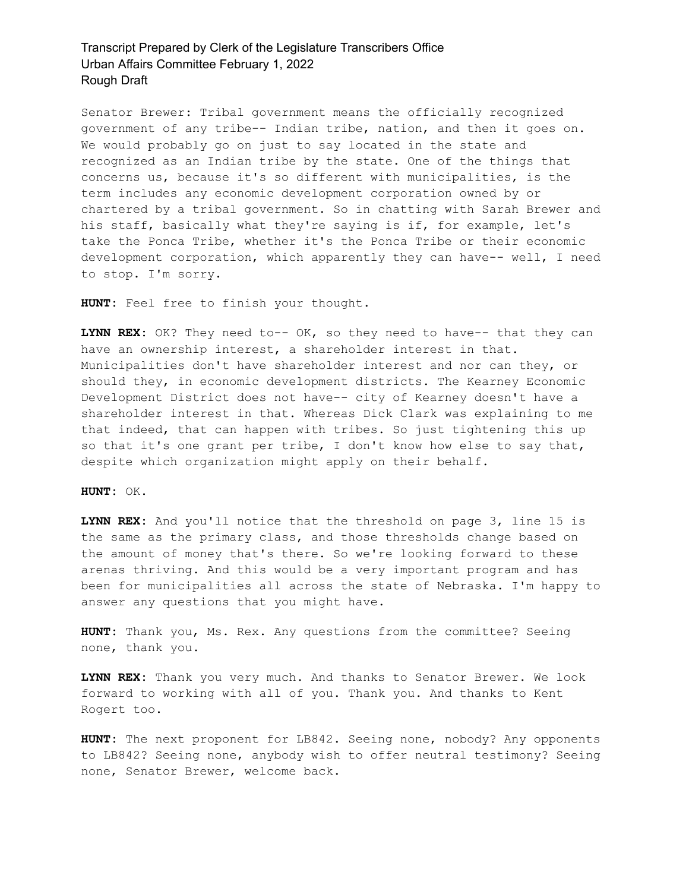Senator Brewer: Tribal government means the officially recognized government of any tribe-- Indian tribe, nation, and then it goes on. We would probably go on just to say located in the state and recognized as an Indian tribe by the state. One of the things that concerns us, because it's so different with municipalities, is the term includes any economic development corporation owned by or chartered by a tribal government. So in chatting with Sarah Brewer and his staff, basically what they're saying is if, for example, let's take the Ponca Tribe, whether it's the Ponca Tribe or their economic development corporation, which apparently they can have-- well, I need to stop. I'm sorry.

**HUNT:** Feel free to finish your thought.

**LYNN REX:** OK? They need to-- OK, so they need to have-- that they can have an ownership interest, a shareholder interest in that. Municipalities don't have shareholder interest and nor can they, or should they, in economic development districts. The Kearney Economic Development District does not have-- city of Kearney doesn't have a shareholder interest in that. Whereas Dick Clark was explaining to me that indeed, that can happen with tribes. So just tightening this up so that it's one grant per tribe, I don't know how else to say that, despite which organization might apply on their behalf.

**HUNT:** OK.

**LYNN REX:** And you'll notice that the threshold on page 3, line 15 is the same as the primary class, and those thresholds change based on the amount of money that's there. So we're looking forward to these arenas thriving. And this would be a very important program and has been for municipalities all across the state of Nebraska. I'm happy to answer any questions that you might have.

**HUNT:** Thank you, Ms. Rex. Any questions from the committee? Seeing none, thank you.

**LYNN REX:** Thank you very much. And thanks to Senator Brewer. We look forward to working with all of you. Thank you. And thanks to Kent Rogert too.

**HUNT:** The next proponent for LB842. Seeing none, nobody? Any opponents to LB842? Seeing none, anybody wish to offer neutral testimony? Seeing none, Senator Brewer, welcome back.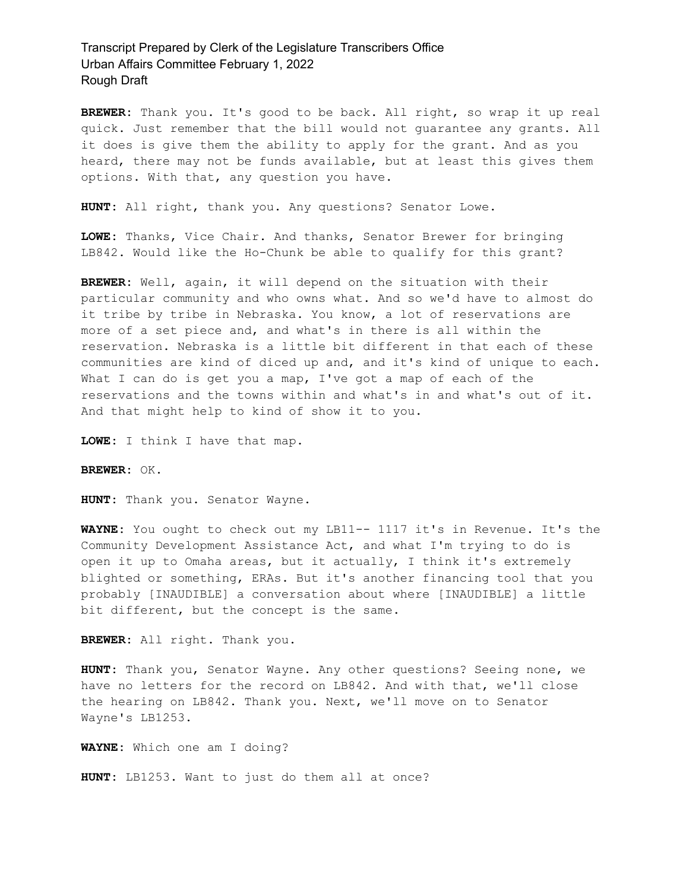**BREWER:** Thank you. It's good to be back. All right, so wrap it up real quick. Just remember that the bill would not guarantee any grants. All it does is give them the ability to apply for the grant. And as you heard, there may not be funds available, but at least this gives them options. With that, any question you have.

**HUNT:** All right, thank you. Any questions? Senator Lowe.

**LOWE:** Thanks, Vice Chair. And thanks, Senator Brewer for bringing LB842. Would like the Ho-Chunk be able to qualify for this grant?

**BREWER:** Well, again, it will depend on the situation with their particular community and who owns what. And so we'd have to almost do it tribe by tribe in Nebraska. You know, a lot of reservations are more of a set piece and, and what's in there is all within the reservation. Nebraska is a little bit different in that each of these communities are kind of diced up and, and it's kind of unique to each. What I can do is get you a map, I've got a map of each of the reservations and the towns within and what's in and what's out of it. And that might help to kind of show it to you.

**LOWE:** I think I have that map.

**BREWER:** OK.

**HUNT:** Thank you. Senator Wayne.

**WAYNE:** You ought to check out my LB11-- 1117 it's in Revenue. It's the Community Development Assistance Act, and what I'm trying to do is open it up to Omaha areas, but it actually, I think it's extremely blighted or something, ERAs. But it's another financing tool that you probably [INAUDIBLE] a conversation about where [INAUDIBLE] a little bit different, but the concept is the same.

**BREWER:** All right. Thank you.

**HUNT:** Thank you, Senator Wayne. Any other questions? Seeing none, we have no letters for the record on LB842. And with that, we'll close the hearing on LB842. Thank you. Next, we'll move on to Senator Wayne's LB1253.

**WAYNE:** Which one am I doing?

**HUNT:** LB1253. Want to just do them all at once?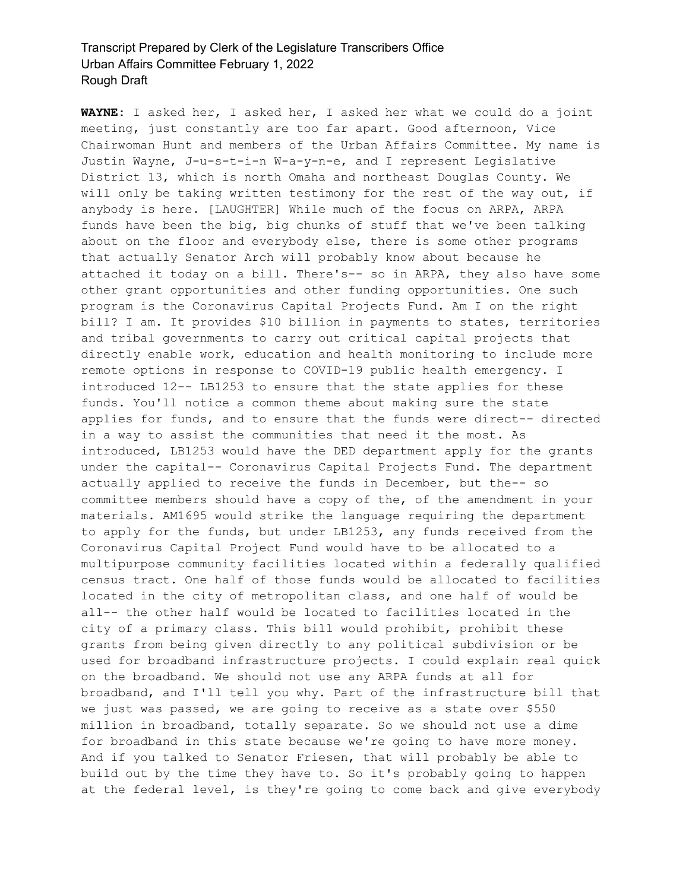**WAYNE:** I asked her, I asked her, I asked her what we could do a joint meeting, just constantly are too far apart. Good afternoon, Vice Chairwoman Hunt and members of the Urban Affairs Committee. My name is Justin Wayne, J-u-s-t-i-n W-a-y-n-e, and I represent Legislative District 13, which is north Omaha and northeast Douglas County. We will only be taking written testimony for the rest of the way out, if anybody is here. [LAUGHTER] While much of the focus on ARPA, ARPA funds have been the big, big chunks of stuff that we've been talking about on the floor and everybody else, there is some other programs that actually Senator Arch will probably know about because he attached it today on a bill. There's-- so in ARPA, they also have some other grant opportunities and other funding opportunities. One such program is the Coronavirus Capital Projects Fund. Am I on the right bill? I am. It provides \$10 billion in payments to states, territories and tribal governments to carry out critical capital projects that directly enable work, education and health monitoring to include more remote options in response to COVID-19 public health emergency. I introduced 12-- LB1253 to ensure that the state applies for these funds. You'll notice a common theme about making sure the state applies for funds, and to ensure that the funds were direct-- directed in a way to assist the communities that need it the most. As introduced, LB1253 would have the DED department apply for the grants under the capital-- Coronavirus Capital Projects Fund. The department actually applied to receive the funds in December, but the-- so committee members should have a copy of the, of the amendment in your materials. AM1695 would strike the language requiring the department to apply for the funds, but under LB1253, any funds received from the Coronavirus Capital Project Fund would have to be allocated to a multipurpose community facilities located within a federally qualified census tract. One half of those funds would be allocated to facilities located in the city of metropolitan class, and one half of would be all-- the other half would be located to facilities located in the city of a primary class. This bill would prohibit, prohibit these grants from being given directly to any political subdivision or be used for broadband infrastructure projects. I could explain real quick on the broadband. We should not use any ARPA funds at all for broadband, and I'll tell you why. Part of the infrastructure bill that we just was passed, we are going to receive as a state over \$550 million in broadband, totally separate. So we should not use a dime for broadband in this state because we're going to have more money. And if you talked to Senator Friesen, that will probably be able to build out by the time they have to. So it's probably going to happen at the federal level, is they're going to come back and give everybody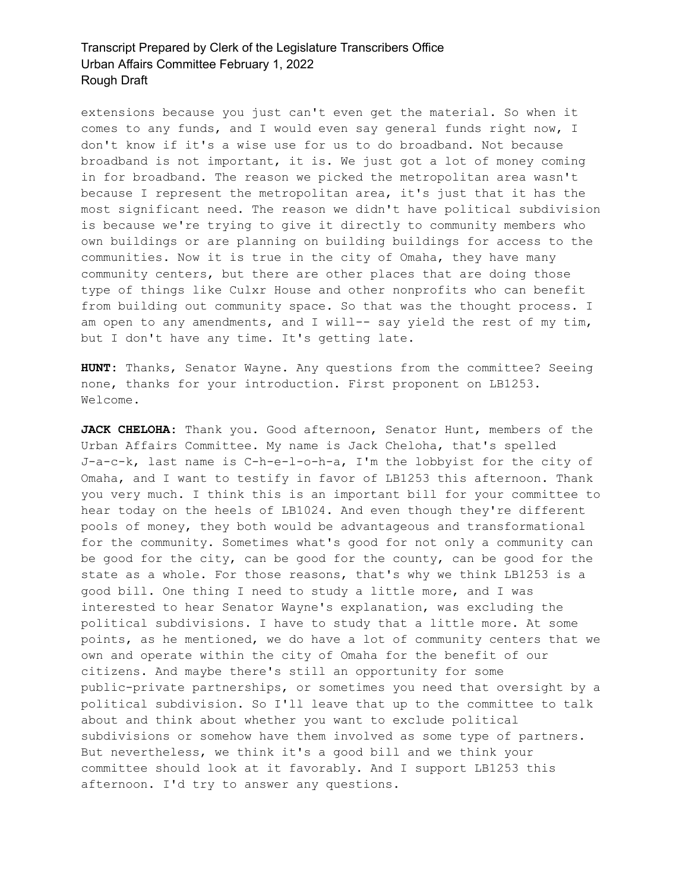extensions because you just can't even get the material. So when it comes to any funds, and I would even say general funds right now, I don't know if it's a wise use for us to do broadband. Not because broadband is not important, it is. We just got a lot of money coming in for broadband. The reason we picked the metropolitan area wasn't because I represent the metropolitan area, it's just that it has the most significant need. The reason we didn't have political subdivision is because we're trying to give it directly to community members who own buildings or are planning on building buildings for access to the communities. Now it is true in the city of Omaha, they have many community centers, but there are other places that are doing those type of things like Culxr House and other nonprofits who can benefit from building out community space. So that was the thought process. I am open to any amendments, and I will-- say yield the rest of my tim, but I don't have any time. It's getting late.

**HUNT:** Thanks, Senator Wayne. Any questions from the committee? Seeing none, thanks for your introduction. First proponent on LB1253. Welcome.

**JACK CHELOHA:** Thank you. Good afternoon, Senator Hunt, members of the Urban Affairs Committee. My name is Jack Cheloha, that's spelled J-a-c-k, last name is C-h-e-l-o-h-a, I'm the lobbyist for the city of Omaha, and I want to testify in favor of LB1253 this afternoon. Thank you very much. I think this is an important bill for your committee to hear today on the heels of LB1024. And even though they're different pools of money, they both would be advantageous and transformational for the community. Sometimes what's good for not only a community can be good for the city, can be good for the county, can be good for the state as a whole. For those reasons, that's why we think LB1253 is a good bill. One thing I need to study a little more, and I was interested to hear Senator Wayne's explanation, was excluding the political subdivisions. I have to study that a little more. At some points, as he mentioned, we do have a lot of community centers that we own and operate within the city of Omaha for the benefit of our citizens. And maybe there's still an opportunity for some public-private partnerships, or sometimes you need that oversight by a political subdivision. So I'll leave that up to the committee to talk about and think about whether you want to exclude political subdivisions or somehow have them involved as some type of partners. But nevertheless, we think it's a good bill and we think your committee should look at it favorably. And I support LB1253 this afternoon. I'd try to answer any questions.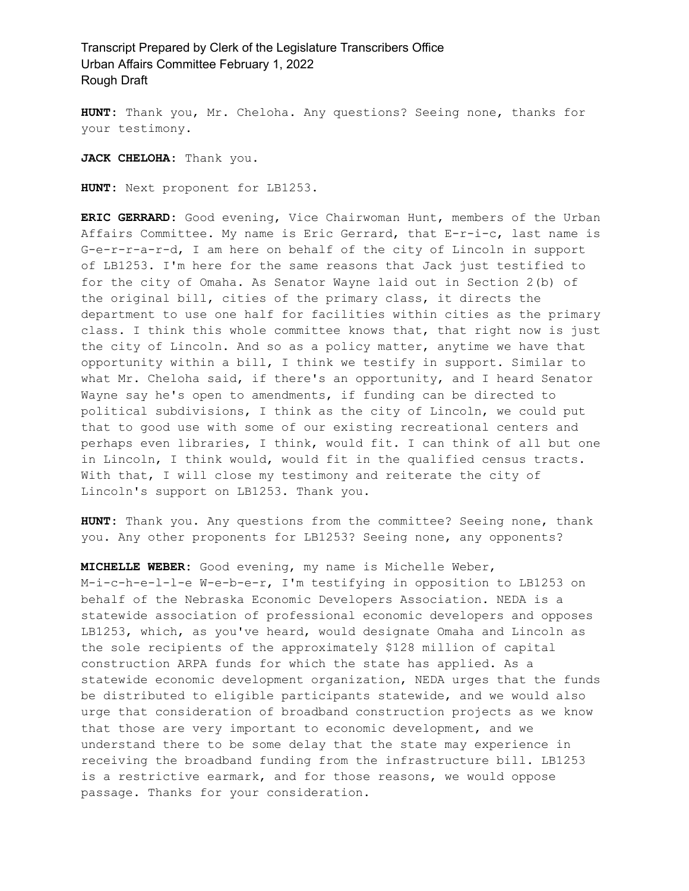**HUNT:** Thank you, Mr. Cheloha. Any questions? Seeing none, thanks for your testimony.

**JACK CHELOHA:** Thank you.

**HUNT:** Next proponent for LB1253.

**ERIC GERRARD:** Good evening, Vice Chairwoman Hunt, members of the Urban Affairs Committee. My name is Eric Gerrard, that E-r-i-c, last name is G-e-r-r-a-r-d, I am here on behalf of the city of Lincoln in support of LB1253. I'm here for the same reasons that Jack just testified to for the city of Omaha. As Senator Wayne laid out in Section 2(b) of the original bill, cities of the primary class, it directs the department to use one half for facilities within cities as the primary class. I think this whole committee knows that, that right now is just the city of Lincoln. And so as a policy matter, anytime we have that opportunity within a bill, I think we testify in support. Similar to what Mr. Cheloha said, if there's an opportunity, and I heard Senator Wayne say he's open to amendments, if funding can be directed to political subdivisions, I think as the city of Lincoln, we could put that to good use with some of our existing recreational centers and perhaps even libraries, I think, would fit. I can think of all but one in Lincoln, I think would, would fit in the qualified census tracts. With that, I will close my testimony and reiterate the city of Lincoln's support on LB1253. Thank you.

**HUNT:** Thank you. Any questions from the committee? Seeing none, thank you. Any other proponents for LB1253? Seeing none, any opponents?

**MICHELLE WEBER:** Good evening, my name is Michelle Weber, M-i-c-h-e-l-l-e W-e-b-e-r, I'm testifying in opposition to LB1253 on behalf of the Nebraska Economic Developers Association. NEDA is a statewide association of professional economic developers and opposes LB1253, which, as you've heard, would designate Omaha and Lincoln as the sole recipients of the approximately \$128 million of capital construction ARPA funds for which the state has applied. As a statewide economic development organization, NEDA urges that the funds be distributed to eligible participants statewide, and we would also urge that consideration of broadband construction projects as we know that those are very important to economic development, and we understand there to be some delay that the state may experience in receiving the broadband funding from the infrastructure bill. LB1253 is a restrictive earmark, and for those reasons, we would oppose passage. Thanks for your consideration.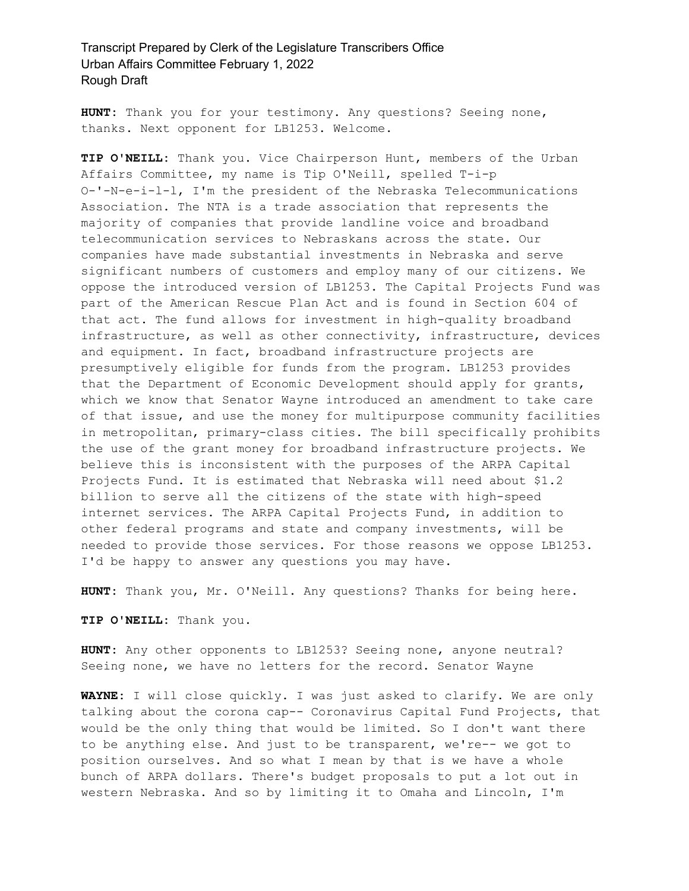**HUNT:** Thank you for your testimony. Any questions? Seeing none, thanks. Next opponent for LB1253. Welcome.

**TIP O'NEILL:** Thank you. Vice Chairperson Hunt, members of the Urban Affairs Committee, my name is Tip O'Neill, spelled T-i-p O-'-N-e-i-l-l, I'm the president of the Nebraska Telecommunications Association. The NTA is a trade association that represents the majority of companies that provide landline voice and broadband telecommunication services to Nebraskans across the state. Our companies have made substantial investments in Nebraska and serve significant numbers of customers and employ many of our citizens. We oppose the introduced version of LB1253. The Capital Projects Fund was part of the American Rescue Plan Act and is found in Section 604 of that act. The fund allows for investment in high-quality broadband infrastructure, as well as other connectivity, infrastructure, devices and equipment. In fact, broadband infrastructure projects are presumptively eligible for funds from the program. LB1253 provides that the Department of Economic Development should apply for grants, which we know that Senator Wayne introduced an amendment to take care of that issue, and use the money for multipurpose community facilities in metropolitan, primary-class cities. The bill specifically prohibits the use of the grant money for broadband infrastructure projects. We believe this is inconsistent with the purposes of the ARPA Capital Projects Fund. It is estimated that Nebraska will need about \$1.2 billion to serve all the citizens of the state with high-speed internet services. The ARPA Capital Projects Fund, in addition to other federal programs and state and company investments, will be needed to provide those services. For those reasons we oppose LB1253. I'd be happy to answer any questions you may have.

**HUNT:** Thank you, Mr. O'Neill. Any questions? Thanks for being here.

**TIP O'NEILL:** Thank you.

**HUNT:** Any other opponents to LB1253? Seeing none, anyone neutral? Seeing none, we have no letters for the record. Senator Wayne

**WAYNE:** I will close quickly. I was just asked to clarify. We are only talking about the corona cap-- Coronavirus Capital Fund Projects, that would be the only thing that would be limited. So I don't want there to be anything else. And just to be transparent, we're-- we got to position ourselves. And so what I mean by that is we have a whole bunch of ARPA dollars. There's budget proposals to put a lot out in western Nebraska. And so by limiting it to Omaha and Lincoln, I'm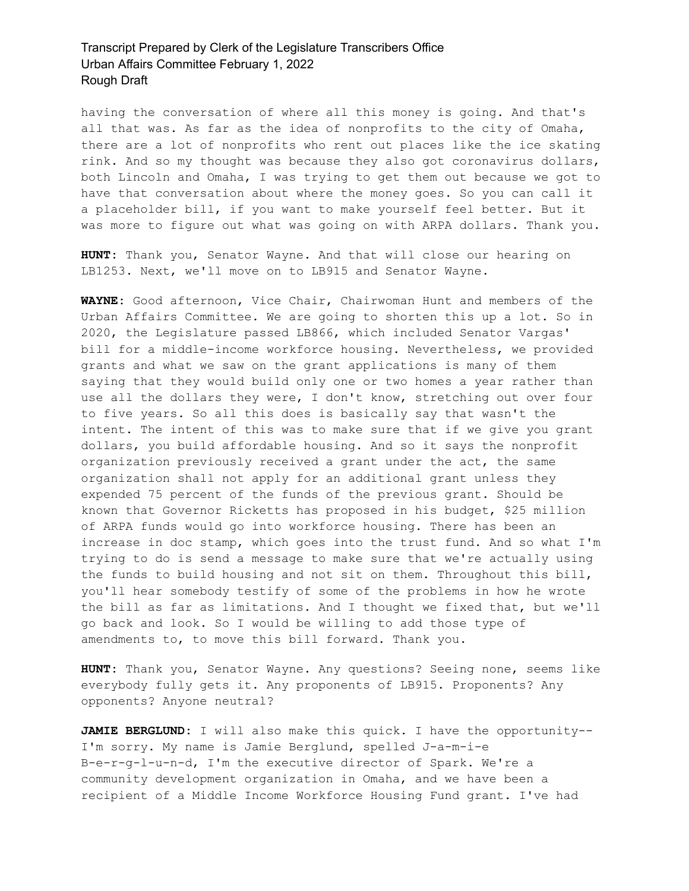having the conversation of where all this money is going. And that's all that was. As far as the idea of nonprofits to the city of Omaha, there are a lot of nonprofits who rent out places like the ice skating rink. And so my thought was because they also got coronavirus dollars, both Lincoln and Omaha, I was trying to get them out because we got to have that conversation about where the money goes. So you can call it a placeholder bill, if you want to make yourself feel better. But it was more to figure out what was going on with ARPA dollars. Thank you.

**HUNT:** Thank you, Senator Wayne. And that will close our hearing on LB1253. Next, we'll move on to LB915 and Senator Wayne.

**WAYNE:** Good afternoon, Vice Chair, Chairwoman Hunt and members of the Urban Affairs Committee. We are going to shorten this up a lot. So in 2020, the Legislature passed LB866, which included Senator Vargas' bill for a middle-income workforce housing. Nevertheless, we provided grants and what we saw on the grant applications is many of them saying that they would build only one or two homes a year rather than use all the dollars they were, I don't know, stretching out over four to five years. So all this does is basically say that wasn't the intent. The intent of this was to make sure that if we give you grant dollars, you build affordable housing. And so it says the nonprofit organization previously received a grant under the act, the same organization shall not apply for an additional grant unless they expended 75 percent of the funds of the previous grant. Should be known that Governor Ricketts has proposed in his budget, \$25 million of ARPA funds would go into workforce housing. There has been an increase in doc stamp, which goes into the trust fund. And so what I'm trying to do is send a message to make sure that we're actually using the funds to build housing and not sit on them. Throughout this bill, you'll hear somebody testify of some of the problems in how he wrote the bill as far as limitations. And I thought we fixed that, but we'll go back and look. So I would be willing to add those type of amendments to, to move this bill forward. Thank you.

**HUNT:** Thank you, Senator Wayne. Any questions? Seeing none, seems like everybody fully gets it. Any proponents of LB915. Proponents? Any opponents? Anyone neutral?

**JAMIE BERGLUND:** I will also make this quick. I have the opportunity-- I'm sorry. My name is Jamie Berglund, spelled J-a-m-i-e B-e-r-g-l-u-n-d, I'm the executive director of Spark. We're a community development organization in Omaha, and we have been a recipient of a Middle Income Workforce Housing Fund grant. I've had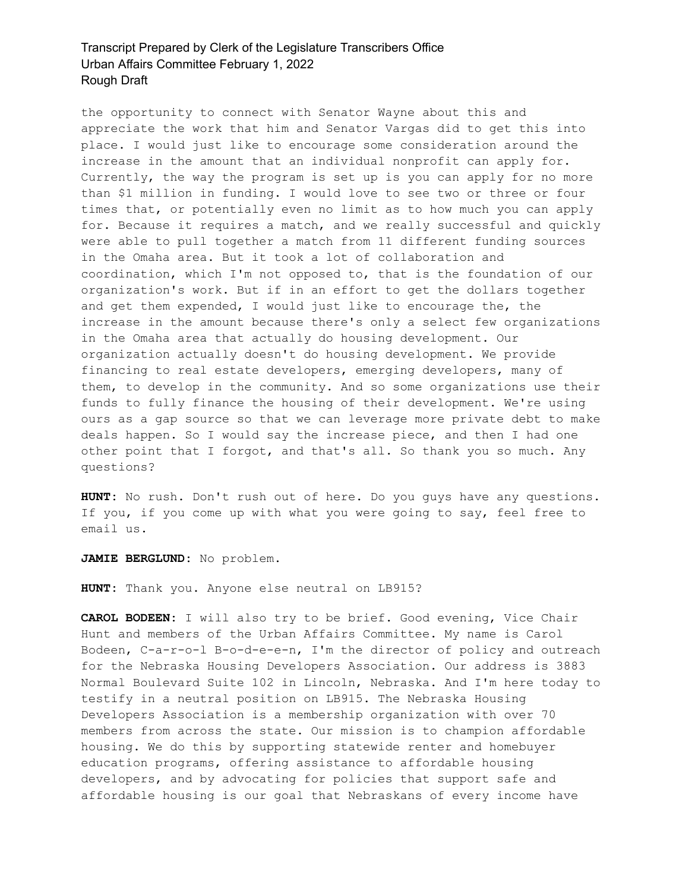the opportunity to connect with Senator Wayne about this and appreciate the work that him and Senator Vargas did to get this into place. I would just like to encourage some consideration around the increase in the amount that an individual nonprofit can apply for. Currently, the way the program is set up is you can apply for no more than \$1 million in funding. I would love to see two or three or four times that, or potentially even no limit as to how much you can apply for. Because it requires a match, and we really successful and quickly were able to pull together a match from 11 different funding sources in the Omaha area. But it took a lot of collaboration and coordination, which I'm not opposed to, that is the foundation of our organization's work. But if in an effort to get the dollars together and get them expended, I would just like to encourage the, the increase in the amount because there's only a select few organizations in the Omaha area that actually do housing development. Our organization actually doesn't do housing development. We provide financing to real estate developers, emerging developers, many of them, to develop in the community. And so some organizations use their funds to fully finance the housing of their development. We're using ours as a gap source so that we can leverage more private debt to make deals happen. So I would say the increase piece, and then I had one other point that I forgot, and that's all. So thank you so much. Any questions?

**HUNT:** No rush. Don't rush out of here. Do you guys have any questions. If you, if you come up with what you were going to say, feel free to email us.

**JAMIE BERGLUND:** No problem.

**HUNT:** Thank you. Anyone else neutral on LB915?

**CAROL BODEEN:** I will also try to be brief. Good evening, Vice Chair Hunt and members of the Urban Affairs Committee. My name is Carol Bodeen, C-a-r-o-l B-o-d-e-e-n, I'm the director of policy and outreach for the Nebraska Housing Developers Association. Our address is 3883 Normal Boulevard Suite 102 in Lincoln, Nebraska. And I'm here today to testify in a neutral position on LB915. The Nebraska Housing Developers Association is a membership organization with over 70 members from across the state. Our mission is to champion affordable housing. We do this by supporting statewide renter and homebuyer education programs, offering assistance to affordable housing developers, and by advocating for policies that support safe and affordable housing is our goal that Nebraskans of every income have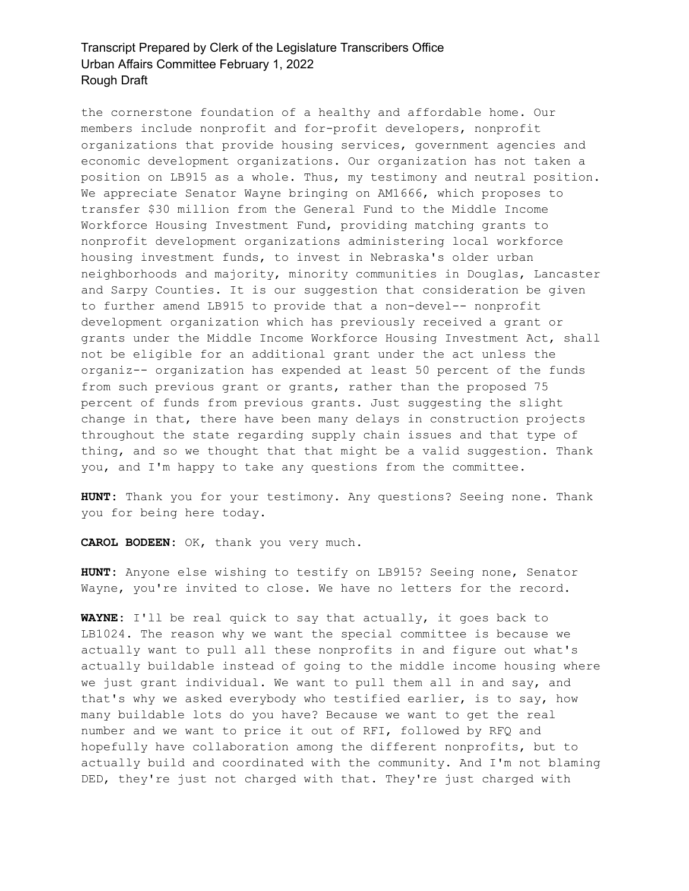the cornerstone foundation of a healthy and affordable home. Our members include nonprofit and for-profit developers, nonprofit organizations that provide housing services, government agencies and economic development organizations. Our organization has not taken a position on LB915 as a whole. Thus, my testimony and neutral position. We appreciate Senator Wayne bringing on AM1666, which proposes to transfer \$30 million from the General Fund to the Middle Income Workforce Housing Investment Fund, providing matching grants to nonprofit development organizations administering local workforce housing investment funds, to invest in Nebraska's older urban neighborhoods and majority, minority communities in Douglas, Lancaster and Sarpy Counties. It is our suggestion that consideration be given to further amend LB915 to provide that a non-devel-- nonprofit development organization which has previously received a grant or grants under the Middle Income Workforce Housing Investment Act, shall not be eligible for an additional grant under the act unless the organiz-- organization has expended at least 50 percent of the funds from such previous grant or grants, rather than the proposed 75 percent of funds from previous grants. Just suggesting the slight change in that, there have been many delays in construction projects throughout the state regarding supply chain issues and that type of thing, and so we thought that that might be a valid suggestion. Thank you, and I'm happy to take any questions from the committee.

**HUNT:** Thank you for your testimony. Any questions? Seeing none. Thank you for being here today.

**CAROL BODEEN:** OK, thank you very much.

**HUNT:** Anyone else wishing to testify on LB915? Seeing none, Senator Wayne, you're invited to close. We have no letters for the record.

**WAYNE:** I'll be real quick to say that actually, it goes back to LB1024. The reason why we want the special committee is because we actually want to pull all these nonprofits in and figure out what's actually buildable instead of going to the middle income housing where we just grant individual. We want to pull them all in and say, and that's why we asked everybody who testified earlier, is to say, how many buildable lots do you have? Because we want to get the real number and we want to price it out of RFI, followed by RFQ and hopefully have collaboration among the different nonprofits, but to actually build and coordinated with the community. And I'm not blaming DED, they're just not charged with that. They're just charged with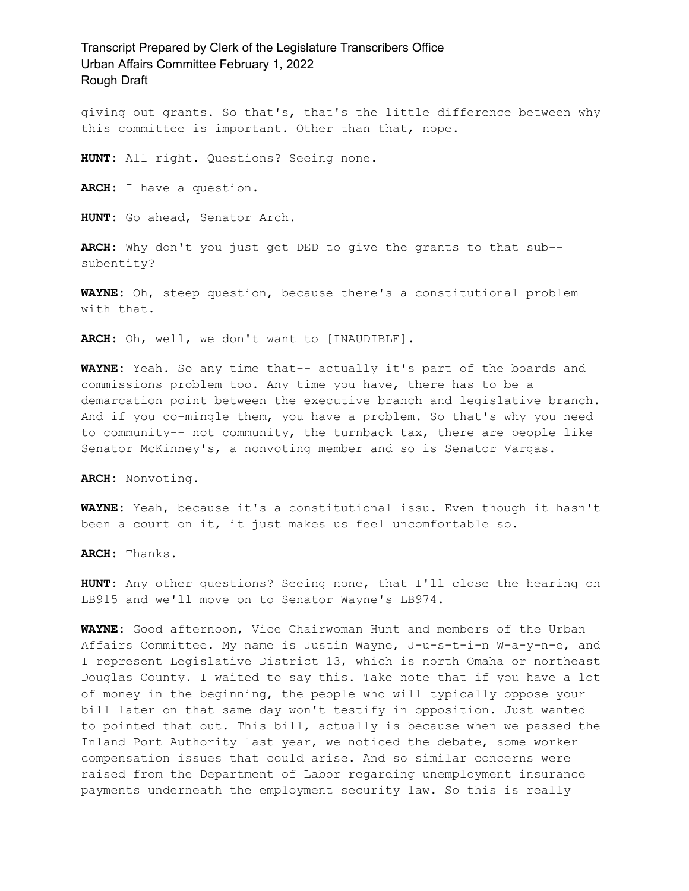giving out grants. So that's, that's the little difference between why this committee is important. Other than that, nope.

**HUNT:** All right. Questions? Seeing none.

**ARCH:** I have a question.

**HUNT:** Go ahead, Senator Arch.

**ARCH:** Why don't you just get DED to give the grants to that sub- subentity?

**WAYNE:** Oh, steep question, because there's a constitutional problem with that.

**ARCH:** Oh, well, we don't want to [INAUDIBLE].

**WAYNE:** Yeah. So any time that-- actually it's part of the boards and commissions problem too. Any time you have, there has to be a demarcation point between the executive branch and legislative branch. And if you co-mingle them, you have a problem. So that's why you need to community-- not community, the turnback tax, there are people like Senator McKinney's, a nonvoting member and so is Senator Vargas.

**ARCH:** Nonvoting.

**WAYNE:** Yeah, because it's a constitutional issu. Even though it hasn't been a court on it, it just makes us feel uncomfortable so.

**ARCH:** Thanks.

**HUNT:** Any other questions? Seeing none, that I'll close the hearing on LB915 and we'll move on to Senator Wayne's LB974.

**WAYNE:** Good afternoon, Vice Chairwoman Hunt and members of the Urban Affairs Committee. My name is Justin Wayne, J-u-s-t-i-n W-a-y-n-e, and I represent Legislative District 13, which is north Omaha or northeast Douglas County. I waited to say this. Take note that if you have a lot of money in the beginning, the people who will typically oppose your bill later on that same day won't testify in opposition. Just wanted to pointed that out. This bill, actually is because when we passed the Inland Port Authority last year, we noticed the debate, some worker compensation issues that could arise. And so similar concerns were raised from the Department of Labor regarding unemployment insurance payments underneath the employment security law. So this is really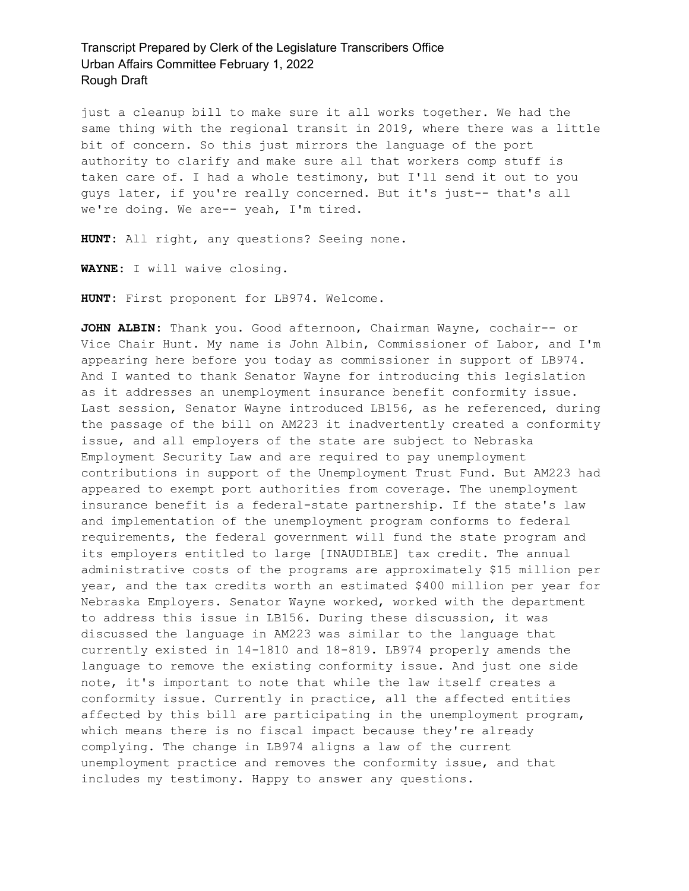just a cleanup bill to make sure it all works together. We had the same thing with the regional transit in 2019, where there was a little bit of concern. So this just mirrors the language of the port authority to clarify and make sure all that workers comp stuff is taken care of. I had a whole testimony, but I'll send it out to you guys later, if you're really concerned. But it's just-- that's all we're doing. We are-- yeah, I'm tired.

**HUNT:** All right, any questions? Seeing none.

**WAYNE:** I will waive closing.

**HUNT:** First proponent for LB974. Welcome.

**JOHN ALBIN:** Thank you. Good afternoon, Chairman Wayne, cochair-- or Vice Chair Hunt. My name is John Albin, Commissioner of Labor, and I'm appearing here before you today as commissioner in support of LB974. And I wanted to thank Senator Wayne for introducing this legislation as it addresses an unemployment insurance benefit conformity issue. Last session, Senator Wayne introduced LB156, as he referenced, during the passage of the bill on AM223 it inadvertently created a conformity issue, and all employers of the state are subject to Nebraska Employment Security Law and are required to pay unemployment contributions in support of the Unemployment Trust Fund. But AM223 had appeared to exempt port authorities from coverage. The unemployment insurance benefit is a federal-state partnership. If the state's law and implementation of the unemployment program conforms to federal requirements, the federal government will fund the state program and its employers entitled to large [INAUDIBLE] tax credit. The annual administrative costs of the programs are approximately \$15 million per year, and the tax credits worth an estimated \$400 million per year for Nebraska Employers. Senator Wayne worked, worked with the department to address this issue in LB156. During these discussion, it was discussed the language in AM223 was similar to the language that currently existed in 14-1810 and 18-819. LB974 properly amends the language to remove the existing conformity issue. And just one side note, it's important to note that while the law itself creates a conformity issue. Currently in practice, all the affected entities affected by this bill are participating in the unemployment program, which means there is no fiscal impact because they're already complying. The change in LB974 aligns a law of the current unemployment practice and removes the conformity issue, and that includes my testimony. Happy to answer any questions.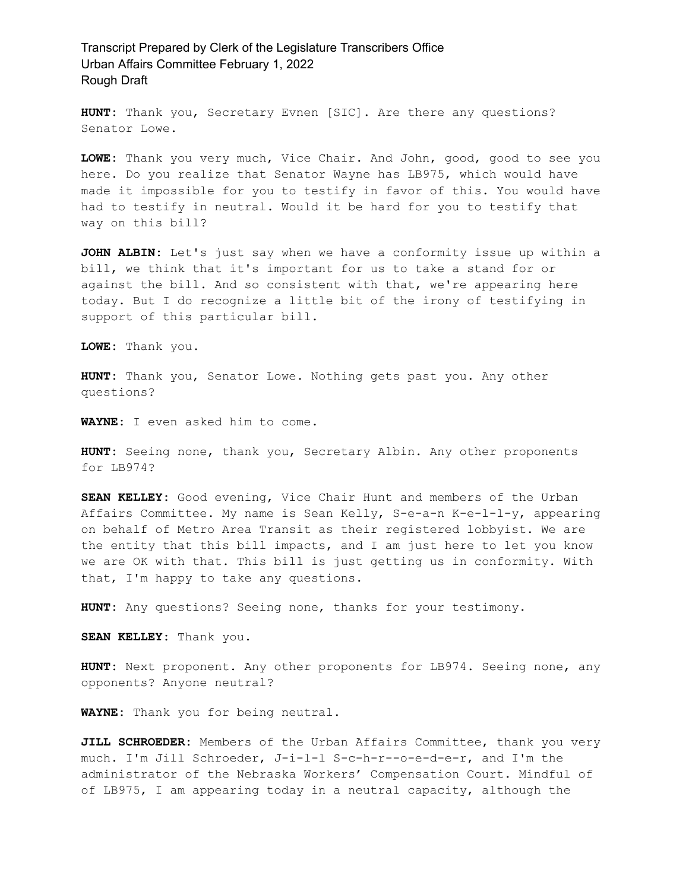**HUNT:** Thank you, Secretary Evnen [SIC]. Are there any questions? Senator Lowe.

**LOWE:** Thank you very much, Vice Chair. And John, good, good to see you here. Do you realize that Senator Wayne has LB975, which would have made it impossible for you to testify in favor of this. You would have had to testify in neutral. Would it be hard for you to testify that way on this bill?

**JOHN ALBIN:** Let's just say when we have a conformity issue up within a bill, we think that it's important for us to take a stand for or against the bill. And so consistent with that, we're appearing here today. But I do recognize a little bit of the irony of testifying in support of this particular bill.

**LOWE:** Thank you.

**HUNT:** Thank you, Senator Lowe. Nothing gets past you. Any other questions?

**WAYNE:** I even asked him to come.

**HUNT:** Seeing none, thank you, Secretary Albin. Any other proponents for LB974?

**SEAN KELLEY:** Good evening, Vice Chair Hunt and members of the Urban Affairs Committee. My name is Sean Kelly, S-e-a-n K-e-l-l-y, appearing on behalf of Metro Area Transit as their registered lobbyist. We are the entity that this bill impacts, and I am just here to let you know we are OK with that. This bill is just getting us in conformity. With that, I'm happy to take any questions.

**HUNT:** Any questions? Seeing none, thanks for your testimony.

**SEAN KELLEY:** Thank you.

**HUNT:** Next proponent. Any other proponents for LB974. Seeing none, any opponents? Anyone neutral?

**WAYNE:** Thank you for being neutral.

**JILL SCHROEDER:** Members of the Urban Affairs Committee, thank you very much. I'm Jill Schroeder, J-i-l-l S-c-h-r--o-e-d-e-r, and I'm the administrator of the Nebraska Workers' Compensation Court. Mindful of of LB975, I am appearing today in a neutral capacity, although the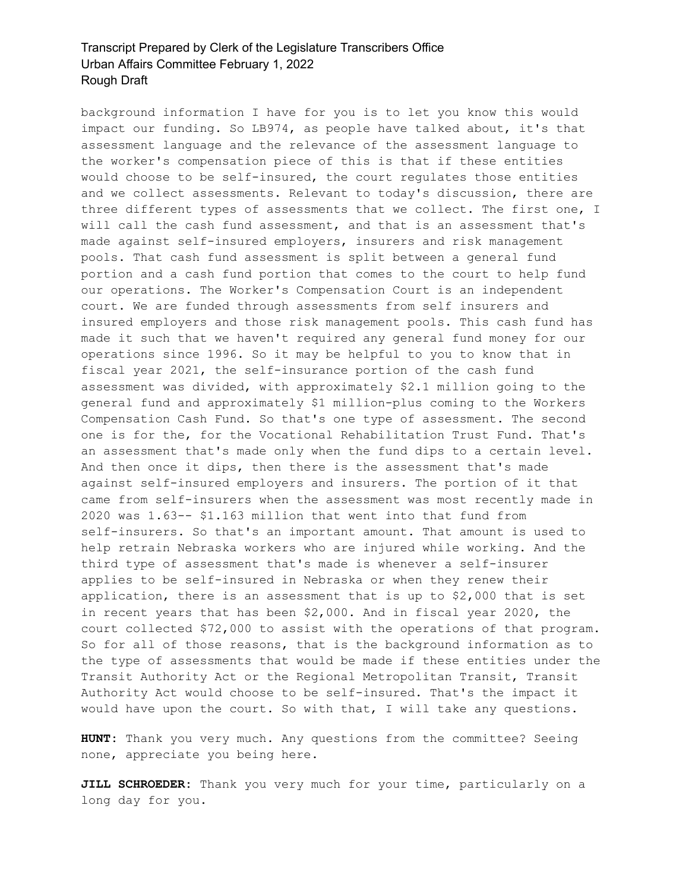background information I have for you is to let you know this would impact our funding. So LB974, as people have talked about, it's that assessment language and the relevance of the assessment language to the worker's compensation piece of this is that if these entities would choose to be self-insured, the court regulates those entities and we collect assessments. Relevant to today's discussion, there are three different types of assessments that we collect. The first one, I will call the cash fund assessment, and that is an assessment that's made against self-insured employers, insurers and risk management pools. That cash fund assessment is split between a general fund portion and a cash fund portion that comes to the court to help fund our operations. The Worker's Compensation Court is an independent court. We are funded through assessments from self insurers and insured employers and those risk management pools. This cash fund has made it such that we haven't required any general fund money for our operations since 1996. So it may be helpful to you to know that in fiscal year 2021, the self-insurance portion of the cash fund assessment was divided, with approximately \$2.1 million going to the general fund and approximately \$1 million-plus coming to the Workers Compensation Cash Fund. So that's one type of assessment. The second one is for the, for the Vocational Rehabilitation Trust Fund. That's an assessment that's made only when the fund dips to a certain level. And then once it dips, then there is the assessment that's made against self-insured employers and insurers. The portion of it that came from self-insurers when the assessment was most recently made in 2020 was 1.63-- \$1.163 million that went into that fund from self-insurers. So that's an important amount. That amount is used to help retrain Nebraska workers who are injured while working. And the third type of assessment that's made is whenever a self-insurer applies to be self-insured in Nebraska or when they renew their application, there is an assessment that is up to \$2,000 that is set in recent years that has been \$2,000. And in fiscal year 2020, the court collected \$72,000 to assist with the operations of that program. So for all of those reasons, that is the background information as to the type of assessments that would be made if these entities under the Transit Authority Act or the Regional Metropolitan Transit, Transit Authority Act would choose to be self-insured. That's the impact it would have upon the court. So with that, I will take any questions.

**HUNT:** Thank you very much. Any questions from the committee? Seeing none, appreciate you being here.

**JILL SCHROEDER:** Thank you very much for your time, particularly on a long day for you.